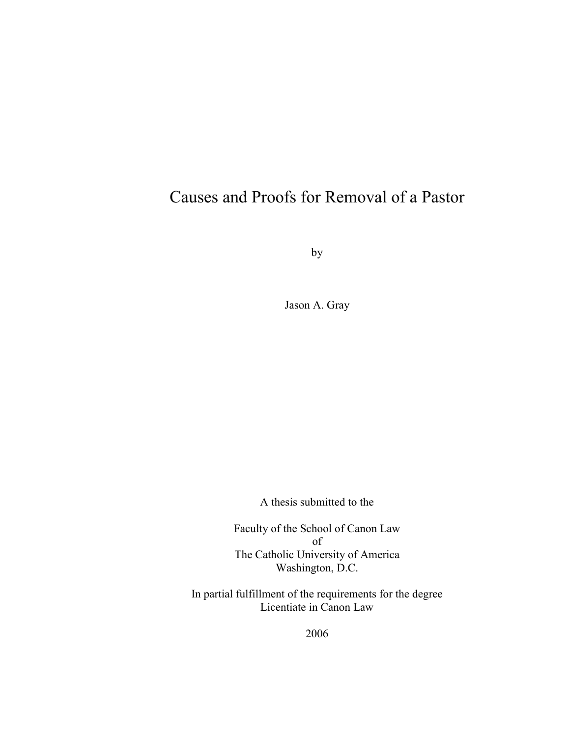# Causes and Proofs for Removal of a Pastor

by

Jason A. Gray

A thesis submitted to the

Faculty of the School of Canon Law of The Catholic University of America Washington, D.C.

In partial fulfillment of the requirements for the degree Licentiate in Canon Law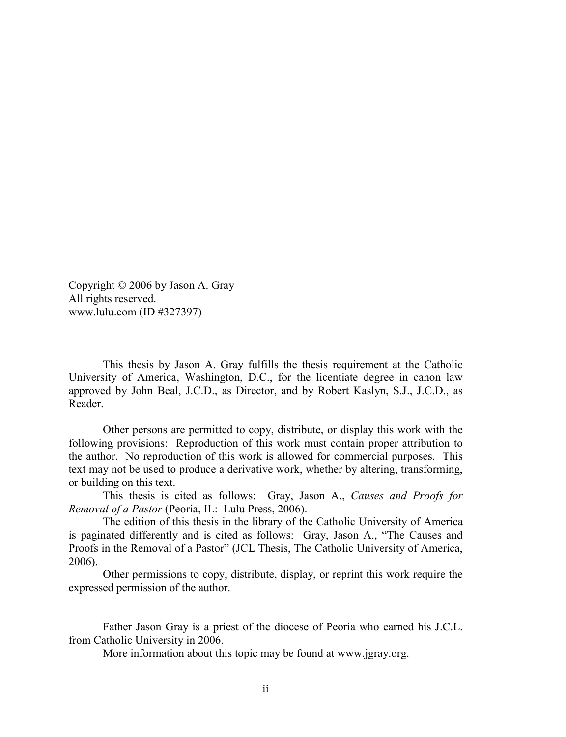Copyright © 2006 by Jason A. Gray All rights reserved. www.lulu.com (ID #327397)

This thesis by Jason A. Gray fulfills the thesis requirement at the Catholic University of America, Washington, D.C., for the licentiate degree in canon law approved by John Beal, J.C.D., as Director, and by Robert Kaslyn, S.J., J.C.D., as Reader.

Other persons are permitted to copy, distribute, or display this work with the following provisions: Reproduction of this work must contain proper attribution to the author. No reproduction of this work is allowed for commercial purposes. This text may not be used to produce a derivative work, whether by altering, transforming, or building on this text.

This thesis is cited as follows: Gray, Jason A., *Causes and Proofs for Removal of a Pastor* (Peoria, IL: Lulu Press, 2006).

The edition of this thesis in the library of the Catholic University of America is paginated differently and is cited as follows: Gray, Jason A., "The Causes and Proofs in the Removal of a Pastor" (JCL Thesis, The Catholic University of America, 2006).

Other permissions to copy, distribute, display, or reprint this work require the expressed permission of the author.

Father Jason Gray is a priest of the diocese of Peoria who earned his J.C.L. from Catholic University in 2006.

More information about this topic may be found at www.jgray.org.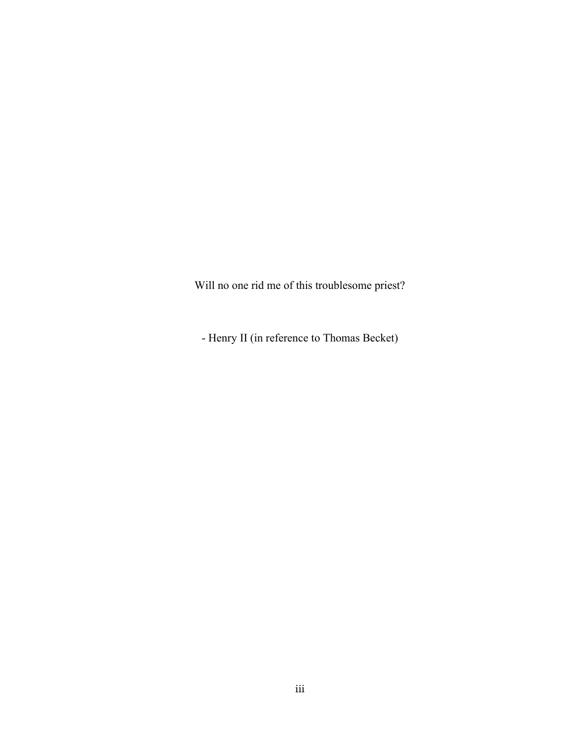Will no one rid me of this troublesome priest?

- Henry II (in reference to Thomas Becket)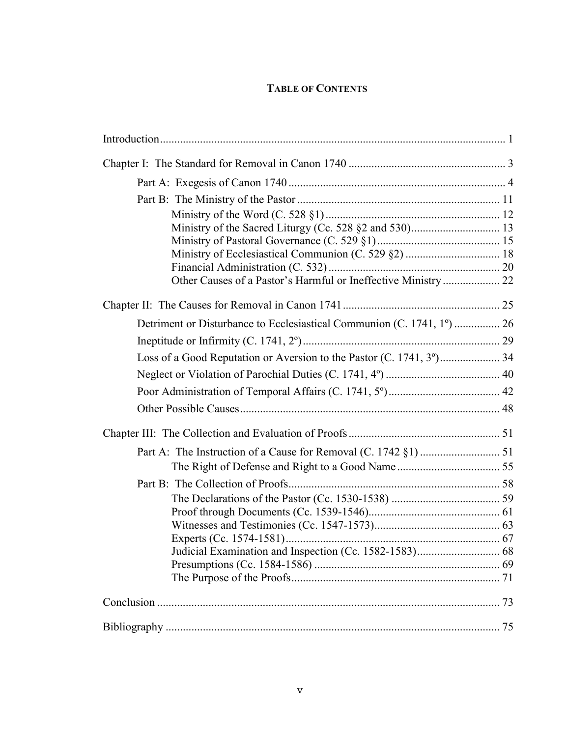# **TABLE OF CONTENTS**

| Other Causes of a Pastor's Harmful or Ineffective Ministry 22          |  |
|------------------------------------------------------------------------|--|
|                                                                        |  |
| Detriment or Disturbance to Ecclesiastical Communion (C. 1741, 1°)  26 |  |
|                                                                        |  |
|                                                                        |  |
|                                                                        |  |
|                                                                        |  |
|                                                                        |  |
|                                                                        |  |
|                                                                        |  |
|                                                                        |  |
|                                                                        |  |
|                                                                        |  |
|                                                                        |  |
|                                                                        |  |
|                                                                        |  |
|                                                                        |  |
|                                                                        |  |
|                                                                        |  |
|                                                                        |  |
|                                                                        |  |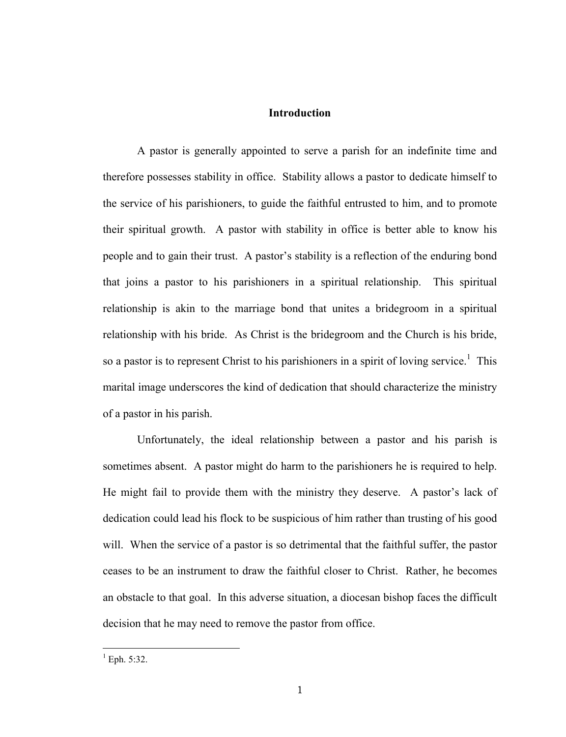#### **Introduction**

A pastor is generally appointed to serve a parish for an indefinite time and therefore possesses stability in office. Stability allows a pastor to dedicate himself to the service of his parishioners, to guide the faithful entrusted to him, and to promote their spiritual growth. A pastor with stability in office is better able to know his people and to gain their trust. A pastor's stability is a reflection of the enduring bond that joins a pastor to his parishioners in a spiritual relationship. This spiritual relationship is akin to the marriage bond that unites a bridegroom in a spiritual relationship with his bride. As Christ is the bridegroom and the Church is his bride, so a pastor is to represent Christ to his parishioners in a spirit of loving service.<sup>1</sup> This marital image underscores the kind of dedication that should characterize the ministry of a pastor in his parish.

Unfortunately, the ideal relationship between a pastor and his parish is sometimes absent. A pastor might do harm to the parishioners he is required to help. He might fail to provide them with the ministry they deserve. A pastor's lack of dedication could lead his flock to be suspicious of him rather than trusting of his good will. When the service of a pastor is so detrimental that the faithful suffer, the pastor ceases to be an instrument to draw the faithful closer to Christ. Rather, he becomes an obstacle to that goal. In this adverse situation, a diocesan bishop faces the difficult decision that he may need to remove the pastor from office.

 $^{1}$  Eph. 5:32.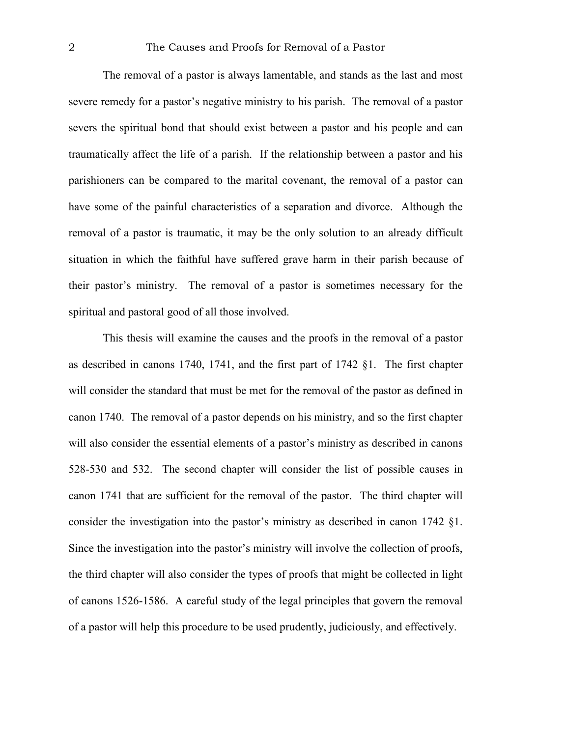The removal of a pastor is always lamentable, and stands as the last and most severe remedy for a pastor's negative ministry to his parish. The removal of a pastor severs the spiritual bond that should exist between a pastor and his people and can traumatically affect the life of a parish. If the relationship between a pastor and his parishioners can be compared to the marital covenant, the removal of a pastor can have some of the painful characteristics of a separation and divorce. Although the removal of a pastor is traumatic, it may be the only solution to an already difficult situation in which the faithful have suffered grave harm in their parish because of their pastor's ministry. The removal of a pastor is sometimes necessary for the spiritual and pastoral good of all those involved.

This thesis will examine the causes and the proofs in the removal of a pastor as described in canons 1740, 1741, and the first part of 1742 §1. The first chapter will consider the standard that must be met for the removal of the pastor as defined in canon 1740. The removal of a pastor depends on his ministry, and so the first chapter will also consider the essential elements of a pastor's ministry as described in canons 528-530 and 532. The second chapter will consider the list of possible causes in canon 1741 that are sufficient for the removal of the pastor. The third chapter will consider the investigation into the pastor's ministry as described in canon 1742 §1. Since the investigation into the pastor's ministry will involve the collection of proofs, the third chapter will also consider the types of proofs that might be collected in light of canons 1526-1586. A careful study of the legal principles that govern the removal of a pastor will help this procedure to be used prudently, judiciously, and effectively.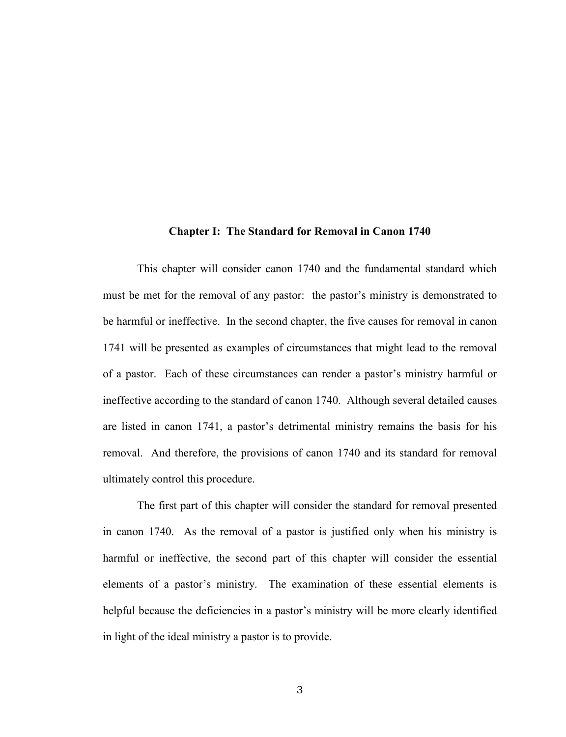#### **Chapter I: The Standard for Removal in Canon 1740**

This chapter will consider canon 1740 and the fundamental standard which must be met for the removal of any pastor: the pastor's ministry is demonstrated to be harmful or ineffective. In the second chapter, the five causes for removal in canon 1741 will be presented as examples of circumstances that might lead to the removal of a pastor. Each of these circumstances can render a pastor's ministry harmful or ineffective according to the standard of canon 1740. Although several detailed causes are listed in canon 1741, a pastor's detrimental ministry remains the basis for his removal. And therefore, the provisions of canon 1740 and its standard for removal ultimately control this procedure.

The first part of this chapter will consider the standard for removal presented in canon 1740. As the removal of a pastor is justified only when his ministry is harmful or ineffective, the second part of this chapter will consider the essential elements of a pastor's ministry. The examination of these essential elements is helpful because the deficiencies in a pastor's ministry will be more clearly identified in light of the ideal ministry a pastor is to provide.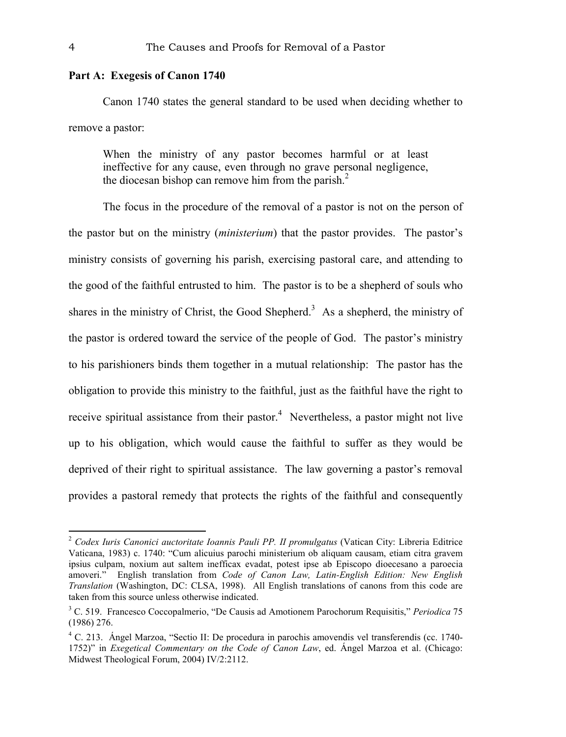## **Part A: Exegesis of Canon 1740**

Canon 1740 states the general standard to be used when deciding whether to remove a pastor:

When the ministry of any pastor becomes harmful or at least ineffective for any cause, even through no grave personal negligence, the diocesan bishop can remove him from the parish.<sup>2</sup>

The focus in the procedure of the removal of a pastor is not on the person of the pastor but on the ministry (*ministerium*) that the pastor provides. The pastor's ministry consists of governing his parish, exercising pastoral care, and attending to the good of the faithful entrusted to him. The pastor is to be a shepherd of souls who shares in the ministry of Christ, the Good Shepherd.<sup>3</sup> As a shepherd, the ministry of the pastor is ordered toward the service of the people of God. The pastor's ministry to his parishioners binds them together in a mutual relationship: The pastor has the obligation to provide this ministry to the faithful, just as the faithful have the right to receive spiritual assistance from their pastor.<sup>4</sup> Nevertheless, a pastor might not live up to his obligation, which would cause the faithful to suffer as they would be deprived of their right to spiritual assistance. The law governing a pastor's removal provides a pastoral remedy that protects the rights of the faithful and consequently

<sup>2</sup> *Codex Iuris Canonici auctoritate Ioannis Pauli PP. II promulgatus* (Vatican City: Libreria Editrice Vaticana, 1983) c. 1740: "Cum alicuius parochi ministerium ob aliquam causam, etiam citra gravem ipsius culpam, noxium aut saltem inefficax evadat, potest ipse ab Episcopo dioecesano a paroecia amoveri." English translation from *Code of Canon Law, Latin-English Edition: New English Translation* (Washington, DC: CLSA, 1998). All English translations of canons from this code are taken from this source unless otherwise indicated.

<sup>3</sup> C. 519. Francesco Coccopalmerio, "De Causis ad Amotionem Parochorum Requisitis," *Periodica* 75 (1986) 276.

<sup>&</sup>lt;sup>4</sup> C. 213. Ángel Marzoa, "Sectio II: De procedura in parochis amovendis vel transferendis (cc. 1740-1752)" in *Exegetical Commentary on the Code of Canon Law*, ed. Ángel Marzoa et al. (Chicago: Midwest Theological Forum, 2004) IV/2:2112.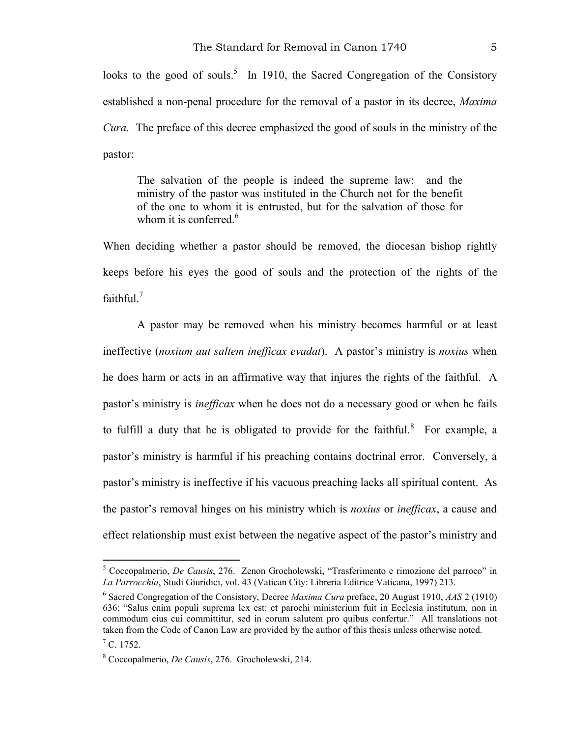looks to the good of souls.<sup>5</sup> In 1910, the Sacred Congregation of the Consistory established a non-penal procedure for the removal of a pastor in its decree, *Maxima Cura*. The preface of this decree emphasized the good of souls in the ministry of the pastor:

The salvation of the people is indeed the supreme law: and the ministry of the pastor was instituted in the Church not for the benefit of the one to whom it is entrusted, but for the salvation of those for whom it is conferred.<sup>6</sup>

When deciding whether a pastor should be removed, the diocesan bishop rightly keeps before his eyes the good of souls and the protection of the rights of the faithful.<sup>7</sup>

A pastor may be removed when his ministry becomes harmful or at least ineffective (*noxium aut saltem inefficax evadat*). A pastor's ministry is *noxius* when he does harm or acts in an affirmative way that injures the rights of the faithful. A pastor's ministry is *inefficax* when he does not do a necessary good or when he fails to fulfill a duty that he is obligated to provide for the faithful.<sup>8</sup> For example, a pastor's ministry is harmful if his preaching contains doctrinal error. Conversely, a pastor's ministry is ineffective if his vacuous preaching lacks all spiritual content. As the pastor's removal hinges on his ministry which is *noxius* or *inefficax*, a cause and effect relationship must exist between the negative aspect of the pastor's ministry and

<sup>5</sup> Coccopalmerio, *De Causis*, 276. Zenon Grocholewski, "Trasferimento e rimozione del parroco" in *La Parrocchia*, Studi Giuridici, vol. 43 (Vatican City: Libreria Editrice Vaticana, 1997) 213.

<sup>6</sup> Sacred Congregation of the Consistory, Decree *Maxima Cura* preface, 20 August 1910, *AAS* 2 (1910) 636: "Salus enim populi suprema lex est: et parochi ministerium fuit in Ecclesia institutum, non in commodum eius cui committitur, sed in eorum salutem pro quibus confertur." All translations not taken from the Code of Canon Law are provided by the author of this thesis unless otherwise noted.

 $<sup>7</sup>$  C. 1752.</sup>

<sup>8</sup> Coccopalmerio, *De Causis*, 276. Grocholewski, 214.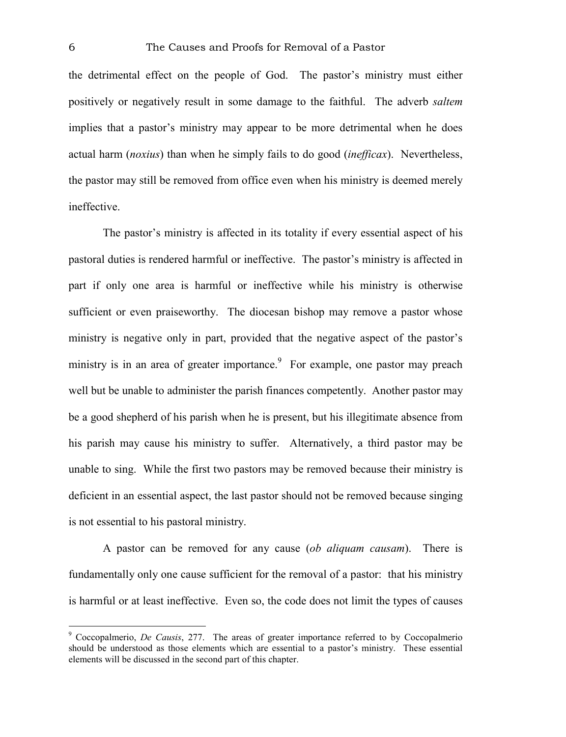the detrimental effect on the people of God. The pastor's ministry must either positively or negatively result in some damage to the faithful. The adverb *saltem* implies that a pastor's ministry may appear to be more detrimental when he does actual harm (*noxius*) than when he simply fails to do good (*inefficax*). Nevertheless, the pastor may still be removed from office even when his ministry is deemed merely ineffective.

The pastor's ministry is affected in its totality if every essential aspect of his pastoral duties is rendered harmful or ineffective. The pastor's ministry is affected in part if only one area is harmful or ineffective while his ministry is otherwise sufficient or even praiseworthy. The diocesan bishop may remove a pastor whose ministry is negative only in part, provided that the negative aspect of the pastor's ministry is in an area of greater importance.<sup>9</sup> For example, one pastor may preach well but be unable to administer the parish finances competently. Another pastor may be a good shepherd of his parish when he is present, but his illegitimate absence from his parish may cause his ministry to suffer. Alternatively, a third pastor may be unable to sing. While the first two pastors may be removed because their ministry is deficient in an essential aspect, the last pastor should not be removed because singing is not essential to his pastoral ministry.

A pastor can be removed for any cause (*ob aliquam causam*). There is fundamentally only one cause sufficient for the removal of a pastor: that his ministry is harmful or at least ineffective. Even so, the code does not limit the types of causes

<sup>9</sup> Coccopalmerio, *De Causis*, 277. The areas of greater importance referred to by Coccopalmerio should be understood as those elements which are essential to a pastor's ministry. These essential elements will be discussed in the second part of this chapter.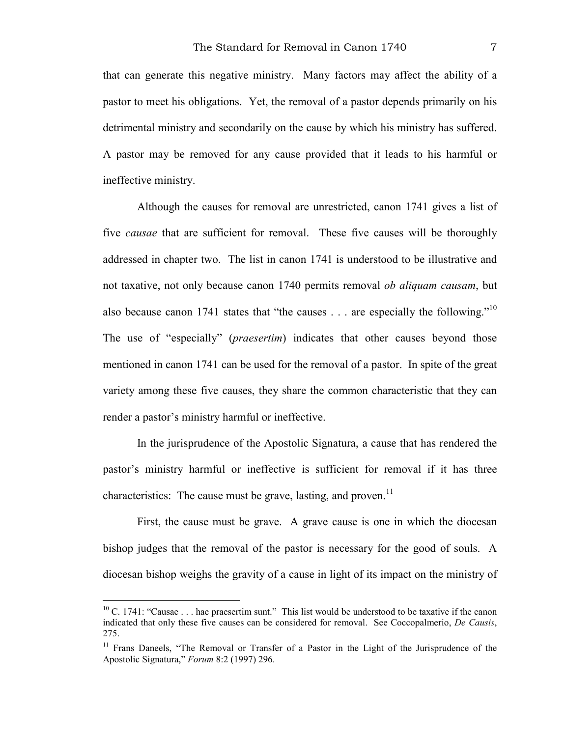that can generate this negative ministry. Many factors may affect the ability of a pastor to meet his obligations. Yet, the removal of a pastor depends primarily on his detrimental ministry and secondarily on the cause by which his ministry has suffered. A pastor may be removed for any cause provided that it leads to his harmful or ineffective ministry.

Although the causes for removal are unrestricted, canon 1741 gives a list of five *causae* that are sufficient for removal. These five causes will be thoroughly addressed in chapter two. The list in canon 1741 is understood to be illustrative and not taxative, not only because canon 1740 permits removal *ob aliquam causam*, but also because canon 1741 states that "the causes  $\ldots$  are especially the following."<sup>10</sup> The use of "especially" (*praesertim*) indicates that other causes beyond those mentioned in canon 1741 can be used for the removal of a pastor. In spite of the great variety among these five causes, they share the common characteristic that they can render a pastor's ministry harmful or ineffective.

In the jurisprudence of the Apostolic Signatura, a cause that has rendered the pastor's ministry harmful or ineffective is sufficient for removal if it has three characteristics: The cause must be grave, lasting, and proven.<sup>11</sup>

First, the cause must be grave. A grave cause is one in which the diocesan bishop judges that the removal of the pastor is necessary for the good of souls. A diocesan bishop weighs the gravity of a cause in light of its impact on the ministry of

 $10$  C. 1741: "Causae . . . hae praesertim sunt." This list would be understood to be taxative if the canon indicated that only these five causes can be considered for removal. See Coccopalmerio, *De Causis*, 275.

 $11$  Frans Daneels, "The Removal or Transfer of a Pastor in the Light of the Jurisprudence of the Apostolic Signatura," *Forum* 8:2 (1997) 296.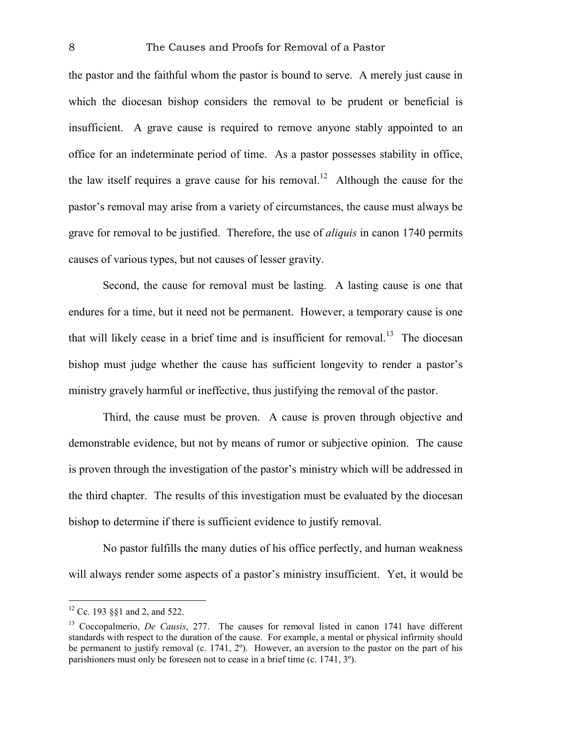the pastor and the faithful whom the pastor is bound to serve. A merely just cause in which the diocesan bishop considers the removal to be prudent or beneficial is insufficient. A grave cause is required to remove anyone stably appointed to an office for an indeterminate period of time. As a pastor possesses stability in office, the law itself requires a grave cause for his removal.<sup>12</sup> Although the cause for the pastor's removal may arise from a variety of circumstances, the cause must always be grave for removal to be justified. Therefore, the use of *aliquis* in canon 1740 permits causes of various types, but not causes of lesser gravity.

Second, the cause for removal must be lasting. A lasting cause is one that endures for a time, but it need not be permanent. However, a temporary cause is one that will likely cease in a brief time and is insufficient for removal.<sup>13</sup> The diocesan bishop must judge whether the cause has sufficient longevity to render a pastor's ministry gravely harmful or ineffective, thus justifying the removal of the pastor.

Third, the cause must be proven. A cause is proven through objective and demonstrable evidence, but not by means of rumor or subjective opinion. The cause is proven through the investigation of the pastor's ministry which will be addressed in the third chapter. The results of this investigation must be evaluated by the diocesan bishop to determine if there is sufficient evidence to justify removal.

No pastor fulfills the many duties of his office perfectly, and human weakness will always render some aspects of a pastor's ministry insufficient. Yet, it would be

<sup>12</sup> Cc. 193 §§1 and 2, and 522.

<sup>&</sup>lt;sup>13</sup> Coccopalmerio, *De Causis*, 277. The causes for removal listed in canon 1741 have different standards with respect to the duration of the cause. For example, a mental or physical infirmity should be permanent to justify removal (c. 1741, 2º). However, an aversion to the pastor on the part of his parishioners must only be foreseen not to cease in a brief time (c. 1741, 3º).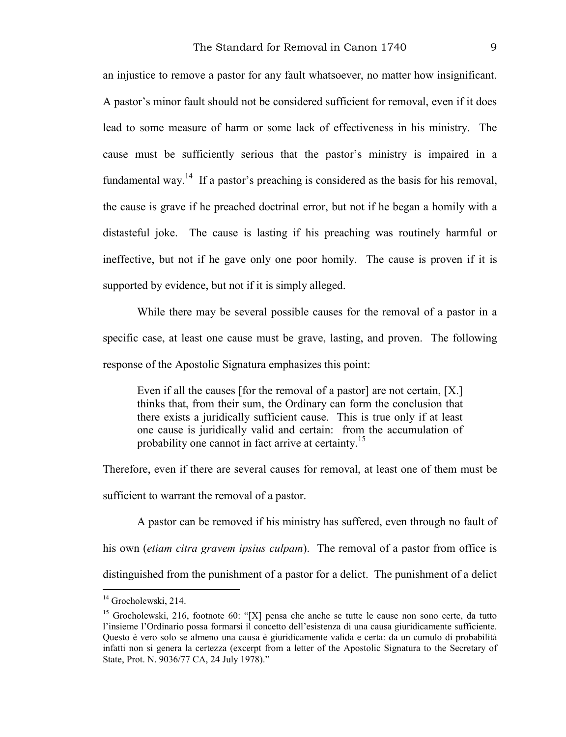an injustice to remove a pastor for any fault whatsoever, no matter how insignificant. A pastor's minor fault should not be considered sufficient for removal, even if it does lead to some measure of harm or some lack of effectiveness in his ministry. The cause must be sufficiently serious that the pastor's ministry is impaired in a fundamental way.<sup>14</sup> If a pastor's preaching is considered as the basis for his removal, the cause is grave if he preached doctrinal error, but not if he began a homily with a distasteful joke. The cause is lasting if his preaching was routinely harmful or ineffective, but not if he gave only one poor homily. The cause is proven if it is supported by evidence, but not if it is simply alleged.

While there may be several possible causes for the removal of a pastor in a specific case, at least one cause must be grave, lasting, and proven. The following response of the Apostolic Signatura emphasizes this point:

Even if all the causes [for the removal of a pastor] are not certain, [X.] thinks that, from their sum, the Ordinary can form the conclusion that there exists a juridically sufficient cause. This is true only if at least one cause is juridically valid and certain: from the accumulation of probability one cannot in fact arrive at certainty.<sup>15</sup>

Therefore, even if there are several causes for removal, at least one of them must be sufficient to warrant the removal of a pastor.

A pastor can be removed if his ministry has suffered, even through no fault of his own (*etiam citra gravem ipsius culpam*). The removal of a pastor from office is distinguished from the punishment of a pastor for a delict. The punishment of a delict

<sup>&</sup>lt;sup>14</sup> Grocholewski, 214.

<sup>&</sup>lt;sup>15</sup> Grocholewski, 216, footnote 60: "[X] pensa che anche se tutte le cause non sono certe, da tutto l'insieme l'Ordinario possa formarsi il concetto dell'esistenza di una causa giuridicamente sufficiente. Questo è vero solo se almeno una causa è giuridicamente valida e certa: da un cumulo di probabilità infatti non si genera la certezza (excerpt from a letter of the Apostolic Signatura to the Secretary of State, Prot. N. 9036/77 CA, 24 July 1978)."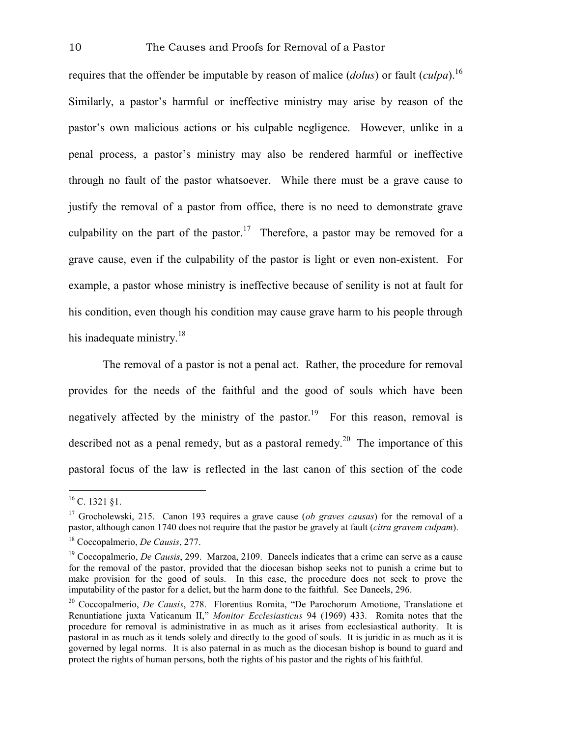requires that the offender be imputable by reason of malice (*dolus*) or fault (*culpa*).16 Similarly, a pastor's harmful or ineffective ministry may arise by reason of the pastor's own malicious actions or his culpable negligence. However, unlike in a penal process, a pastor's ministry may also be rendered harmful or ineffective through no fault of the pastor whatsoever. While there must be a grave cause to justify the removal of a pastor from office, there is no need to demonstrate grave culpability on the part of the pastor.<sup>17</sup> Therefore, a pastor may be removed for a grave cause, even if the culpability of the pastor is light or even non-existent. For example, a pastor whose ministry is ineffective because of senility is not at fault for his condition, even though his condition may cause grave harm to his people through his inadequate ministry. $18$ 

The removal of a pastor is not a penal act. Rather, the procedure for removal provides for the needs of the faithful and the good of souls which have been negatively affected by the ministry of the pastor.<sup>19</sup> For this reason, removal is described not as a penal remedy, but as a pastoral remedy.<sup>20</sup> The importance of this pastoral focus of the law is reflected in the last canon of this section of the code

 $^{16}$  C. 1321 §1.

<sup>17</sup> Grocholewski, 215. Canon 193 requires a grave cause (*ob graves causas*) for the removal of a pastor, although canon 1740 does not require that the pastor be gravely at fault (*citra gravem culpam*).

<sup>18</sup> Coccopalmerio, *De Causis*, 277.

<sup>&</sup>lt;sup>19</sup> Coccopalmerio, *De Causis*, 299. Marzoa, 2109. Daneels indicates that a crime can serve as a cause for the removal of the pastor, provided that the diocesan bishop seeks not to punish a crime but to make provision for the good of souls. In this case, the procedure does not seek to prove the imputability of the pastor for a delict, but the harm done to the faithful. See Daneels, 296.

<sup>20</sup> Coccopalmerio, *De Causis*, 278. Florentius Romita, "De Parochorum Amotione, Translatione et Renuntiatione juxta Vaticanum II," *Monitor Ecclesiasticus* 94 (1969) 433. Romita notes that the procedure for removal is administrative in as much as it arises from ecclesiastical authority. It is pastoral in as much as it tends solely and directly to the good of souls. It is juridic in as much as it is governed by legal norms. It is also paternal in as much as the diocesan bishop is bound to guard and protect the rights of human persons, both the rights of his pastor and the rights of his faithful.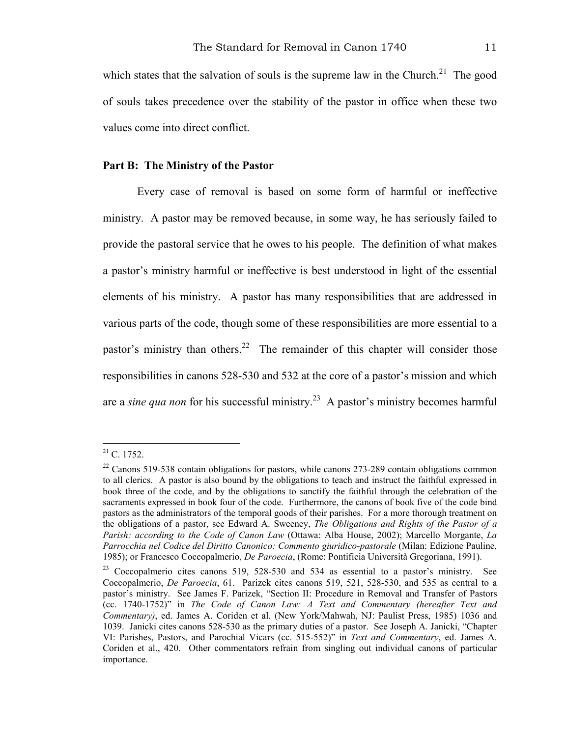which states that the salvation of souls is the supreme law in the Church.<sup>21</sup> The good of souls takes precedence over the stability of the pastor in office when these two values come into direct conflict.

#### **Part B: The Ministry of the Pastor**

Every case of removal is based on some form of harmful or ineffective ministry. A pastor may be removed because, in some way, he has seriously failed to provide the pastoral service that he owes to his people. The definition of what makes a pastor's ministry harmful or ineffective is best understood in light of the essential elements of his ministry. A pastor has many responsibilities that are addressed in various parts of the code, though some of these responsibilities are more essential to a pastor's ministry than others.<sup>22</sup> The remainder of this chapter will consider those responsibilities in canons 528-530 and 532 at the core of a pastor's mission and which are a *sine qua non* for his successful ministry.<sup>23</sup> A pastor's ministry becomes harmful

 $21$  C. 1752.

 $22$  Canons 519-538 contain obligations for pastors, while canons 273-289 contain obligations common to all clerics. A pastor is also bound by the obligations to teach and instruct the faithful expressed in book three of the code, and by the obligations to sanctify the faithful through the celebration of the sacraments expressed in book four of the code. Furthermore, the canons of book five of the code bind pastors as the administrators of the temporal goods of their parishes. For a more thorough treatment on the obligations of a pastor, see Edward A. Sweeney, *The Obligations and Rights of the Pastor of a Parish: according to the Code of Canon Law* (Ottawa: Alba House, 2002); Marcello Morgante, *La Parrocchia nel Codice del Diritto Canonico: Commento giuridico-pastorale* (Milan: Edizione Pauline, 1985); or Francesco Coccopalmerio, *De Paroecia*, (Rome: Pontificia Università Gregoriana, 1991).

 $23$  Coccopalmerio cites canons 519, 528-530 and 534 as essential to a pastor's ministry. See Coccopalmerio, *De Paroecia*, 61. Parizek cites canons 519, 521, 528-530, and 535 as central to a pastor's ministry. See James F. Parizek, "Section II: Procedure in Removal and Transfer of Pastors (cc. 1740-1752)" in *The Code of Canon Law: A Text and Commentary (hereafter Text and Commentary)*, ed. James A. Coriden et al. (New York/Mahwah, NJ: Paulist Press, 1985) 1036 and 1039. Janicki cites canons 528-530 as the primary duties of a pastor. See Joseph A. Janicki, "Chapter VI: Parishes, Pastors, and Parochial Vicars (cc. 515-552)" in *Text and Commentary*, ed. James A. Coriden et al., 420. Other commentators refrain from singling out individual canons of particular importance.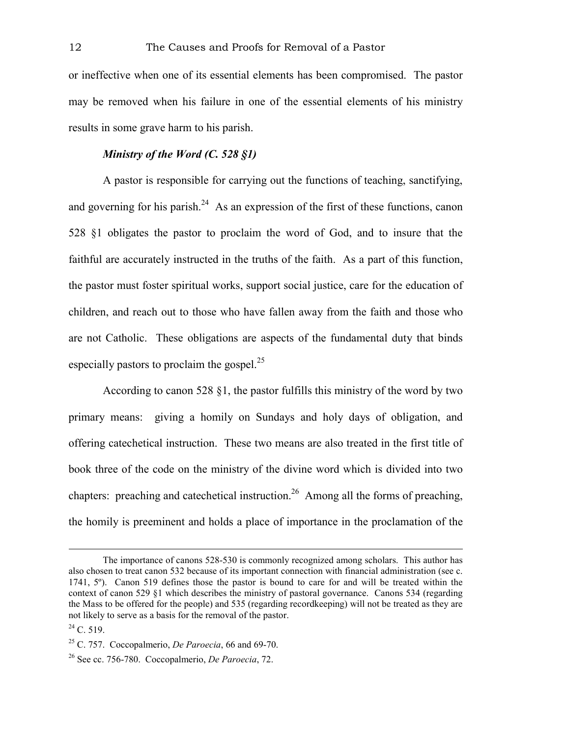or ineffective when one of its essential elements has been compromised. The pastor may be removed when his failure in one of the essential elements of his ministry results in some grave harm to his parish.

# *Ministry of the Word (C. 528 §1)*

A pastor is responsible for carrying out the functions of teaching, sanctifying, and governing for his parish. $24$  As an expression of the first of these functions, canon 528 §1 obligates the pastor to proclaim the word of God, and to insure that the faithful are accurately instructed in the truths of the faith. As a part of this function, the pastor must foster spiritual works, support social justice, care for the education of children, and reach out to those who have fallen away from the faith and those who are not Catholic. These obligations are aspects of the fundamental duty that binds especially pastors to proclaim the gospel. $^{25}$ 

According to canon 528 §1, the pastor fulfills this ministry of the word by two primary means: giving a homily on Sundays and holy days of obligation, and offering catechetical instruction. These two means are also treated in the first title of book three of the code on the ministry of the divine word which is divided into two chapters: preaching and catechetical instruction.<sup>26</sup> Among all the forms of preaching, the homily is preeminent and holds a place of importance in the proclamation of the

The importance of canons 528-530 is commonly recognized among scholars. This author has also chosen to treat canon 532 because of its important connection with financial administration (see c. 1741, 5º). Canon 519 defines those the pastor is bound to care for and will be treated within the context of canon 529 §1 which describes the ministry of pastoral governance. Canons 534 (regarding the Mass to be offered for the people) and 535 (regarding recordkeeping) will not be treated as they are not likely to serve as a basis for the removal of the pastor.

 $^{24}$  C. 519.

<sup>25</sup> C. 757. Coccopalmerio, *De Paroecia*, 66 and 69-70.

<sup>26</sup> See cc. 756-780. Coccopalmerio, *De Paroecia*, 72.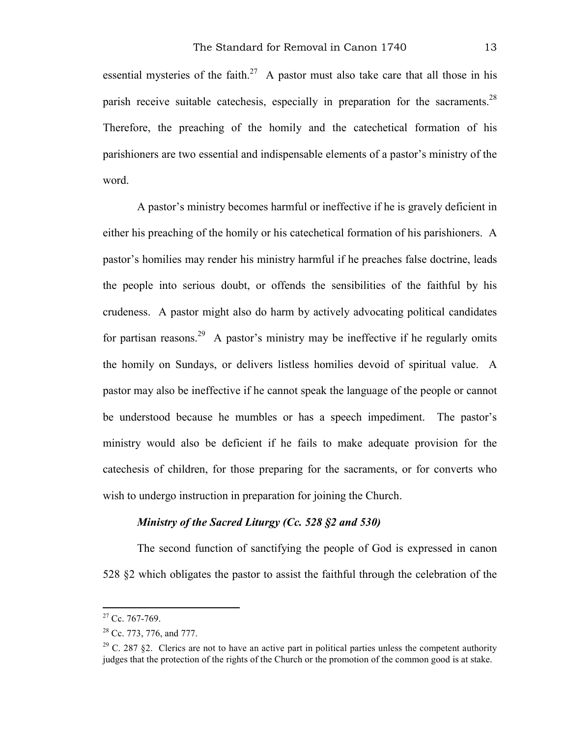essential mysteries of the faith.<sup>27</sup> A pastor must also take care that all those in his parish receive suitable catechesis, especially in preparation for the sacraments.<sup>28</sup> Therefore, the preaching of the homily and the catechetical formation of his parishioners are two essential and indispensable elements of a pastor's ministry of the word.

A pastor's ministry becomes harmful or ineffective if he is gravely deficient in either his preaching of the homily or his catechetical formation of his parishioners. A pastor's homilies may render his ministry harmful if he preaches false doctrine, leads the people into serious doubt, or offends the sensibilities of the faithful by his crudeness. A pastor might also do harm by actively advocating political candidates for partisan reasons.<sup>29</sup> A pastor's ministry may be ineffective if he regularly omits the homily on Sundays, or delivers listless homilies devoid of spiritual value. A pastor may also be ineffective if he cannot speak the language of the people or cannot be understood because he mumbles or has a speech impediment. The pastor's ministry would also be deficient if he fails to make adequate provision for the catechesis of children, for those preparing for the sacraments, or for converts who wish to undergo instruction in preparation for joining the Church.

## *Ministry of the Sacred Liturgy (Cc. 528 §2 and 530)*

The second function of sanctifying the people of God is expressed in canon 528 §2 which obligates the pastor to assist the faithful through the celebration of the

<sup>&</sup>lt;sup>27</sup> Cc. 767-769.

<sup>&</sup>lt;sup>28</sup> Cc. 773, 776, and 777.

<sup>&</sup>lt;sup>29</sup> C. 287 §2. Clerics are not to have an active part in political parties unless the competent authority judges that the protection of the rights of the Church or the promotion of the common good is at stake.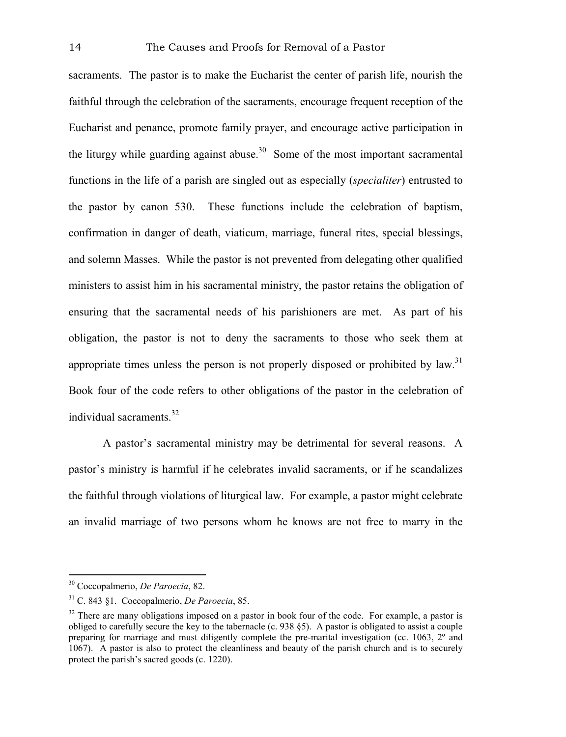sacraments. The pastor is to make the Eucharist the center of parish life, nourish the faithful through the celebration of the sacraments, encourage frequent reception of the Eucharist and penance, promote family prayer, and encourage active participation in the liturgy while guarding against abuse.<sup>30</sup> Some of the most important sacramental functions in the life of a parish are singled out as especially (*specialiter*) entrusted to the pastor by canon 530. These functions include the celebration of baptism, confirmation in danger of death, viaticum, marriage, funeral rites, special blessings, and solemn Masses. While the pastor is not prevented from delegating other qualified ministers to assist him in his sacramental ministry, the pastor retains the obligation of ensuring that the sacramental needs of his parishioners are met. As part of his obligation, the pastor is not to deny the sacraments to those who seek them at appropriate times unless the person is not properly disposed or prohibited by  $law$ <sup>31</sup> Book four of the code refers to other obligations of the pastor in the celebration of individual sacraments. $32$ 

A pastor's sacramental ministry may be detrimental for several reasons. A pastor's ministry is harmful if he celebrates invalid sacraments, or if he scandalizes the faithful through violations of liturgical law. For example, a pastor might celebrate an invalid marriage of two persons whom he knows are not free to marry in the

<sup>30</sup> Coccopalmerio, *De Paroecia*, 82.

<sup>31</sup> C. 843 §1. Coccopalmerio, *De Paroecia*, 85.

 $32$  There are many obligations imposed on a pastor in book four of the code. For example, a pastor is obliged to carefully secure the key to the tabernacle (c. 938 §5). A pastor is obligated to assist a couple preparing for marriage and must diligently complete the pre-marital investigation (cc. 1063, 2º and 1067). A pastor is also to protect the cleanliness and beauty of the parish church and is to securely protect the parish's sacred goods (c. 1220).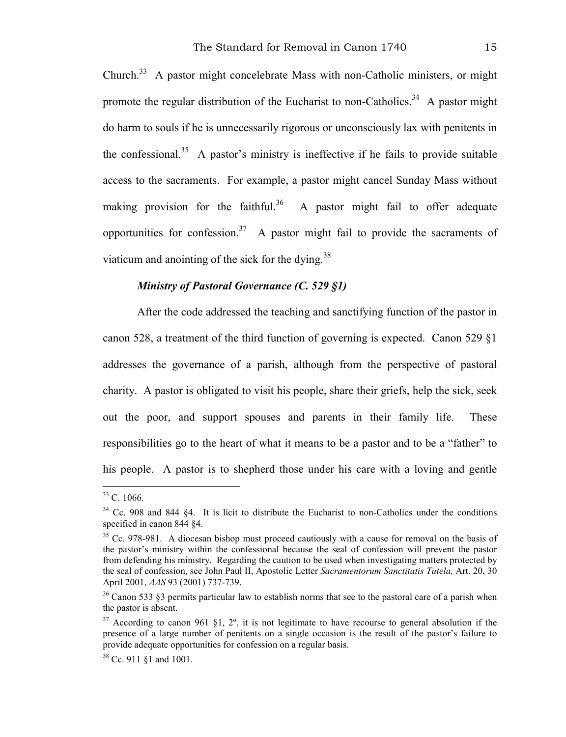Church.33 A pastor might concelebrate Mass with non-Catholic ministers, or might promote the regular distribution of the Eucharist to non-Catholics.<sup>34</sup> A pastor might do harm to souls if he is unnecessarily rigorous or unconsciously lax with penitents in the confessional.<sup>35</sup> A pastor's ministry is ineffective if he fails to provide suitable access to the sacraments. For example, a pastor might cancel Sunday Mass without making provision for the faithful.<sup>36</sup> A pastor might fail to offer adequate opportunities for confession.<sup>37</sup> A pastor might fail to provide the sacraments of viaticum and anointing of the sick for the dying.<sup>38</sup>

## *Ministry of Pastoral Governance (C. 529 §1)*

After the code addressed the teaching and sanctifying function of the pastor in canon 528, a treatment of the third function of governing is expected. Canon 529 §1 addresses the governance of a parish, although from the perspective of pastoral charity. A pastor is obligated to visit his people, share their griefs, help the sick, seek out the poor, and support spouses and parents in their family life. These responsibilities go to the heart of what it means to be a pastor and to be a "father" to his people. A pastor is to shepherd those under his care with a loving and gentle

<sup>&</sup>lt;sup>33</sup> C. 1066.

<sup>&</sup>lt;sup>34</sup> Cc. 908 and 844 §4. It is licit to distribute the Eucharist to non-Catholics under the conditions specified in canon 844 §4.

<sup>&</sup>lt;sup>35</sup> Cc. 978-981. A diocesan bishop must proceed cautiously with a cause for removal on the basis of the pastor's ministry within the confessional because the seal of confession will prevent the pastor from defending his ministry. Regarding the caution to be used when investigating matters protected by the seal of confession, see John Paul II, Apostolic Letter *Sacramentorum Sanctitatis Tutela,* Art. 20, 30 April 2001, *AAS* 93 (2001) 737-739.

<sup>&</sup>lt;sup>36</sup> Canon 533 §3 permits particular law to establish norms that see to the pastoral care of a parish when the pastor is absent.

 $37$  According to canon 961 §1,  $2^\circ$ , it is not legitimate to have recourse to general absolution if the presence of a large number of penitents on a single occasion is the result of the pastor's failure to provide adequate opportunities for confession on a regular basis.

<sup>38</sup> Cc. 911 §1 and 1001.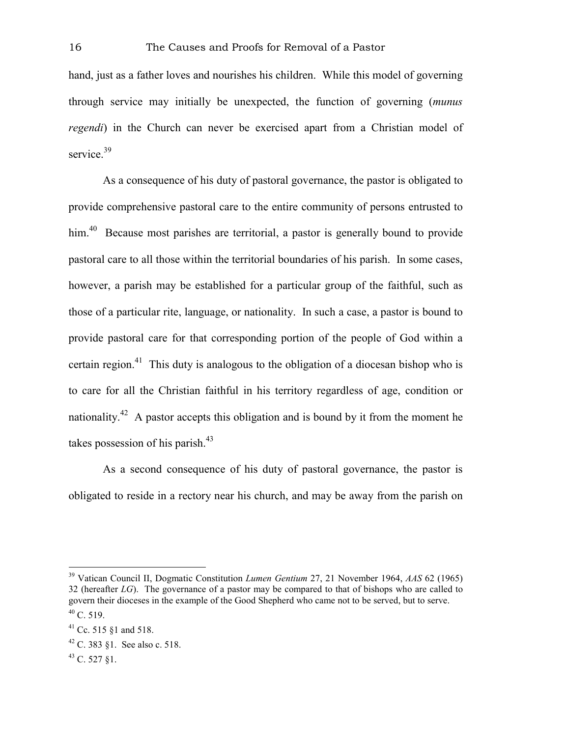hand, just as a father loves and nourishes his children. While this model of governing through service may initially be unexpected, the function of governing (*munus regendi*) in the Church can never be exercised apart from a Christian model of service.<sup>39</sup>

As a consequence of his duty of pastoral governance, the pastor is obligated to provide comprehensive pastoral care to the entire community of persons entrusted to him.<sup>40</sup> Because most parishes are territorial, a pastor is generally bound to provide pastoral care to all those within the territorial boundaries of his parish. In some cases, however, a parish may be established for a particular group of the faithful, such as those of a particular rite, language, or nationality. In such a case, a pastor is bound to provide pastoral care for that corresponding portion of the people of God within a certain region.<sup>41</sup> This duty is analogous to the obligation of a diocesan bishop who is to care for all the Christian faithful in his territory regardless of age, condition or nationality.<sup>42</sup> A pastor accepts this obligation and is bound by it from the moment he takes possession of his parish.<sup>43</sup>

As a second consequence of his duty of pastoral governance, the pastor is obligated to reside in a rectory near his church, and may be away from the parish on

<sup>39</sup> Vatican Council II, Dogmatic Constitution *Lumen Gentium* 27, 21 November 1964, *AAS* 62 (1965) 32 (hereafter *LG*). The governance of a pastor may be compared to that of bishops who are called to govern their dioceses in the example of the Good Shepherd who came not to be served, but to serve.  $40$  C. 519.

<sup>41</sup> Cc. 515 §1 and 518.

<sup>42</sup> C. 383 §1. See also c. 518.

<sup>43</sup> C. 527 §1.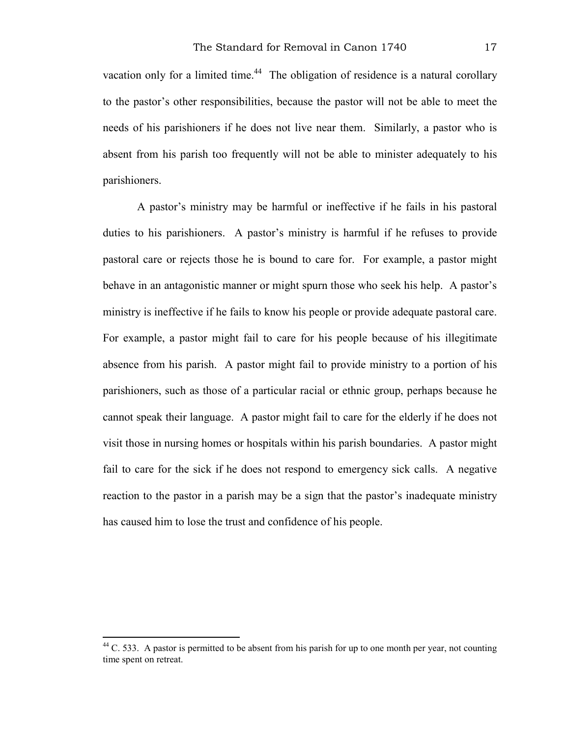vacation only for a limited time.<sup>44</sup> The obligation of residence is a natural corollary to the pastor's other responsibilities, because the pastor will not be able to meet the needs of his parishioners if he does not live near them. Similarly, a pastor who is absent from his parish too frequently will not be able to minister adequately to his parishioners.

A pastor's ministry may be harmful or ineffective if he fails in his pastoral duties to his parishioners. A pastor's ministry is harmful if he refuses to provide pastoral care or rejects those he is bound to care for. For example, a pastor might behave in an antagonistic manner or might spurn those who seek his help. A pastor's ministry is ineffective if he fails to know his people or provide adequate pastoral care. For example, a pastor might fail to care for his people because of his illegitimate absence from his parish. A pastor might fail to provide ministry to a portion of his parishioners, such as those of a particular racial or ethnic group, perhaps because he cannot speak their language. A pastor might fail to care for the elderly if he does not visit those in nursing homes or hospitals within his parish boundaries. A pastor might fail to care for the sick if he does not respond to emergency sick calls. A negative reaction to the pastor in a parish may be a sign that the pastor's inadequate ministry has caused him to lose the trust and confidence of his people.

 $^{44}$  C. 533. A pastor is permitted to be absent from his parish for up to one month per year, not counting time spent on retreat.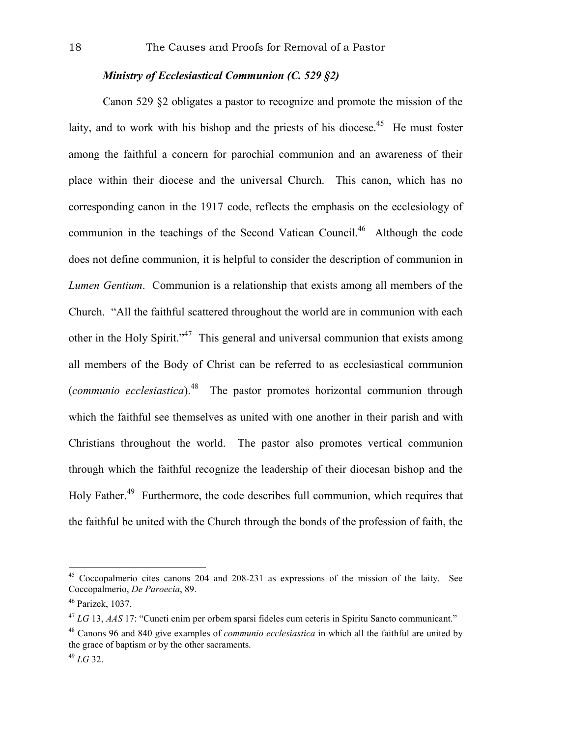# *Ministry of Ecclesiastical Communion (C. 529 §2)*

Canon 529 §2 obligates a pastor to recognize and promote the mission of the laity, and to work with his bishop and the priests of his diocese.<sup>45</sup> He must foster among the faithful a concern for parochial communion and an awareness of their place within their diocese and the universal Church. This canon, which has no corresponding canon in the 1917 code, reflects the emphasis on the ecclesiology of communion in the teachings of the Second Vatican Council.46 Although the code does not define communion, it is helpful to consider the description of communion in *Lumen Gentium*. Communion is a relationship that exists among all members of the Church. "All the faithful scattered throughout the world are in communion with each other in the Holy Spirit."<sup>47</sup> This general and universal communion that exists among all members of the Body of Christ can be referred to as ecclesiastical communion (*communio ecclesiastica*).48 The pastor promotes horizontal communion through which the faithful see themselves as united with one another in their parish and with Christians throughout the world. The pastor also promotes vertical communion through which the faithful recognize the leadership of their diocesan bishop and the Holy Father.<sup>49</sup> Furthermore, the code describes full communion, which requires that the faithful be united with the Church through the bonds of the profession of faith, the

<sup>45</sup> Coccopalmerio cites canons 204 and 208-231 as expressions of the mission of the laity. See Coccopalmerio, *De Paroecia*, 89.

<sup>46</sup> Parizek, 1037.

<sup>47</sup> *LG* 13, *AAS* 17: "Cuncti enim per orbem sparsi fideles cum ceteris in Spiritu Sancto communicant."

<sup>48</sup> Canons 96 and 840 give examples of *communio ecclesiastica* in which all the faithful are united by the grace of baptism or by the other sacraments.

<sup>49</sup> *LG* 32.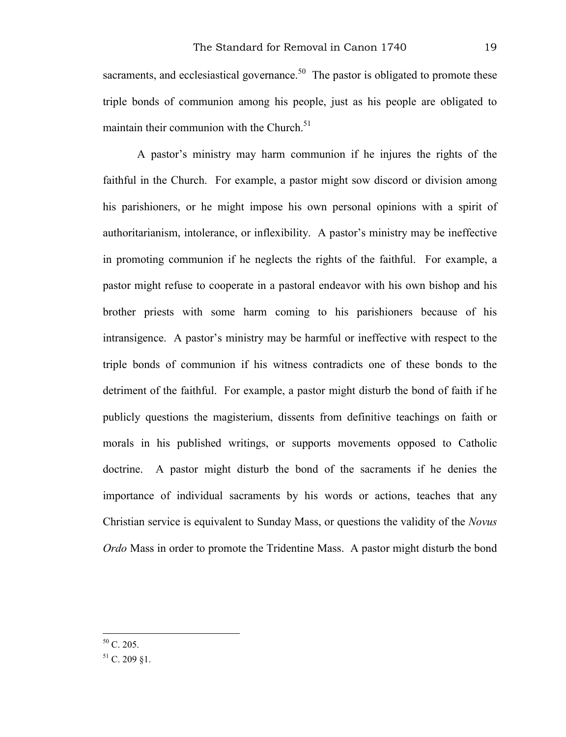sacraments, and ecclesiastical governance.<sup>50</sup> The pastor is obligated to promote these triple bonds of communion among his people, just as his people are obligated to maintain their communion with the Church. $51$ 

A pastor's ministry may harm communion if he injures the rights of the faithful in the Church. For example, a pastor might sow discord or division among his parishioners, or he might impose his own personal opinions with a spirit of authoritarianism, intolerance, or inflexibility. A pastor's ministry may be ineffective in promoting communion if he neglects the rights of the faithful. For example, a pastor might refuse to cooperate in a pastoral endeavor with his own bishop and his brother priests with some harm coming to his parishioners because of his intransigence. A pastor's ministry may be harmful or ineffective with respect to the triple bonds of communion if his witness contradicts one of these bonds to the detriment of the faithful. For example, a pastor might disturb the bond of faith if he publicly questions the magisterium, dissents from definitive teachings on faith or morals in his published writings, or supports movements opposed to Catholic doctrine. A pastor might disturb the bond of the sacraments if he denies the importance of individual sacraments by his words or actions, teaches that any Christian service is equivalent to Sunday Mass, or questions the validity of the *Novus Ordo* Mass in order to promote the Tridentine Mass. A pastor might disturb the bond

 $50$  C. 205.

 $51$  C. 209  $$1$ .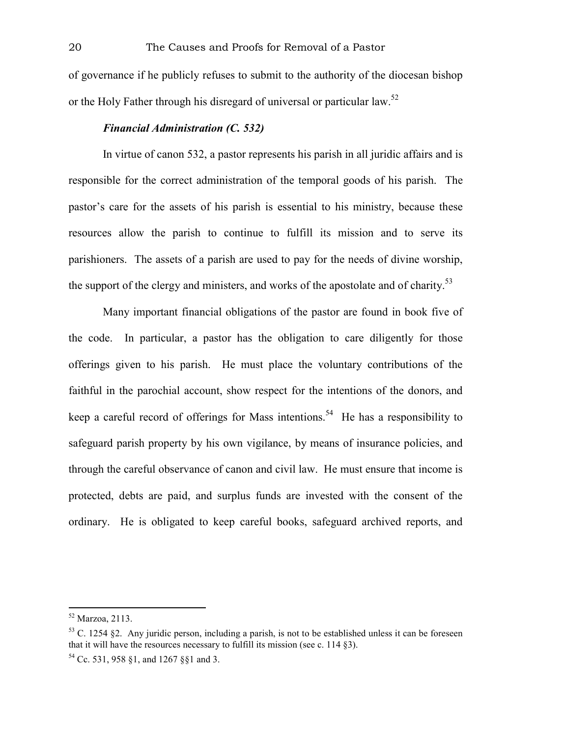of governance if he publicly refuses to submit to the authority of the diocesan bishop or the Holy Father through his disregard of universal or particular law.<sup>52</sup>

#### *Financial Administration (C. 532)*

In virtue of canon 532, a pastor represents his parish in all juridic affairs and is responsible for the correct administration of the temporal goods of his parish. The pastor's care for the assets of his parish is essential to his ministry, because these resources allow the parish to continue to fulfill its mission and to serve its parishioners. The assets of a parish are used to pay for the needs of divine worship, the support of the clergy and ministers, and works of the apostolate and of charity.<sup>53</sup>

Many important financial obligations of the pastor are found in book five of the code. In particular, a pastor has the obligation to care diligently for those offerings given to his parish. He must place the voluntary contributions of the faithful in the parochial account, show respect for the intentions of the donors, and keep a careful record of offerings for Mass intentions.<sup>54</sup> He has a responsibility to safeguard parish property by his own vigilance, by means of insurance policies, and through the careful observance of canon and civil law. He must ensure that income is protected, debts are paid, and surplus funds are invested with the consent of the ordinary. He is obligated to keep careful books, safeguard archived reports, and

<sup>52</sup> Marzoa, 2113.

 $53$  C. 1254 §2. Any juridic person, including a parish, is not to be established unless it can be foreseen that it will have the resources necessary to fulfill its mission (see c. 114 §3).

<sup>54</sup> Cc. 531, 958 §1, and 1267 §§1 and 3.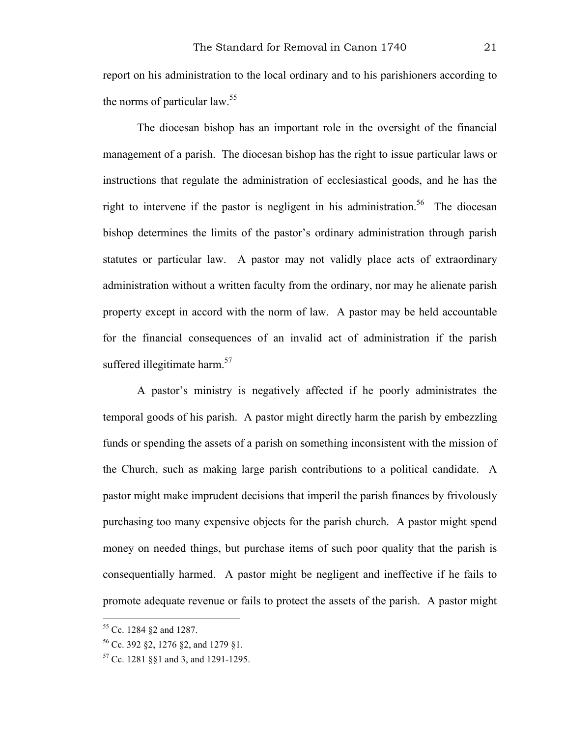report on his administration to the local ordinary and to his parishioners according to the norms of particular law.<sup>55</sup>

The diocesan bishop has an important role in the oversight of the financial management of a parish. The diocesan bishop has the right to issue particular laws or instructions that regulate the administration of ecclesiastical goods, and he has the right to intervene if the pastor is negligent in his administration.<sup>56</sup> The diocesan bishop determines the limits of the pastor's ordinary administration through parish statutes or particular law. A pastor may not validly place acts of extraordinary administration without a written faculty from the ordinary, nor may he alienate parish property except in accord with the norm of law. A pastor may be held accountable for the financial consequences of an invalid act of administration if the parish suffered illegitimate harm. $57$ 

A pastor's ministry is negatively affected if he poorly administrates the temporal goods of his parish. A pastor might directly harm the parish by embezzling funds or spending the assets of a parish on something inconsistent with the mission of the Church, such as making large parish contributions to a political candidate. A pastor might make imprudent decisions that imperil the parish finances by frivolously purchasing too many expensive objects for the parish church. A pastor might spend money on needed things, but purchase items of such poor quality that the parish is consequentially harmed. A pastor might be negligent and ineffective if he fails to promote adequate revenue or fails to protect the assets of the parish. A pastor might

<sup>55</sup> Cc. 1284 §2 and 1287.

<sup>56</sup> Cc. 392 §2, 1276 §2, and 1279 §1.

<sup>57</sup> Cc. 1281 §§1 and 3, and 1291-1295.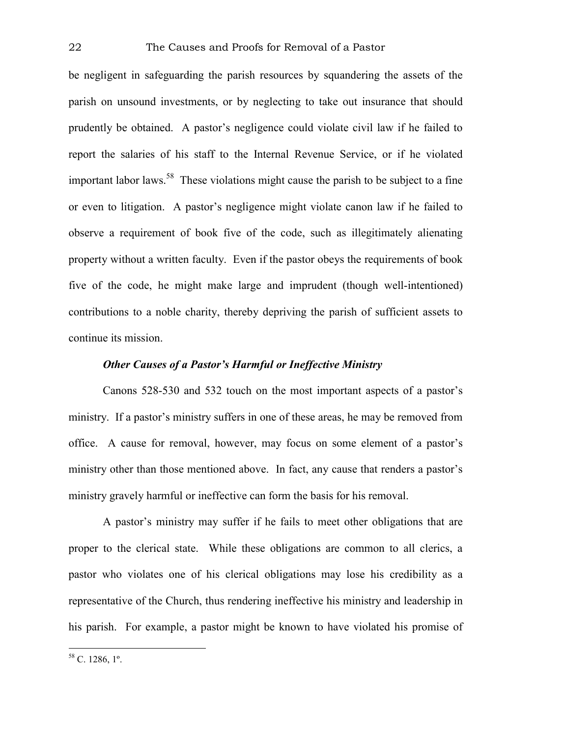be negligent in safeguarding the parish resources by squandering the assets of the parish on unsound investments, or by neglecting to take out insurance that should prudently be obtained. A pastor's negligence could violate civil law if he failed to report the salaries of his staff to the Internal Revenue Service, or if he violated important labor laws.<sup>58</sup> These violations might cause the parish to be subject to a fine or even to litigation. A pastor's negligence might violate canon law if he failed to observe a requirement of book five of the code, such as illegitimately alienating property without a written faculty. Even if the pastor obeys the requirements of book five of the code, he might make large and imprudent (though well-intentioned) contributions to a noble charity, thereby depriving the parish of sufficient assets to continue its mission.

# *Other Causes of a Pastor's Harmful or Ineffective Ministry*

Canons 528-530 and 532 touch on the most important aspects of a pastor's ministry. If a pastor's ministry suffers in one of these areas, he may be removed from office. A cause for removal, however, may focus on some element of a pastor's ministry other than those mentioned above. In fact, any cause that renders a pastor's ministry gravely harmful or ineffective can form the basis for his removal.

A pastor's ministry may suffer if he fails to meet other obligations that are proper to the clerical state. While these obligations are common to all clerics, a pastor who violates one of his clerical obligations may lose his credibility as a representative of the Church, thus rendering ineffective his ministry and leadership in his parish. For example, a pastor might be known to have violated his promise of

 $58$  C. 1286,  $1^\circ$ .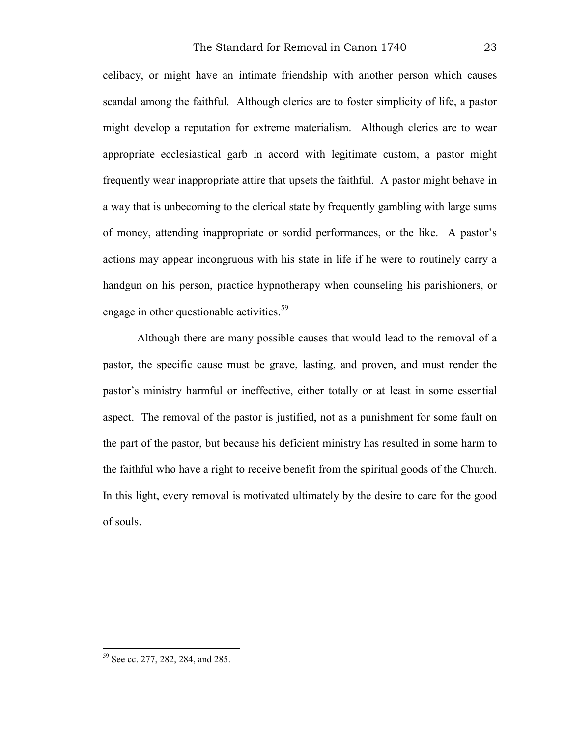celibacy, or might have an intimate friendship with another person which causes scandal among the faithful. Although clerics are to foster simplicity of life, a pastor might develop a reputation for extreme materialism. Although clerics are to wear appropriate ecclesiastical garb in accord with legitimate custom, a pastor might frequently wear inappropriate attire that upsets the faithful. A pastor might behave in a way that is unbecoming to the clerical state by frequently gambling with large sums of money, attending inappropriate or sordid performances, or the like. A pastor's actions may appear incongruous with his state in life if he were to routinely carry a handgun on his person, practice hypnotherapy when counseling his parishioners, or engage in other questionable activities.<sup>59</sup>

Although there are many possible causes that would lead to the removal of a pastor, the specific cause must be grave, lasting, and proven, and must render the pastor's ministry harmful or ineffective, either totally or at least in some essential aspect. The removal of the pastor is justified, not as a punishment for some fault on the part of the pastor, but because his deficient ministry has resulted in some harm to the faithful who have a right to receive benefit from the spiritual goods of the Church. In this light, every removal is motivated ultimately by the desire to care for the good of souls.

<sup>59</sup> See cc. 277, 282, 284, and 285.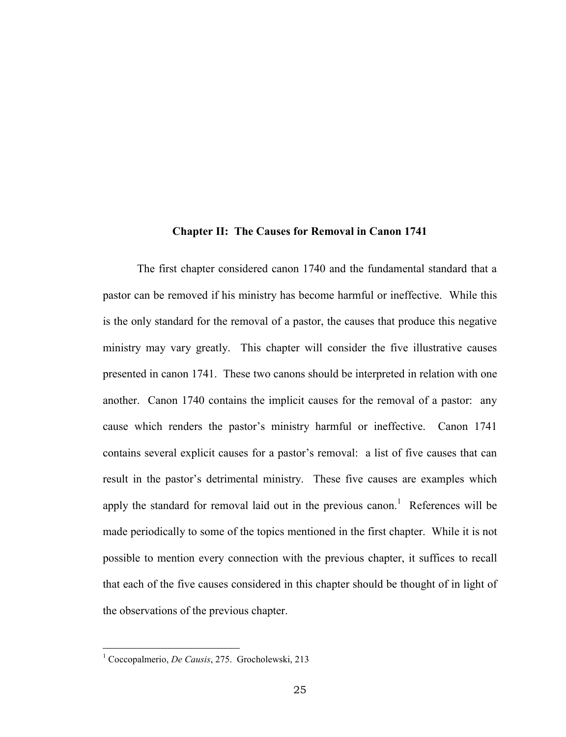#### **Chapter II: The Causes for Removal in Canon 1741**

The first chapter considered canon 1740 and the fundamental standard that a pastor can be removed if his ministry has become harmful or ineffective. While this is the only standard for the removal of a pastor, the causes that produce this negative ministry may vary greatly. This chapter will consider the five illustrative causes presented in canon 1741. These two canons should be interpreted in relation with one another. Canon 1740 contains the implicit causes for the removal of a pastor: any cause which renders the pastor's ministry harmful or ineffective. Canon 1741 contains several explicit causes for a pastor's removal: a list of five causes that can result in the pastor's detrimental ministry. These five causes are examples which apply the standard for removal laid out in the previous canon.<sup>1</sup> References will be made periodically to some of the topics mentioned in the first chapter. While it is not possible to mention every connection with the previous chapter, it suffices to recall that each of the five causes considered in this chapter should be thought of in light of the observations of the previous chapter.

<sup>1</sup> Coccopalmerio, *De Causis*, 275. Grocholewski, 213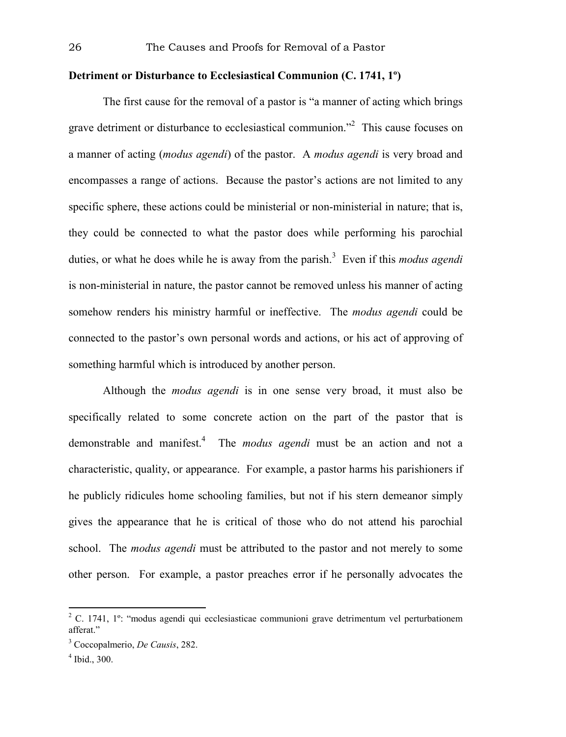# **Detriment or Disturbance to Ecclesiastical Communion (C. 1741, 1º)**

The first cause for the removal of a pastor is "a manner of acting which brings grave detriment or disturbance to ecclesiastical communion."<sup>2</sup> This cause focuses on a manner of acting (*modus agendi*) of the pastor. A *modus agendi* is very broad and encompasses a range of actions. Because the pastor's actions are not limited to any specific sphere, these actions could be ministerial or non-ministerial in nature; that is, they could be connected to what the pastor does while performing his parochial duties, or what he does while he is away from the parish.<sup>3</sup> Even if this *modus agendi* is non-ministerial in nature, the pastor cannot be removed unless his manner of acting somehow renders his ministry harmful or ineffective. The *modus agendi* could be connected to the pastor's own personal words and actions, or his act of approving of something harmful which is introduced by another person.

Although the *modus agendi* is in one sense very broad, it must also be specifically related to some concrete action on the part of the pastor that is demonstrable and manifest.<sup>4</sup> The *modus agendi* must be an action and not a characteristic, quality, or appearance. For example, a pastor harms his parishioners if he publicly ridicules home schooling families, but not if his stern demeanor simply gives the appearance that he is critical of those who do not attend his parochial school. The *modus agendi* must be attributed to the pastor and not merely to some other person. For example, a pastor preaches error if he personally advocates the

<sup>&</sup>lt;sup>2</sup> C. 1741, 1<sup>o</sup>: "modus agendi qui ecclesiasticae communioni grave detrimentum vel perturbationem afferat<sup>"</sup>

<sup>3</sup> Coccopalmerio, *De Causis*, 282.

<sup>4</sup> Ibid., 300.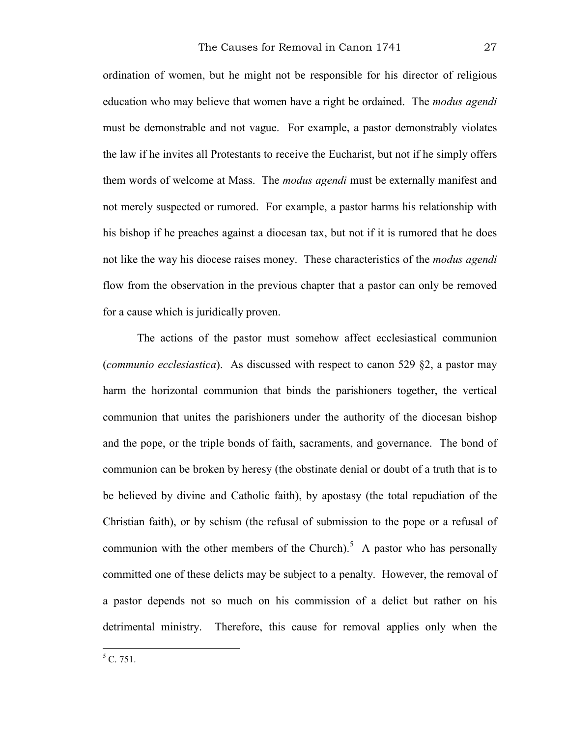ordination of women, but he might not be responsible for his director of religious education who may believe that women have a right be ordained. The *modus agendi*  must be demonstrable and not vague. For example, a pastor demonstrably violates the law if he invites all Protestants to receive the Eucharist, but not if he simply offers them words of welcome at Mass. The *modus agendi* must be externally manifest and not merely suspected or rumored. For example, a pastor harms his relationship with his bishop if he preaches against a diocesan tax, but not if it is rumored that he does not like the way his diocese raises money. These characteristics of the *modus agendi* flow from the observation in the previous chapter that a pastor can only be removed for a cause which is juridically proven.

The actions of the pastor must somehow affect ecclesiastical communion (*communio ecclesiastica*). As discussed with respect to canon 529 §2, a pastor may harm the horizontal communion that binds the parishioners together, the vertical communion that unites the parishioners under the authority of the diocesan bishop and the pope, or the triple bonds of faith, sacraments, and governance. The bond of communion can be broken by heresy (the obstinate denial or doubt of a truth that is to be believed by divine and Catholic faith), by apostasy (the total repudiation of the Christian faith), or by schism (the refusal of submission to the pope or a refusal of communion with the other members of the Church).<sup>5</sup> A pastor who has personally committed one of these delicts may be subject to a penalty. However, the removal of a pastor depends not so much on his commission of a delict but rather on his detrimental ministry. Therefore, this cause for removal applies only when the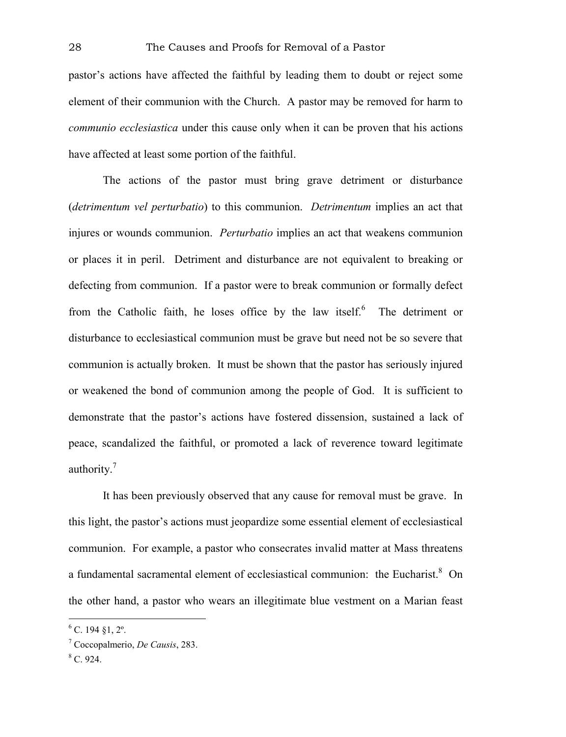pastor's actions have affected the faithful by leading them to doubt or reject some element of their communion with the Church. A pastor may be removed for harm to *communio ecclesiastica* under this cause only when it can be proven that his actions have affected at least some portion of the faithful.

The actions of the pastor must bring grave detriment or disturbance (*detrimentum vel perturbatio*) to this communion. *Detrimentum* implies an act that injures or wounds communion. *Perturbatio* implies an act that weakens communion or places it in peril. Detriment and disturbance are not equivalent to breaking or defecting from communion. If a pastor were to break communion or formally defect from the Catholic faith, he loses office by the law itself.<sup>6</sup> The detriment or disturbance to ecclesiastical communion must be grave but need not be so severe that communion is actually broken. It must be shown that the pastor has seriously injured or weakened the bond of communion among the people of God. It is sufficient to demonstrate that the pastor's actions have fostered dissension, sustained a lack of peace, scandalized the faithful, or promoted a lack of reverence toward legitimate authority.<sup>7</sup>

It has been previously observed that any cause for removal must be grave. In this light, the pastor's actions must jeopardize some essential element of ecclesiastical communion. For example, a pastor who consecrates invalid matter at Mass threatens a fundamental sacramental element of ecclesiastical communion: the Eucharist.<sup>8</sup> On the other hand, a pastor who wears an illegitimate blue vestment on a Marian feast

 $^{6}$  C. 194 §1, 2°.

<sup>7</sup> Coccopalmerio, *De Causis*, 283.

 $8$  C. 924.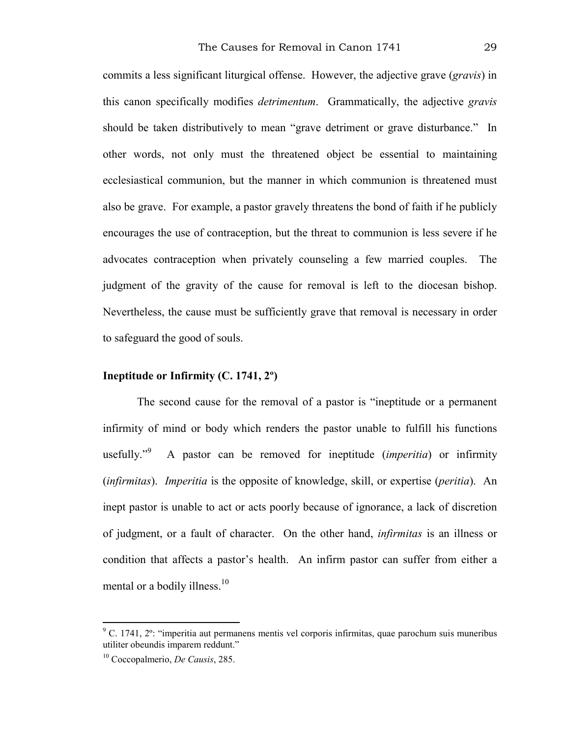commits a less significant liturgical offense. However, the adjective grave (*gravis*) in this canon specifically modifies *detrimentum*. Grammatically, the adjective *gravis*  should be taken distributively to mean "grave detriment or grave disturbance." In other words, not only must the threatened object be essential to maintaining ecclesiastical communion, but the manner in which communion is threatened must also be grave. For example, a pastor gravely threatens the bond of faith if he publicly encourages the use of contraception, but the threat to communion is less severe if he advocates contraception when privately counseling a few married couples. The judgment of the gravity of the cause for removal is left to the diocesan bishop. Nevertheless, the cause must be sufficiently grave that removal is necessary in order to safeguard the good of souls.

#### **Ineptitude or Infirmity (C. 1741, 2º)**

The second cause for the removal of a pastor is "ineptitude or a permanent infirmity of mind or body which renders the pastor unable to fulfill his functions usefully."<sup>9</sup> A pastor can be removed for ineptitude (*imperitia*) or infirmity (*infirmitas*). *Imperitia* is the opposite of knowledge, skill, or expertise (*peritia*). An inept pastor is unable to act or acts poorly because of ignorance, a lack of discretion of judgment, or a fault of character. On the other hand, *infirmitas* is an illness or condition that affects a pastor's health. An infirm pastor can suffer from either a mental or a bodily illness.<sup>10</sup>

<sup>&</sup>lt;sup>9</sup> C. 1741, 2<sup>o</sup>: "imperitia aut permanens mentis vel corporis infirmitas, quae parochum suis muneribus utiliter obeundis imparem reddunt."

<sup>10</sup> Coccopalmerio, *De Causis*, 285.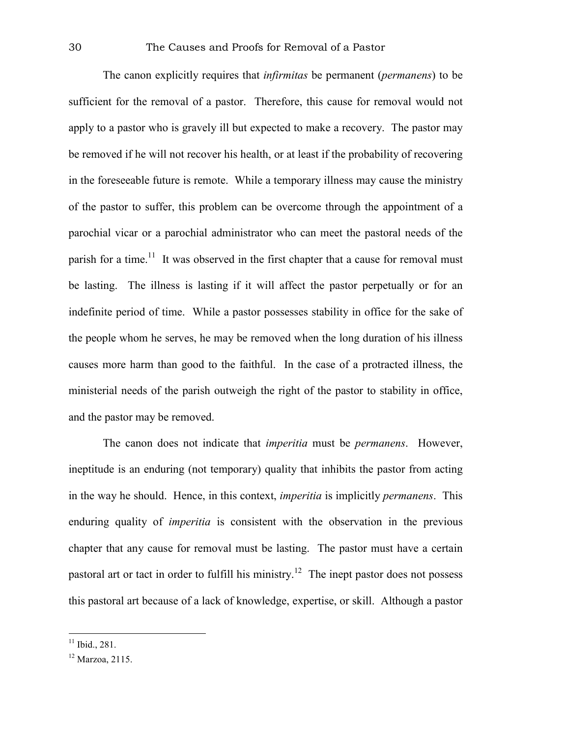The canon explicitly requires that *infirmitas* be permanent (*permanens*) to be sufficient for the removal of a pastor. Therefore, this cause for removal would not apply to a pastor who is gravely ill but expected to make a recovery. The pastor may be removed if he will not recover his health, or at least if the probability of recovering in the foreseeable future is remote. While a temporary illness may cause the ministry of the pastor to suffer, this problem can be overcome through the appointment of a parochial vicar or a parochial administrator who can meet the pastoral needs of the parish for a time.<sup>11</sup> It was observed in the first chapter that a cause for removal must be lasting. The illness is lasting if it will affect the pastor perpetually or for an indefinite period of time. While a pastor possesses stability in office for the sake of the people whom he serves, he may be removed when the long duration of his illness causes more harm than good to the faithful. In the case of a protracted illness, the ministerial needs of the parish outweigh the right of the pastor to stability in office, and the pastor may be removed.

The canon does not indicate that *imperitia* must be *permanens*. However, ineptitude is an enduring (not temporary) quality that inhibits the pastor from acting in the way he should. Hence, in this context, *imperitia* is implicitly *permanens*. This enduring quality of *imperitia* is consistent with the observation in the previous chapter that any cause for removal must be lasting. The pastor must have a certain pastoral art or tact in order to fulfill his ministry.12 The inept pastor does not possess this pastoral art because of a lack of knowledge, expertise, or skill. Although a pastor

 $11$  Ibid., 281.

<sup>12</sup> Marzoa, 2115.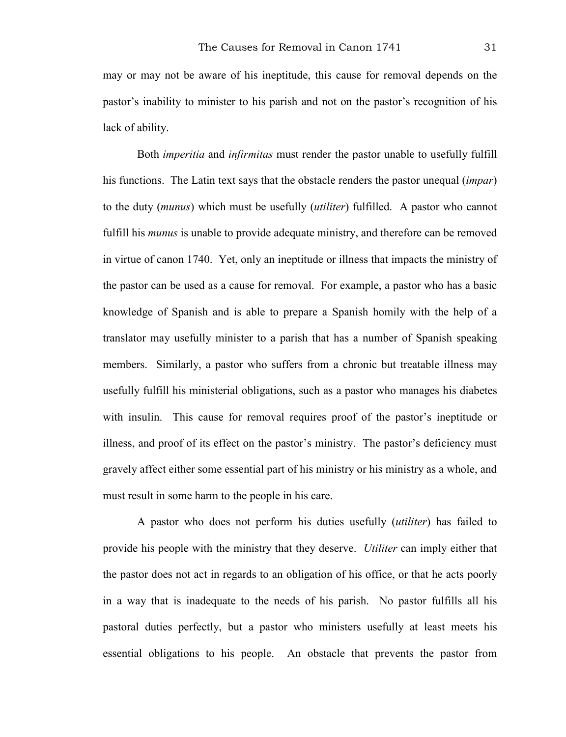may or may not be aware of his ineptitude, this cause for removal depends on the pastor's inability to minister to his parish and not on the pastor's recognition of his lack of ability.

Both *imperitia* and *infirmitas* must render the pastor unable to usefully fulfill his functions. The Latin text says that the obstacle renders the pastor unequal (*impar*) to the duty (*munus*) which must be usefully (*utiliter*) fulfilled. A pastor who cannot fulfill his *munus* is unable to provide adequate ministry, and therefore can be removed in virtue of canon 1740. Yet, only an ineptitude or illness that impacts the ministry of the pastor can be used as a cause for removal. For example, a pastor who has a basic knowledge of Spanish and is able to prepare a Spanish homily with the help of a translator may usefully minister to a parish that has a number of Spanish speaking members. Similarly, a pastor who suffers from a chronic but treatable illness may usefully fulfill his ministerial obligations, such as a pastor who manages his diabetes with insulin. This cause for removal requires proof of the pastor's ineptitude or illness, and proof of its effect on the pastor's ministry. The pastor's deficiency must gravely affect either some essential part of his ministry or his ministry as a whole, and must result in some harm to the people in his care.

A pastor who does not perform his duties usefully (*utiliter*) has failed to provide his people with the ministry that they deserve. *Utiliter* can imply either that the pastor does not act in regards to an obligation of his office, or that he acts poorly in a way that is inadequate to the needs of his parish. No pastor fulfills all his pastoral duties perfectly, but a pastor who ministers usefully at least meets his essential obligations to his people. An obstacle that prevents the pastor from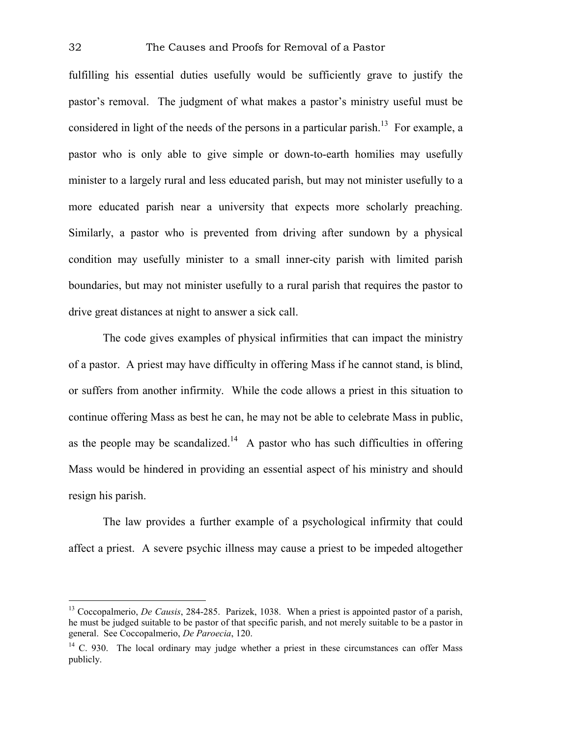fulfilling his essential duties usefully would be sufficiently grave to justify the pastor's removal. The judgment of what makes a pastor's ministry useful must be considered in light of the needs of the persons in a particular parish.<sup>13</sup> For example, a pastor who is only able to give simple or down-to-earth homilies may usefully minister to a largely rural and less educated parish, but may not minister usefully to a more educated parish near a university that expects more scholarly preaching. Similarly, a pastor who is prevented from driving after sundown by a physical condition may usefully minister to a small inner-city parish with limited parish boundaries, but may not minister usefully to a rural parish that requires the pastor to drive great distances at night to answer a sick call.

The code gives examples of physical infirmities that can impact the ministry of a pastor. A priest may have difficulty in offering Mass if he cannot stand, is blind, or suffers from another infirmity. While the code allows a priest in this situation to continue offering Mass as best he can, he may not be able to celebrate Mass in public, as the people may be scandalized.<sup>14</sup> A pastor who has such difficulties in offering Mass would be hindered in providing an essential aspect of his ministry and should resign his parish.

The law provides a further example of a psychological infirmity that could affect a priest. A severe psychic illness may cause a priest to be impeded altogether

<sup>&</sup>lt;sup>13</sup> Coccopalmerio, *De Causis*, 284-285. Parizek, 1038. When a priest is appointed pastor of a parish, he must be judged suitable to be pastor of that specific parish, and not merely suitable to be a pastor in general. See Coccopalmerio, *De Paroecia*, 120.

 $14$  C. 930. The local ordinary may judge whether a priest in these circumstances can offer Mass publicly.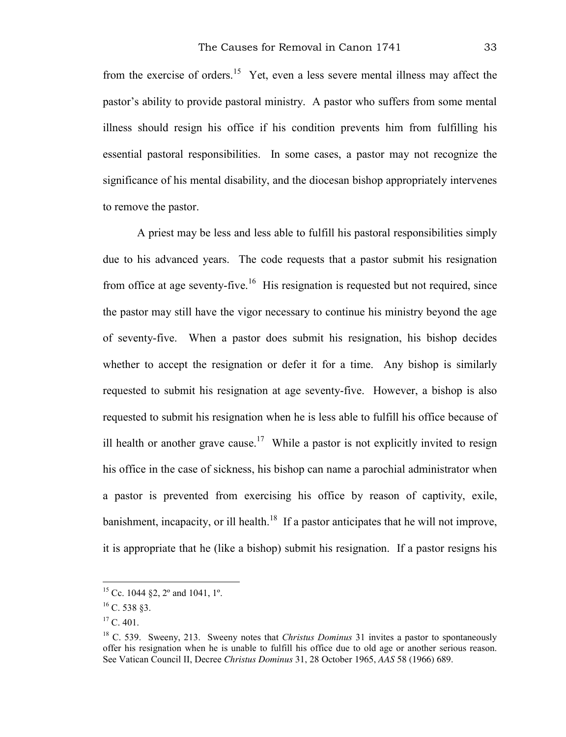from the exercise of orders.15 Yet, even a less severe mental illness may affect the pastor's ability to provide pastoral ministry. A pastor who suffers from some mental illness should resign his office if his condition prevents him from fulfilling his essential pastoral responsibilities. In some cases, a pastor may not recognize the significance of his mental disability, and the diocesan bishop appropriately intervenes to remove the pastor.

A priest may be less and less able to fulfill his pastoral responsibilities simply due to his advanced years. The code requests that a pastor submit his resignation from office at age seventy-five.<sup>16</sup> His resignation is requested but not required, since the pastor may still have the vigor necessary to continue his ministry beyond the age of seventy-five. When a pastor does submit his resignation, his bishop decides whether to accept the resignation or defer it for a time. Any bishop is similarly requested to submit his resignation at age seventy-five. However, a bishop is also requested to submit his resignation when he is less able to fulfill his office because of ill health or another grave cause.<sup>17</sup> While a pastor is not explicitly invited to resign his office in the case of sickness, his bishop can name a parochial administrator when a pastor is prevented from exercising his office by reason of captivity, exile, banishment, incapacity, or ill health.<sup>18</sup> If a pastor anticipates that he will not improve, it is appropriate that he (like a bishop) submit his resignation. If a pastor resigns his

<sup>&</sup>lt;sup>15</sup> Cc. 1044 §2, 2° and 1041, 1°.

 $^{16}$  C. 538 §3.

 $^{17}$  C. 401.

<sup>&</sup>lt;sup>18</sup> C. 539. Sweeny, 213. Sweeny notes that *Christus Dominus* 31 invites a pastor to spontaneously offer his resignation when he is unable to fulfill his office due to old age or another serious reason. See Vatican Council II, Decree *Christus Dominus* 31, 28 October 1965, *AAS* 58 (1966) 689.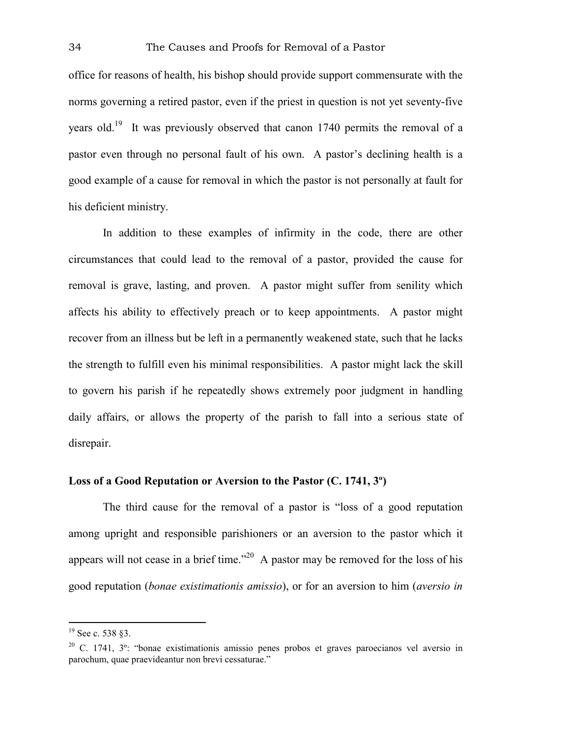office for reasons of health, his bishop should provide support commensurate with the norms governing a retired pastor, even if the priest in question is not yet seventy-five years old.19 It was previously observed that canon 1740 permits the removal of a pastor even through no personal fault of his own. A pastor's declining health is a good example of a cause for removal in which the pastor is not personally at fault for his deficient ministry.

In addition to these examples of infirmity in the code, there are other circumstances that could lead to the removal of a pastor, provided the cause for removal is grave, lasting, and proven. A pastor might suffer from senility which affects his ability to effectively preach or to keep appointments. A pastor might recover from an illness but be left in a permanently weakened state, such that he lacks the strength to fulfill even his minimal responsibilities. A pastor might lack the skill to govern his parish if he repeatedly shows extremely poor judgment in handling daily affairs, or allows the property of the parish to fall into a serious state of disrepair.

# **Loss of a Good Reputation or Aversion to the Pastor (C. 1741, 3º)**

The third cause for the removal of a pastor is "loss of a good reputation among upright and responsible parishioners or an aversion to the pastor which it appears will not cease in a brief time."<sup>20</sup> A pastor may be removed for the loss of his good reputation (*bonae existimationis amissio*), or for an aversion to him (*aversio in* 

<sup>&</sup>lt;sup>19</sup> See c. 538 §3.

 $20$  C. 1741,  $3^{\circ}$ : "bonae existimationis amissio penes probos et graves paroecianos vel aversio in parochum, quae praevideantur non brevi cessaturae."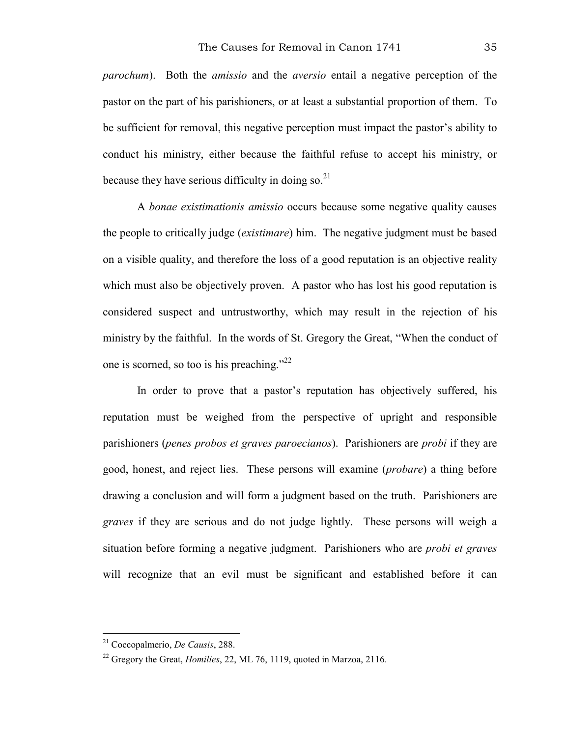*parochum*). Both the *amissio* and the *aversio* entail a negative perception of the pastor on the part of his parishioners, or at least a substantial proportion of them. To be sufficient for removal, this negative perception must impact the pastor's ability to conduct his ministry, either because the faithful refuse to accept his ministry, or because they have serious difficulty in doing so. $^{21}$ 

A *bonae existimationis amissio* occurs because some negative quality causes the people to critically judge (*existimare*) him. The negative judgment must be based on a visible quality, and therefore the loss of a good reputation is an objective reality which must also be objectively proven. A pastor who has lost his good reputation is considered suspect and untrustworthy, which may result in the rejection of his ministry by the faithful. In the words of St. Gregory the Great, "When the conduct of one is scorned, so too is his preaching." $^{22}$ 

In order to prove that a pastor's reputation has objectively suffered, his reputation must be weighed from the perspective of upright and responsible parishioners (*penes probos et graves paroecianos*). Parishioners are *probi* if they are good, honest, and reject lies. These persons will examine (*probare*) a thing before drawing a conclusion and will form a judgment based on the truth. Parishioners are *graves* if they are serious and do not judge lightly. These persons will weigh a situation before forming a negative judgment. Parishioners who are *probi et graves* will recognize that an evil must be significant and established before it can

<sup>21</sup> Coccopalmerio, *De Causis*, 288.

<sup>&</sup>lt;sup>22</sup> Gregory the Great, *Homilies*, 22, ML 76, 1119, quoted in Marzoa, 2116.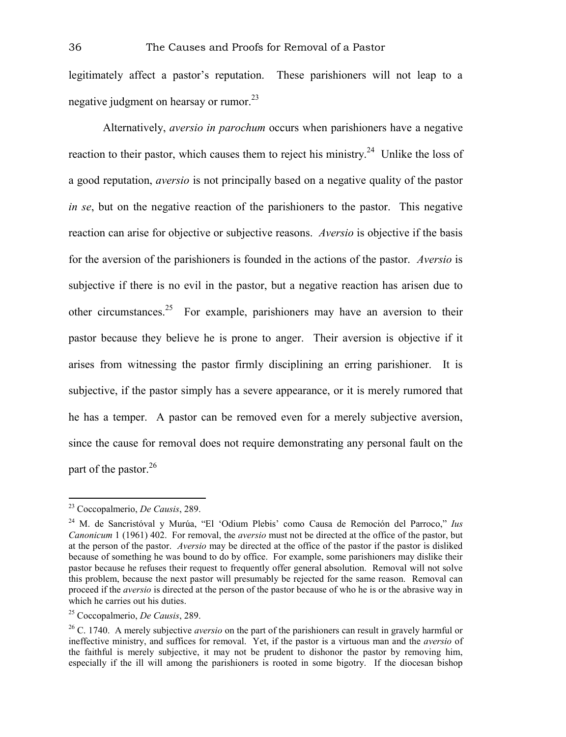legitimately affect a pastor's reputation. These parishioners will not leap to a negative judgment on hearsay or rumor.<sup>23</sup>

Alternatively, *aversio in parochum* occurs when parishioners have a negative reaction to their pastor, which causes them to reject his ministry.<sup>24</sup> Unlike the loss of a good reputation, *aversio* is not principally based on a negative quality of the pastor *in se*, but on the negative reaction of the parishioners to the pastor. This negative reaction can arise for objective or subjective reasons. *Aversio* is objective if the basis for the aversion of the parishioners is founded in the actions of the pastor. *Aversio* is subjective if there is no evil in the pastor, but a negative reaction has arisen due to other circumstances.<sup>25</sup> For example, parishioners may have an aversion to their pastor because they believe he is prone to anger. Their aversion is objective if it arises from witnessing the pastor firmly disciplining an erring parishioner. It is subjective, if the pastor simply has a severe appearance, or it is merely rumored that he has a temper. A pastor can be removed even for a merely subjective aversion, since the cause for removal does not require demonstrating any personal fault on the part of the pastor.<sup>26</sup>

<sup>23</sup> Coccopalmerio, *De Causis*, 289.

<sup>24</sup> M. de Sancristóval y Murúa, "El 'Odium Plebis' como Causa de Remoción del Parroco," *Ius Canonicum* 1 (1961) 402. For removal, the *aversio* must not be directed at the office of the pastor, but at the person of the pastor. *Aversio* may be directed at the office of the pastor if the pastor is disliked because of something he was bound to do by office. For example, some parishioners may dislike their pastor because he refuses their request to frequently offer general absolution. Removal will not solve this problem, because the next pastor will presumably be rejected for the same reason. Removal can proceed if the *aversio* is directed at the person of the pastor because of who he is or the abrasive way in which he carries out his duties.

<sup>25</sup> Coccopalmerio, *De Causis*, 289.

<sup>26</sup> C. 1740. A merely subjective *aversio* on the part of the parishioners can result in gravely harmful or ineffective ministry, and suffices for removal. Yet, if the pastor is a virtuous man and the *aversio* of the faithful is merely subjective, it may not be prudent to dishonor the pastor by removing him, especially if the ill will among the parishioners is rooted in some bigotry. If the diocesan bishop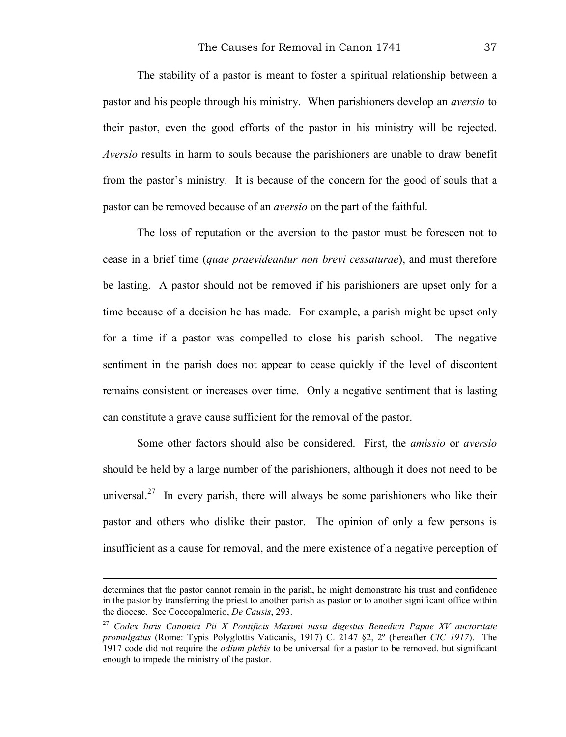The stability of a pastor is meant to foster a spiritual relationship between a pastor and his people through his ministry. When parishioners develop an *aversio* to their pastor, even the good efforts of the pastor in his ministry will be rejected. *Aversio* results in harm to souls because the parishioners are unable to draw benefit from the pastor's ministry. It is because of the concern for the good of souls that a pastor can be removed because of an *aversio* on the part of the faithful.

The loss of reputation or the aversion to the pastor must be foreseen not to cease in a brief time (*quae praevideantur non brevi cessaturae*), and must therefore be lasting. A pastor should not be removed if his parishioners are upset only for a time because of a decision he has made. For example, a parish might be upset only for a time if a pastor was compelled to close his parish school. The negative sentiment in the parish does not appear to cease quickly if the level of discontent remains consistent or increases over time. Only a negative sentiment that is lasting can constitute a grave cause sufficient for the removal of the pastor.

Some other factors should also be considered. First, the *amissio* or *aversio* should be held by a large number of the parishioners, although it does not need to be universal.<sup>27</sup> In every parish, there will always be some parishioners who like their pastor and others who dislike their pastor. The opinion of only a few persons is insufficient as a cause for removal, and the mere existence of a negative perception of

determines that the pastor cannot remain in the parish, he might demonstrate his trust and confidence in the pastor by transferring the priest to another parish as pastor or to another significant office within the diocese. See Coccopalmerio, *De Causis*, 293.

<sup>27</sup> *Codex Iuris Canonici Pii X Pontificis Maximi iussu digestus Benedicti Papae XV auctoritate promulgatus* (Rome: Typis Polyglottis Vaticanis, 1917) C. 2147 §2, 2º (hereafter *CIC 1917*). The 1917 code did not require the *odium plebis* to be universal for a pastor to be removed, but significant enough to impede the ministry of the pastor.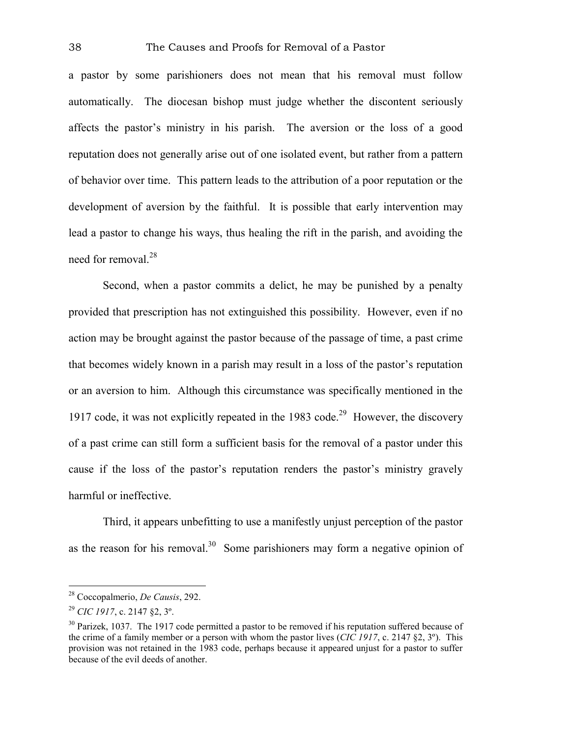a pastor by some parishioners does not mean that his removal must follow automatically. The diocesan bishop must judge whether the discontent seriously affects the pastor's ministry in his parish. The aversion or the loss of a good reputation does not generally arise out of one isolated event, but rather from a pattern of behavior over time. This pattern leads to the attribution of a poor reputation or the development of aversion by the faithful. It is possible that early intervention may lead a pastor to change his ways, thus healing the rift in the parish, and avoiding the need for removal.28

Second, when a pastor commits a delict, he may be punished by a penalty provided that prescription has not extinguished this possibility. However, even if no action may be brought against the pastor because of the passage of time, a past crime that becomes widely known in a parish may result in a loss of the pastor's reputation or an aversion to him. Although this circumstance was specifically mentioned in the 1917 code, it was not explicitly repeated in the 1983 code.<sup>29</sup> However, the discovery of a past crime can still form a sufficient basis for the removal of a pastor under this cause if the loss of the pastor's reputation renders the pastor's ministry gravely harmful or ineffective.

Third, it appears unbefitting to use a manifestly unjust perception of the pastor as the reason for his removal.<sup>30</sup> Some parishioners may form a negative opinion of

<sup>28</sup> Coccopalmerio, *De Causis*, 292.

<sup>29</sup> *CIC 1917*, c. 2147 §2, 3º.

 $30$  Parizek, 1037. The 1917 code permitted a pastor to be removed if his reputation suffered because of the crime of a family member or a person with whom the pastor lives (*CIC 1917*, c. 2147 §2, 3º). This provision was not retained in the 1983 code, perhaps because it appeared unjust for a pastor to suffer because of the evil deeds of another.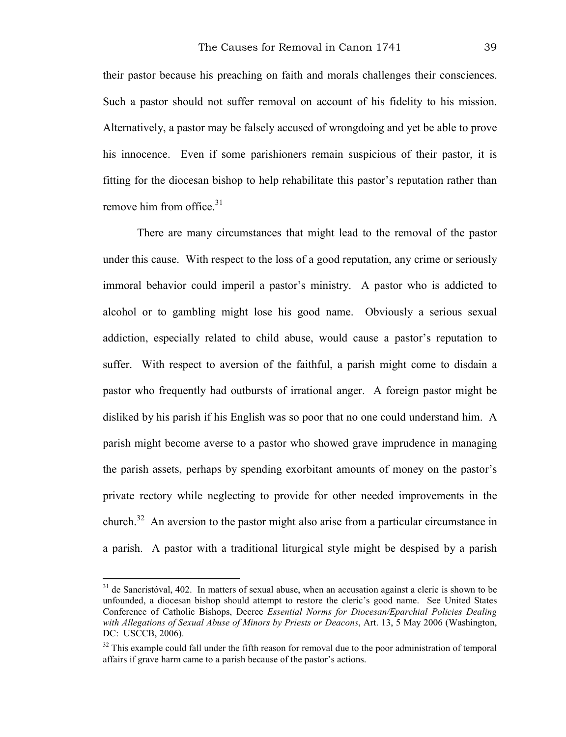their pastor because his preaching on faith and morals challenges their consciences. Such a pastor should not suffer removal on account of his fidelity to his mission. Alternatively, a pastor may be falsely accused of wrongdoing and yet be able to prove his innocence. Even if some parishioners remain suspicious of their pastor, it is fitting for the diocesan bishop to help rehabilitate this pastor's reputation rather than remove him from office.<sup>31</sup>

There are many circumstances that might lead to the removal of the pastor under this cause. With respect to the loss of a good reputation, any crime or seriously immoral behavior could imperil a pastor's ministry. A pastor who is addicted to alcohol or to gambling might lose his good name. Obviously a serious sexual addiction, especially related to child abuse, would cause a pastor's reputation to suffer. With respect to aversion of the faithful, a parish might come to disdain a pastor who frequently had outbursts of irrational anger. A foreign pastor might be disliked by his parish if his English was so poor that no one could understand him. A parish might become averse to a pastor who showed grave imprudence in managing the parish assets, perhaps by spending exorbitant amounts of money on the pastor's private rectory while neglecting to provide for other needed improvements in the church.32 An aversion to the pastor might also arise from a particular circumstance in a parish. A pastor with a traditional liturgical style might be despised by a parish

 $31$  de Sancristóval, 402. In matters of sexual abuse, when an accusation against a cleric is shown to be unfounded, a diocesan bishop should attempt to restore the cleric's good name. See United States Conference of Catholic Bishops, Decree *Essential Norms for Diocesan/Eparchial Policies Dealing with Allegations of Sexual Abuse of Minors by Priests or Deacons*, Art. 13, 5 May 2006 (Washington, DC: USCCB, 2006).

 $32$  This example could fall under the fifth reason for removal due to the poor administration of temporal affairs if grave harm came to a parish because of the pastor's actions.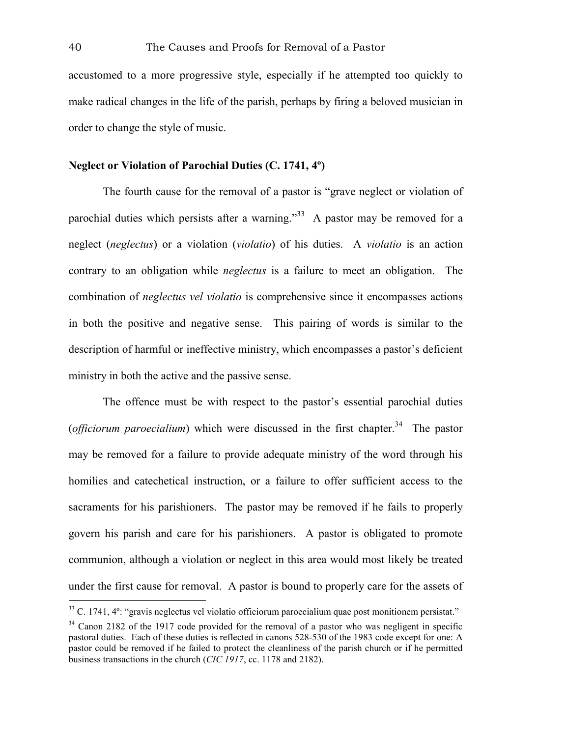accustomed to a more progressive style, especially if he attempted too quickly to make radical changes in the life of the parish, perhaps by firing a beloved musician in order to change the style of music.

### **Neglect or Violation of Parochial Duties (C. 1741, 4º)**

The fourth cause for the removal of a pastor is "grave neglect or violation of parochial duties which persists after a warning." $33$  A pastor may be removed for a neglect (*neglectus*) or a violation (*violatio*) of his duties. A *violatio* is an action contrary to an obligation while *neglectus* is a failure to meet an obligation. The combination of *neglectus vel violatio* is comprehensive since it encompasses actions in both the positive and negative sense. This pairing of words is similar to the description of harmful or ineffective ministry, which encompasses a pastor's deficient ministry in both the active and the passive sense.

The offence must be with respect to the pastor's essential parochial duties (*officiorum paroecialium*) which were discussed in the first chapter.<sup>34</sup> The pastor may be removed for a failure to provide adequate ministry of the word through his homilies and catechetical instruction, or a failure to offer sufficient access to the sacraments for his parishioners. The pastor may be removed if he fails to properly govern his parish and care for his parishioners. A pastor is obligated to promote communion, although a violation or neglect in this area would most likely be treated under the first cause for removal. A pastor is bound to properly care for the assets of

 $33$  C. 1741,  $4^\circ$ : "gravis neglectus vel violatio officiorum paroecialium quae post monitionem persistat."

 $34$  Canon 2182 of the 1917 code provided for the removal of a pastor who was negligent in specific pastoral duties. Each of these duties is reflected in canons 528-530 of the 1983 code except for one: A pastor could be removed if he failed to protect the cleanliness of the parish church or if he permitted business transactions in the church (*CIC 1917*, cc. 1178 and 2182).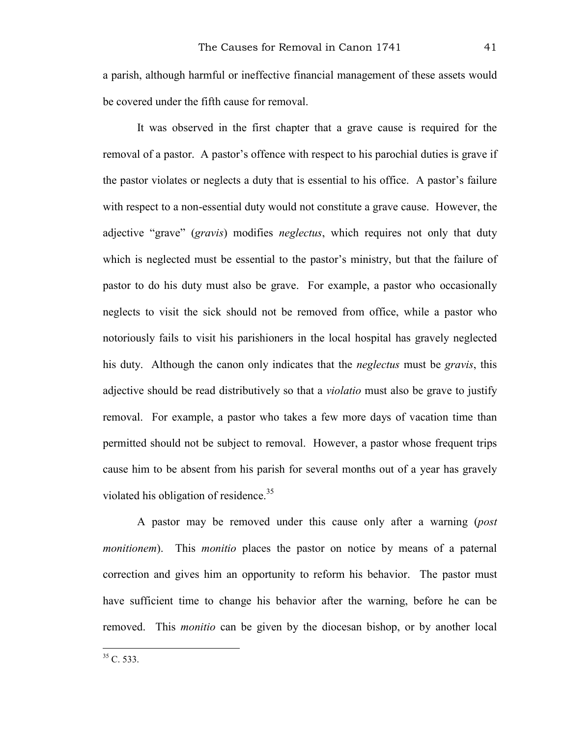a parish, although harmful or ineffective financial management of these assets would be covered under the fifth cause for removal.

It was observed in the first chapter that a grave cause is required for the removal of a pastor. A pastor's offence with respect to his parochial duties is grave if the pastor violates or neglects a duty that is essential to his office. A pastor's failure with respect to a non-essential duty would not constitute a grave cause. However, the adjective "grave" (*gravis*) modifies *neglectus*, which requires not only that duty which is neglected must be essential to the pastor's ministry, but that the failure of pastor to do his duty must also be grave. For example, a pastor who occasionally neglects to visit the sick should not be removed from office, while a pastor who notoriously fails to visit his parishioners in the local hospital has gravely neglected his duty. Although the canon only indicates that the *neglectus* must be *gravis*, this adjective should be read distributively so that a *violatio* must also be grave to justify removal. For example, a pastor who takes a few more days of vacation time than permitted should not be subject to removal. However, a pastor whose frequent trips cause him to be absent from his parish for several months out of a year has gravely violated his obligation of residence.<sup>35</sup>

A pastor may be removed under this cause only after a warning (*post monitionem*). This *monitio* places the pastor on notice by means of a paternal correction and gives him an opportunity to reform his behavior. The pastor must have sufficient time to change his behavior after the warning, before he can be removed. This *monitio* can be given by the diocesan bishop, or by another local

 $35 \, \text{C}$ , 533.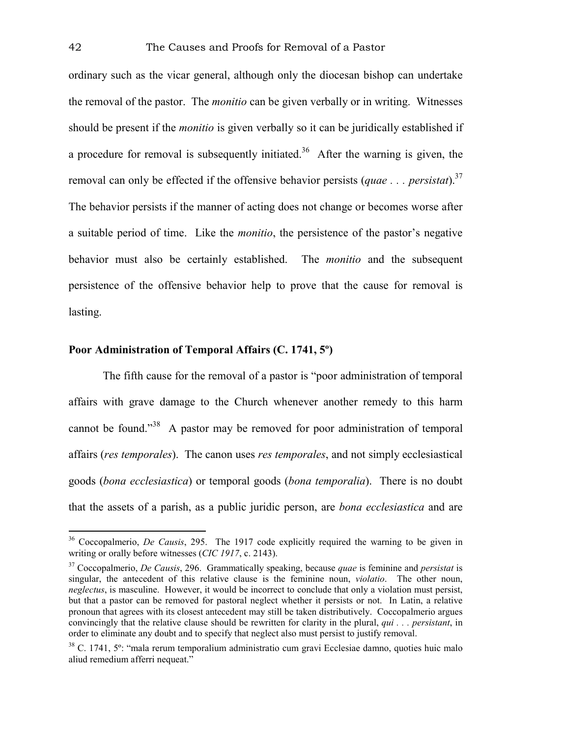ordinary such as the vicar general, although only the diocesan bishop can undertake the removal of the pastor. The *monitio* can be given verbally or in writing. Witnesses should be present if the *monitio* is given verbally so it can be juridically established if a procedure for removal is subsequently initiated.<sup>36</sup> After the warning is given, the removal can only be effected if the offensive behavior persists (*quae . . . persistat*).37 The behavior persists if the manner of acting does not change or becomes worse after a suitable period of time. Like the *monitio*, the persistence of the pastor's negative behavior must also be certainly established. The *monitio* and the subsequent persistence of the offensive behavior help to prove that the cause for removal is lasting.

# **Poor Administration of Temporal Affairs (C. 1741, 5º)**

The fifth cause for the removal of a pastor is "poor administration of temporal affairs with grave damage to the Church whenever another remedy to this harm cannot be found."38 A pastor may be removed for poor administration of temporal affairs (*res temporales*). The canon uses *res temporales*, and not simply ecclesiastical goods (*bona ecclesiastica*) or temporal goods (*bona temporalia*). There is no doubt that the assets of a parish, as a public juridic person, are *bona ecclesiastica* and are

<sup>36</sup> Coccopalmerio, *De Causis*, 295. The 1917 code explicitly required the warning to be given in writing or orally before witnesses (*CIC 1917*, c. 2143).

<sup>37</sup> Coccopalmerio, *De Causis*, 296. Grammatically speaking, because *quae* is feminine and *persistat* is singular, the antecedent of this relative clause is the feminine noun, *violatio*. The other noun, *neglectus*, is masculine. However, it would be incorrect to conclude that only a violation must persist, but that a pastor can be removed for pastoral neglect whether it persists or not. In Latin, a relative pronoun that agrees with its closest antecedent may still be taken distributively. Coccopalmerio argues convincingly that the relative clause should be rewritten for clarity in the plural, *qui . . . persistant*, in order to eliminate any doubt and to specify that neglect also must persist to justify removal.

<sup>38</sup> C. 1741, 5º: "mala rerum temporalium administratio cum gravi Ecclesiae damno, quoties huic malo aliud remedium afferri nequeat."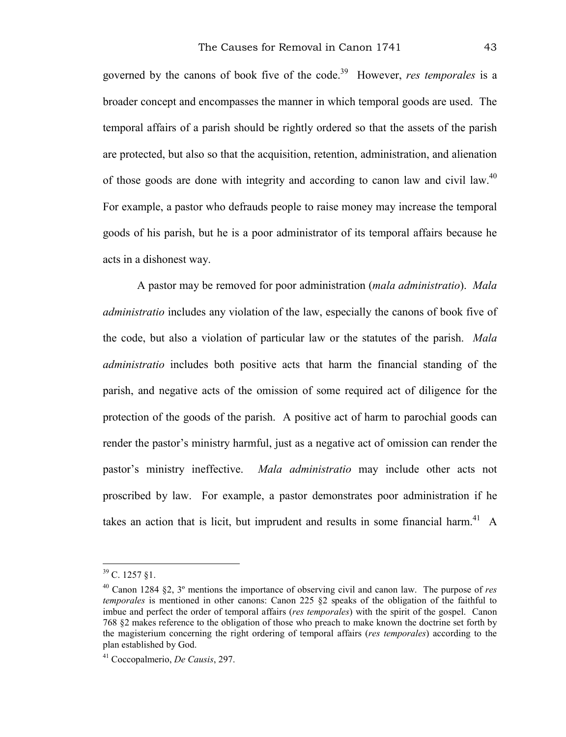governed by the canons of book five of the code.39 However, *res temporales* is a broader concept and encompasses the manner in which temporal goods are used. The temporal affairs of a parish should be rightly ordered so that the assets of the parish are protected, but also so that the acquisition, retention, administration, and alienation of those goods are done with integrity and according to canon law and civil law.<sup>40</sup> For example, a pastor who defrauds people to raise money may increase the temporal goods of his parish, but he is a poor administrator of its temporal affairs because he acts in a dishonest way.

A pastor may be removed for poor administration (*mala administratio*). *Mala administratio* includes any violation of the law, especially the canons of book five of the code, but also a violation of particular law or the statutes of the parish. *Mala administratio* includes both positive acts that harm the financial standing of the parish, and negative acts of the omission of some required act of diligence for the protection of the goods of the parish. A positive act of harm to parochial goods can render the pastor's ministry harmful, just as a negative act of omission can render the pastor's ministry ineffective. *Mala administratio* may include other acts not proscribed by law. For example, a pastor demonstrates poor administration if he takes an action that is licit, but imprudent and results in some financial harm.<sup>41</sup> A

 $39$  C. 1257 §1.

<sup>40</sup> Canon 1284 §2, 3º mentions the importance of observing civil and canon law. The purpose of *res temporales* is mentioned in other canons: Canon 225 §2 speaks of the obligation of the faithful to imbue and perfect the order of temporal affairs (*res temporales*) with the spirit of the gospel. Canon 768 §2 makes reference to the obligation of those who preach to make known the doctrine set forth by the magisterium concerning the right ordering of temporal affairs (*res temporales*) according to the plan established by God.

<sup>41</sup> Coccopalmerio, *De Causis*, 297.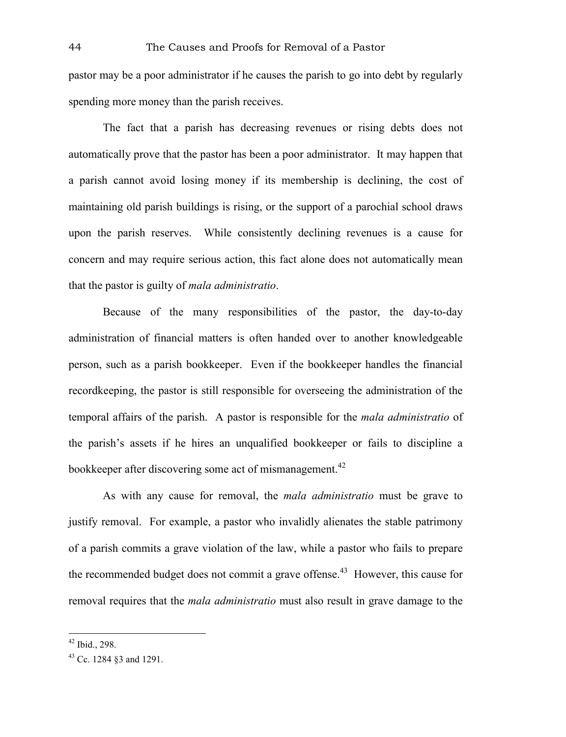pastor may be a poor administrator if he causes the parish to go into debt by regularly spending more money than the parish receives.

The fact that a parish has decreasing revenues or rising debts does not automatically prove that the pastor has been a poor administrator. It may happen that a parish cannot avoid losing money if its membership is declining, the cost of maintaining old parish buildings is rising, or the support of a parochial school draws upon the parish reserves. While consistently declining revenues is a cause for concern and may require serious action, this fact alone does not automatically mean that the pastor is guilty of *mala administratio*.

Because of the many responsibilities of the pastor, the day-to-day administration of financial matters is often handed over to another knowledgeable person, such as a parish bookkeeper. Even if the bookkeeper handles the financial recordkeeping, the pastor is still responsible for overseeing the administration of the temporal affairs of the parish. A pastor is responsible for the *mala administratio* of the parish's assets if he hires an unqualified bookkeeper or fails to discipline a bookkeeper after discovering some act of mismanagement.<sup>42</sup>

As with any cause for removal, the *mala administratio* must be grave to justify removal. For example, a pastor who invalidly alienates the stable patrimony of a parish commits a grave violation of the law, while a pastor who fails to prepare the recommended budget does not commit a grave offense.<sup>43</sup> However, this cause for removal requires that the *mala administratio* must also result in grave damage to the

 $42$  Ibid., 298.

<sup>43</sup> Cc. 1284 §3 and 1291.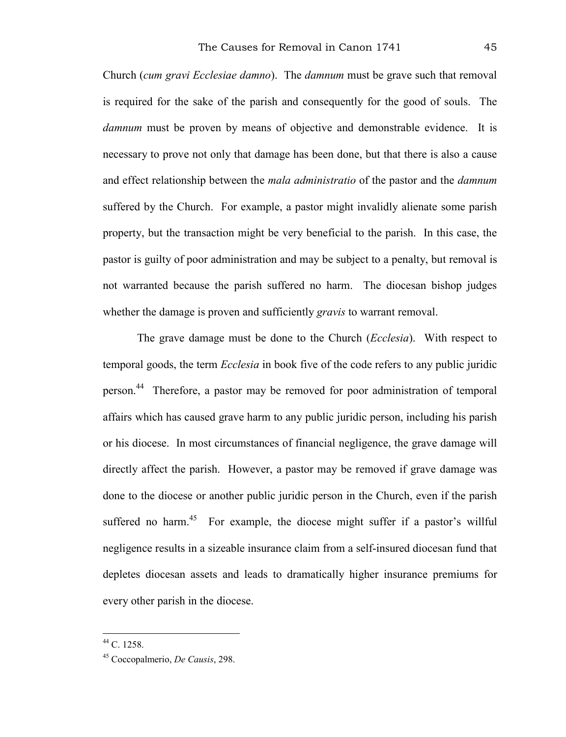Church (*cum gravi Ecclesiae damno*). The *damnum* must be grave such that removal is required for the sake of the parish and consequently for the good of souls. The *damnum* must be proven by means of objective and demonstrable evidence. It is necessary to prove not only that damage has been done, but that there is also a cause and effect relationship between the *mala administratio* of the pastor and the *damnum* suffered by the Church. For example, a pastor might invalidly alienate some parish property, but the transaction might be very beneficial to the parish. In this case, the pastor is guilty of poor administration and may be subject to a penalty, but removal is not warranted because the parish suffered no harm. The diocesan bishop judges whether the damage is proven and sufficiently *gravis* to warrant removal.

The grave damage must be done to the Church (*Ecclesia*). With respect to temporal goods, the term *Ecclesia* in book five of the code refers to any public juridic person.44 Therefore, a pastor may be removed for poor administration of temporal affairs which has caused grave harm to any public juridic person, including his parish or his diocese. In most circumstances of financial negligence, the grave damage will directly affect the parish. However, a pastor may be removed if grave damage was done to the diocese or another public juridic person in the Church, even if the parish suffered no harm.<sup>45</sup> For example, the diocese might suffer if a pastor's willful negligence results in a sizeable insurance claim from a self-insured diocesan fund that depletes diocesan assets and leads to dramatically higher insurance premiums for every other parish in the diocese.

 $44$  C. 1258.

<sup>45</sup> Coccopalmerio, *De Causis*, 298.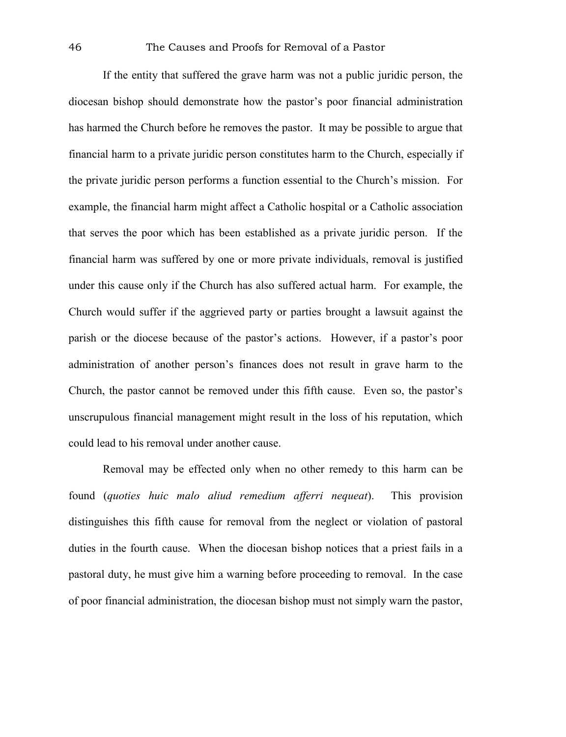If the entity that suffered the grave harm was not a public juridic person, the diocesan bishop should demonstrate how the pastor's poor financial administration has harmed the Church before he removes the pastor. It may be possible to argue that financial harm to a private juridic person constitutes harm to the Church, especially if the private juridic person performs a function essential to the Church's mission. For example, the financial harm might affect a Catholic hospital or a Catholic association that serves the poor which has been established as a private juridic person. If the financial harm was suffered by one or more private individuals, removal is justified under this cause only if the Church has also suffered actual harm. For example, the Church would suffer if the aggrieved party or parties brought a lawsuit against the parish or the diocese because of the pastor's actions. However, if a pastor's poor administration of another person's finances does not result in grave harm to the Church, the pastor cannot be removed under this fifth cause. Even so, the pastor's unscrupulous financial management might result in the loss of his reputation, which could lead to his removal under another cause.

Removal may be effected only when no other remedy to this harm can be found (*quoties huic malo aliud remedium afferri nequeat*). This provision distinguishes this fifth cause for removal from the neglect or violation of pastoral duties in the fourth cause. When the diocesan bishop notices that a priest fails in a pastoral duty, he must give him a warning before proceeding to removal. In the case of poor financial administration, the diocesan bishop must not simply warn the pastor,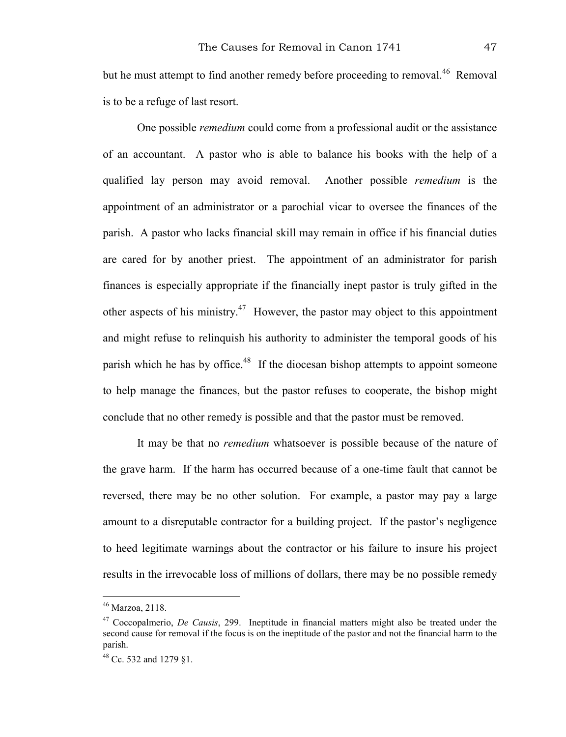but he must attempt to find another remedy before proceeding to removal.<sup>46</sup> Removal is to be a refuge of last resort.

One possible *remedium* could come from a professional audit or the assistance of an accountant. A pastor who is able to balance his books with the help of a qualified lay person may avoid removal. Another possible *remedium* is the appointment of an administrator or a parochial vicar to oversee the finances of the parish. A pastor who lacks financial skill may remain in office if his financial duties are cared for by another priest. The appointment of an administrator for parish finances is especially appropriate if the financially inept pastor is truly gifted in the other aspects of his ministry.<sup>47</sup> However, the pastor may object to this appointment and might refuse to relinquish his authority to administer the temporal goods of his parish which he has by office.<sup>48</sup> If the diocesan bishop attempts to appoint someone to help manage the finances, but the pastor refuses to cooperate, the bishop might conclude that no other remedy is possible and that the pastor must be removed.

It may be that no *remedium* whatsoever is possible because of the nature of the grave harm. If the harm has occurred because of a one-time fault that cannot be reversed, there may be no other solution. For example, a pastor may pay a large amount to a disreputable contractor for a building project. If the pastor's negligence to heed legitimate warnings about the contractor or his failure to insure his project results in the irrevocable loss of millions of dollars, there may be no possible remedy

<sup>46</sup> Marzoa, 2118.

<sup>47</sup> Coccopalmerio, *De Causis*, 299. Ineptitude in financial matters might also be treated under the second cause for removal if the focus is on the ineptitude of the pastor and not the financial harm to the parish.

<sup>48</sup> Cc. 532 and 1279 §1.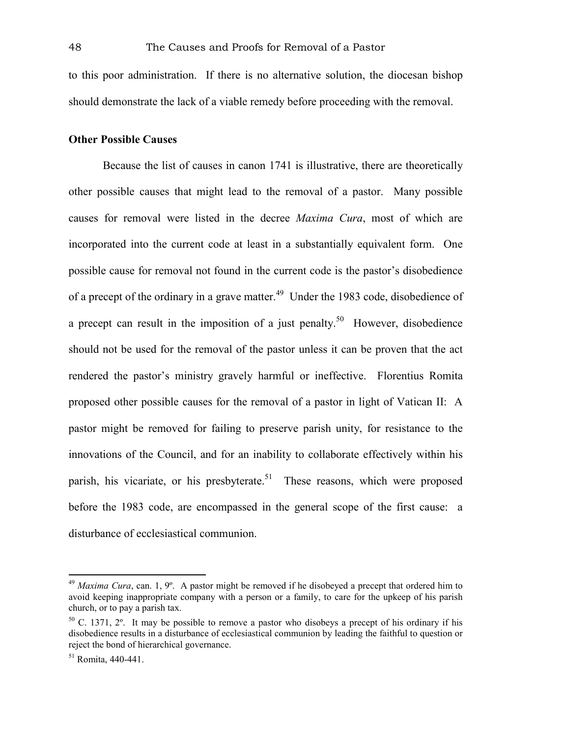to this poor administration. If there is no alternative solution, the diocesan bishop should demonstrate the lack of a viable remedy before proceeding with the removal.

#### **Other Possible Causes**

Because the list of causes in canon 1741 is illustrative, there are theoretically other possible causes that might lead to the removal of a pastor. Many possible causes for removal were listed in the decree *Maxima Cura*, most of which are incorporated into the current code at least in a substantially equivalent form. One possible cause for removal not found in the current code is the pastor's disobedience of a precept of the ordinary in a grave matter.<sup>49</sup> Under the 1983 code, disobedience of a precept can result in the imposition of a just penalty.<sup>50</sup> However, disobedience should not be used for the removal of the pastor unless it can be proven that the act rendered the pastor's ministry gravely harmful or ineffective. Florentius Romita proposed other possible causes for the removal of a pastor in light of Vatican II: A pastor might be removed for failing to preserve parish unity, for resistance to the innovations of the Council, and for an inability to collaborate effectively within his parish, his vicariate, or his presbyterate.<sup>51</sup> These reasons, which were proposed before the 1983 code, are encompassed in the general scope of the first cause: a disturbance of ecclesiastical communion.

<sup>&</sup>lt;sup>49</sup> *Maxima Cura*, can. 1, 9°. A pastor might be removed if he disobeyed a precept that ordered him to avoid keeping inappropriate company with a person or a family, to care for the upkeep of his parish church, or to pay a parish tax.

<sup>50</sup> C. 1371, 2º. It may be possible to remove a pastor who disobeys a precept of his ordinary if his disobedience results in a disturbance of ecclesiastical communion by leading the faithful to question or reject the bond of hierarchical governance.

<sup>51</sup> Romita, 440-441.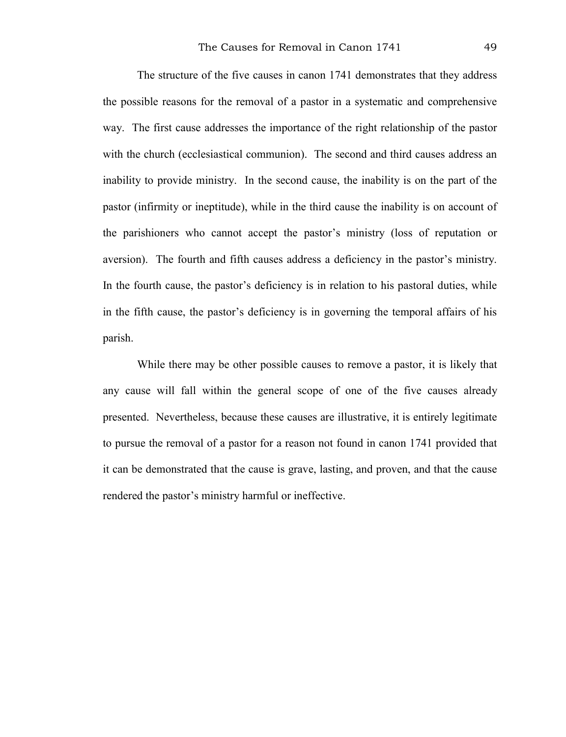The structure of the five causes in canon 1741 demonstrates that they address the possible reasons for the removal of a pastor in a systematic and comprehensive way. The first cause addresses the importance of the right relationship of the pastor with the church (ecclesiastical communion). The second and third causes address an inability to provide ministry. In the second cause, the inability is on the part of the pastor (infirmity or ineptitude), while in the third cause the inability is on account of the parishioners who cannot accept the pastor's ministry (loss of reputation or aversion). The fourth and fifth causes address a deficiency in the pastor's ministry. In the fourth cause, the pastor's deficiency is in relation to his pastoral duties, while in the fifth cause, the pastor's deficiency is in governing the temporal affairs of his parish.

While there may be other possible causes to remove a pastor, it is likely that any cause will fall within the general scope of one of the five causes already presented. Nevertheless, because these causes are illustrative, it is entirely legitimate to pursue the removal of a pastor for a reason not found in canon 1741 provided that it can be demonstrated that the cause is grave, lasting, and proven, and that the cause rendered the pastor's ministry harmful or ineffective.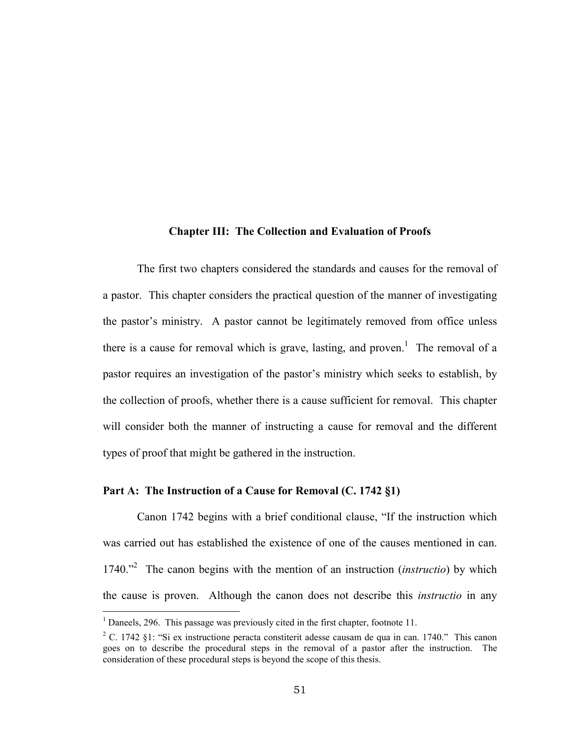#### **Chapter III: The Collection and Evaluation of Proofs**

The first two chapters considered the standards and causes for the removal of a pastor. This chapter considers the practical question of the manner of investigating the pastor's ministry. A pastor cannot be legitimately removed from office unless there is a cause for removal which is grave, lasting, and proven.<sup>1</sup> The removal of a pastor requires an investigation of the pastor's ministry which seeks to establish, by the collection of proofs, whether there is a cause sufficient for removal. This chapter will consider both the manner of instructing a cause for removal and the different types of proof that might be gathered in the instruction.

### **Part A: The Instruction of a Cause for Removal (C. 1742 §1)**

Canon 1742 begins with a brief conditional clause, "If the instruction which was carried out has established the existence of one of the causes mentioned in can. 1740."2 The canon begins with the mention of an instruction (*instructio*) by which the cause is proven. Although the canon does not describe this *instructio* in any

<sup>&</sup>lt;sup>1</sup> Daneels, 296. This passage was previously cited in the first chapter, footnote 11.

<sup>&</sup>lt;sup>2</sup> C. 1742 §1: "Si ex instructione peracta constiterit adesse causam de qua in can. 1740." This canon goes on to describe the procedural steps in the removal of a pastor after the instruction. The consideration of these procedural steps is beyond the scope of this thesis.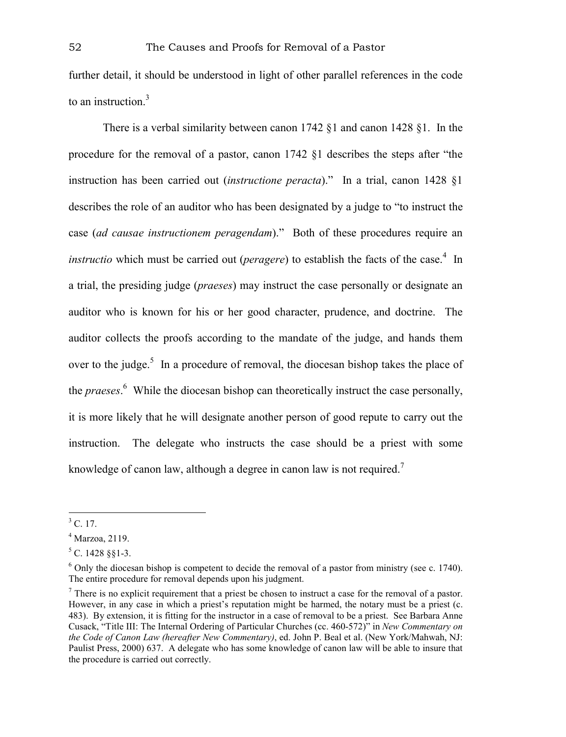further detail, it should be understood in light of other parallel references in the code to an instruction.<sup>3</sup>

There is a verbal similarity between canon 1742 §1 and canon 1428 §1. In the procedure for the removal of a pastor, canon 1742 §1 describes the steps after "the instruction has been carried out (*instructione peracta*)." In a trial, canon 1428 §1 describes the role of an auditor who has been designated by a judge to "to instruct the case (*ad causae instructionem peragendam*)." Both of these procedures require an *instructio* which must be carried out (*peragere*) to establish the facts of the case.<sup>4</sup> In a trial, the presiding judge (*praeses*) may instruct the case personally or designate an auditor who is known for his or her good character, prudence, and doctrine. The auditor collects the proofs according to the mandate of the judge, and hands them over to the judge.<sup>5</sup> In a procedure of removal, the diocesan bishop takes the place of the *praeses*. 6 While the diocesan bishop can theoretically instruct the case personally, it is more likely that he will designate another person of good repute to carry out the instruction. The delegate who instructs the case should be a priest with some knowledge of canon law, although a degree in canon law is not required.<sup>7</sup>

 $<sup>3</sup>$  C. 17.</sup>

<sup>4</sup> Marzoa, 2119.

 $5$  C. 1428 §§1-3.

 $6$  Only the diocesan bishop is competent to decide the removal of a pastor from ministry (see c. 1740). The entire procedure for removal depends upon his judgment.

 $<sup>7</sup>$  There is no explicit requirement that a priest be chosen to instruct a case for the removal of a pastor.</sup> However, in any case in which a priest's reputation might be harmed, the notary must be a priest (c. 483). By extension, it is fitting for the instructor in a case of removal to be a priest. See Barbara Anne Cusack, "Title III: The Internal Ordering of Particular Churches (cc. 460-572)" in *New Commentary on the Code of Canon Law (hereafter New Commentary)*, ed. John P. Beal et al. (New York/Mahwah, NJ: Paulist Press, 2000) 637. A delegate who has some knowledge of canon law will be able to insure that the procedure is carried out correctly.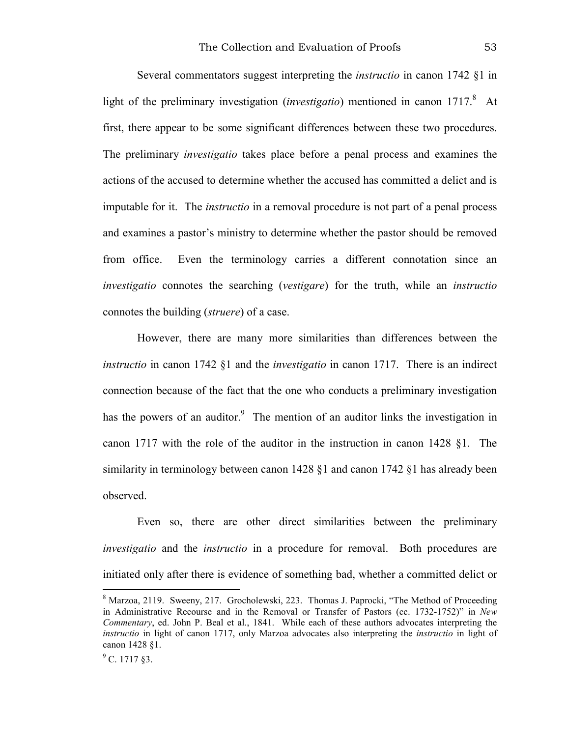Several commentators suggest interpreting the *instructio* in canon 1742 §1 in light of the preliminary investigation (*investigatio*) mentioned in canon 1717.<sup>8</sup> At first, there appear to be some significant differences between these two procedures. The preliminary *investigatio* takes place before a penal process and examines the actions of the accused to determine whether the accused has committed a delict and is imputable for it. The *instructio* in a removal procedure is not part of a penal process and examines a pastor's ministry to determine whether the pastor should be removed from office. Even the terminology carries a different connotation since an *investigatio* connotes the searching (*vestigare*) for the truth, while an *instructio* connotes the building (*struere*) of a case.

However, there are many more similarities than differences between the *instructio* in canon 1742 §1 and the *investigatio* in canon 1717. There is an indirect connection because of the fact that the one who conducts a preliminary investigation has the powers of an auditor.<sup>9</sup> The mention of an auditor links the investigation in canon 1717 with the role of the auditor in the instruction in canon 1428 §1. The similarity in terminology between canon 1428 §1 and canon 1742 §1 has already been observed.

Even so, there are other direct similarities between the preliminary *investigatio* and the *instructio* in a procedure for removal. Both procedures are initiated only after there is evidence of something bad, whether a committed delict or

<sup>&</sup>lt;sup>8</sup> Marzoa, 2119. Sweeny, 217. Grocholewski, 223. Thomas J. Paprocki, "The Method of Proceeding in Administrative Recourse and in the Removal or Transfer of Pastors (cc. 1732-1752)" in *New Commentary*, ed. John P. Beal et al., 1841. While each of these authors advocates interpreting the *instructio* in light of canon 1717, only Marzoa advocates also interpreting the *instructio* in light of canon 1428 §1.

 $^9$  C. 1717 §3.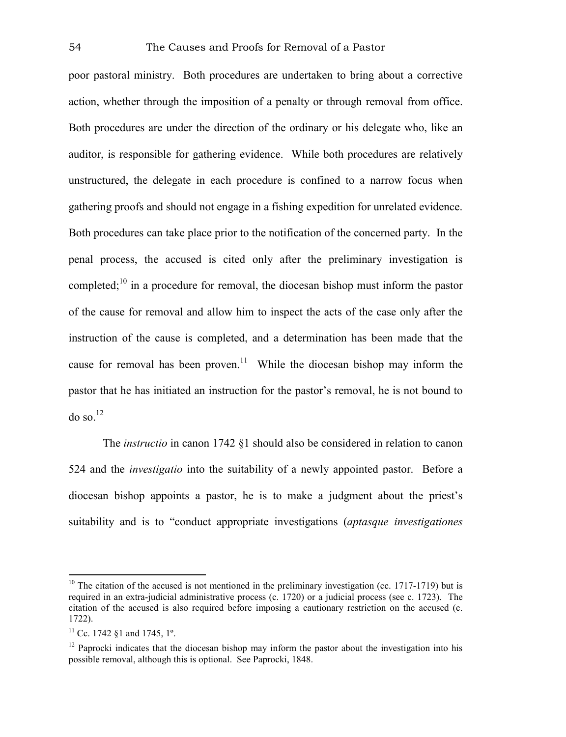poor pastoral ministry. Both procedures are undertaken to bring about a corrective action, whether through the imposition of a penalty or through removal from office. Both procedures are under the direction of the ordinary or his delegate who, like an auditor, is responsible for gathering evidence. While both procedures are relatively unstructured, the delegate in each procedure is confined to a narrow focus when gathering proofs and should not engage in a fishing expedition for unrelated evidence. Both procedures can take place prior to the notification of the concerned party. In the penal process, the accused is cited only after the preliminary investigation is completed;10 in a procedure for removal, the diocesan bishop must inform the pastor of the cause for removal and allow him to inspect the acts of the case only after the instruction of the cause is completed, and a determination has been made that the cause for removal has been proven.<sup>11</sup> While the diocesan bishop may inform the pastor that he has initiated an instruction for the pastor's removal, he is not bound to  $\omega$  so.<sup>12</sup>

The *instructio* in canon 1742 §1 should also be considered in relation to canon 524 and the *investigatio* into the suitability of a newly appointed pastor. Before a diocesan bishop appoints a pastor, he is to make a judgment about the priest's suitability and is to "conduct appropriate investigations (*aptasque investigationes* 

 $10$  The citation of the accused is not mentioned in the preliminary investigation (cc. 1717-1719) but is required in an extra-judicial administrative process (c. 1720) or a judicial process (see c. 1723). The citation of the accused is also required before imposing a cautionary restriction on the accused (c. 1722).

<sup>&</sup>lt;sup>11</sup> Cc. 1742 §1 and 1745,  $1^\circ$ .

 $12$  Paprocki indicates that the diocesan bishop may inform the pastor about the investigation into his possible removal, although this is optional. See Paprocki, 1848.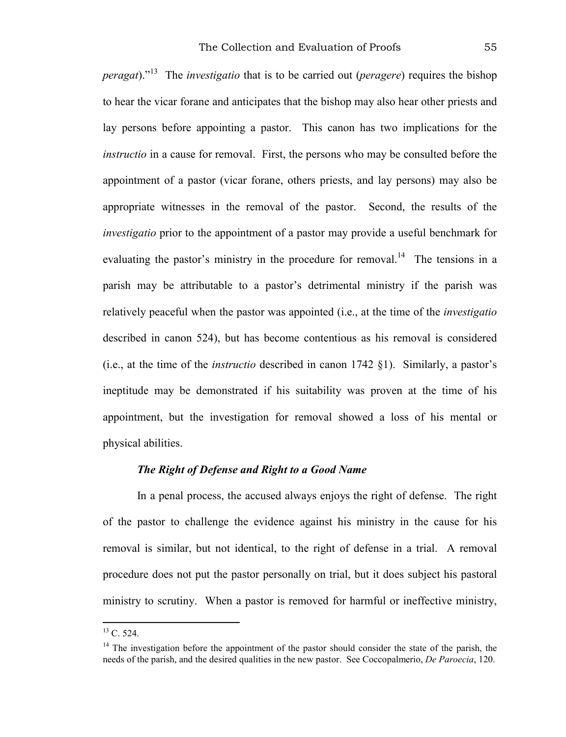*peragat*)."13 The *investigatio* that is to be carried out (*peragere*) requires the bishop to hear the vicar forane and anticipates that the bishop may also hear other priests and lay persons before appointing a pastor. This canon has two implications for the *instructio* in a cause for removal. First, the persons who may be consulted before the appointment of a pastor (vicar forane, others priests, and lay persons) may also be appropriate witnesses in the removal of the pastor. Second, the results of the *investigatio* prior to the appointment of a pastor may provide a useful benchmark for evaluating the pastor's ministry in the procedure for removal.<sup>14</sup> The tensions in a parish may be attributable to a pastor's detrimental ministry if the parish was relatively peaceful when the pastor was appointed (i.e., at the time of the *investigatio* described in canon 524), but has become contentious as his removal is considered (i.e., at the time of the *instructio* described in canon 1742 §1). Similarly, a pastor's ineptitude may be demonstrated if his suitability was proven at the time of his appointment, but the investigation for removal showed a loss of his mental or physical abilities.

### *The Right of Defense and Right to a Good Name*

In a penal process, the accused always enjoys the right of defense. The right of the pastor to challenge the evidence against his ministry in the cause for his removal is similar, but not identical, to the right of defense in a trial. A removal procedure does not put the pastor personally on trial, but it does subject his pastoral ministry to scrutiny. When a pastor is removed for harmful or ineffective ministry,

 $^{13}$  C. 524.

 $14$  The investigation before the appointment of the pastor should consider the state of the parish, the needs of the parish, and the desired qualities in the new pastor. See Coccopalmerio, *De Paroecia*, 120.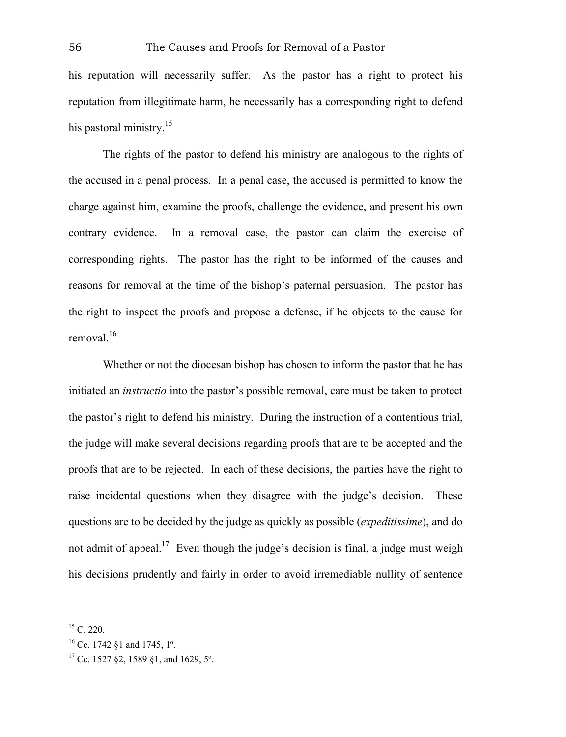his reputation will necessarily suffer. As the pastor has a right to protect his reputation from illegitimate harm, he necessarily has a corresponding right to defend his pastoral ministry. $15$ 

The rights of the pastor to defend his ministry are analogous to the rights of the accused in a penal process. In a penal case, the accused is permitted to know the charge against him, examine the proofs, challenge the evidence, and present his own contrary evidence. In a removal case, the pastor can claim the exercise of corresponding rights. The pastor has the right to be informed of the causes and reasons for removal at the time of the bishop's paternal persuasion. The pastor has the right to inspect the proofs and propose a defense, if he objects to the cause for removal.<sup>16</sup>

Whether or not the diocesan bishop has chosen to inform the pastor that he has initiated an *instructio* into the pastor's possible removal, care must be taken to protect the pastor's right to defend his ministry. During the instruction of a contentious trial, the judge will make several decisions regarding proofs that are to be accepted and the proofs that are to be rejected. In each of these decisions, the parties have the right to raise incidental questions when they disagree with the judge's decision. These questions are to be decided by the judge as quickly as possible (*expeditissime*), and do not admit of appeal.<sup>17</sup> Even though the judge's decision is final, a judge must weigh his decisions prudently and fairly in order to avoid irremediable nullity of sentence

<sup>1</sup>  $15$  C. 220.

<sup>16</sup> Cc. 1742 §1 and 1745, 1º.

<sup>&</sup>lt;sup>17</sup> Cc. 1527 §2, 1589 §1, and 1629, 5°.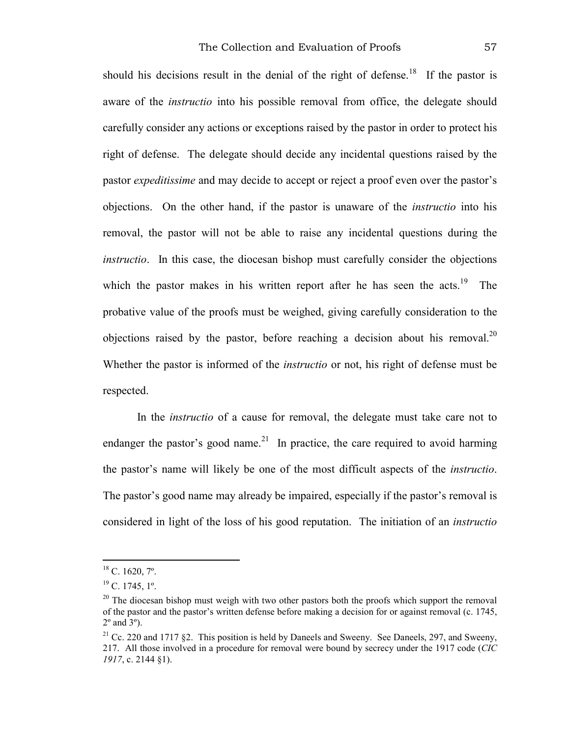should his decisions result in the denial of the right of defense.<sup>18</sup> If the pastor is aware of the *instructio* into his possible removal from office, the delegate should carefully consider any actions or exceptions raised by the pastor in order to protect his right of defense. The delegate should decide any incidental questions raised by the pastor *expeditissime* and may decide to accept or reject a proof even over the pastor's objections. On the other hand, if the pastor is unaware of the *instructio* into his removal, the pastor will not be able to raise any incidental questions during the *instructio*. In this case, the diocesan bishop must carefully consider the objections which the pastor makes in his written report after he has seen the acts.<sup>19</sup> The probative value of the proofs must be weighed, giving carefully consideration to the objections raised by the pastor, before reaching a decision about his removal.<sup>20</sup> Whether the pastor is informed of the *instructio* or not, his right of defense must be respected.

In the *instructio* of a cause for removal, the delegate must take care not to endanger the pastor's good name.<sup>21</sup> In practice, the care required to avoid harming the pastor's name will likely be one of the most difficult aspects of the *instructio*. The pastor's good name may already be impaired, especially if the pastor's removal is considered in light of the loss of his good reputation. The initiation of an *instructio*

 $18$  C. 1620,  $7^\circ$ .

 $^{19}$  C, 1745,  $1^\circ$ .

<sup>&</sup>lt;sup>20</sup> The diocesan bishop must weigh with two other pastors both the proofs which support the removal of the pastor and the pastor's written defense before making a decision for or against removal (c. 1745,  $2^{\circ}$  and  $3^{\circ}$ ).

<sup>&</sup>lt;sup>21</sup> Cc. 220 and 1717 §2. This position is held by Daneels and Sweeny. See Daneels, 297, and Sweeny, 217. All those involved in a procedure for removal were bound by secrecy under the 1917 code (*CIC 1917*, c. 2144 §1).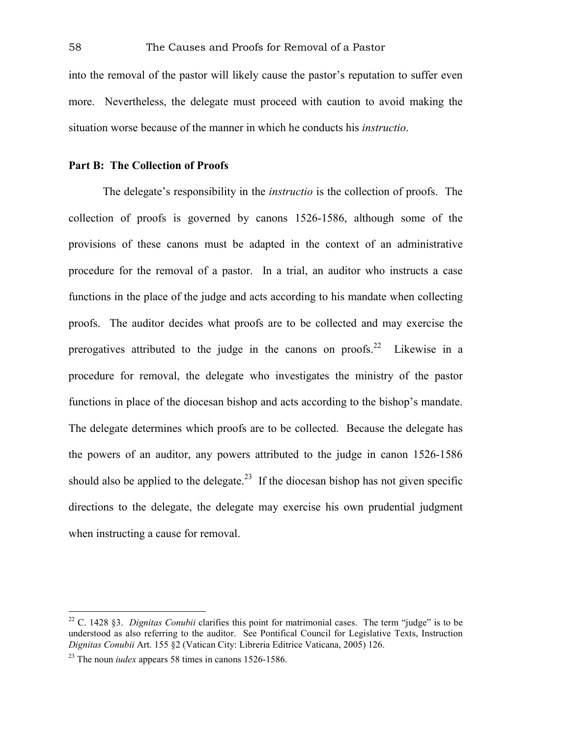into the removal of the pastor will likely cause the pastor's reputation to suffer even more. Nevertheless, the delegate must proceed with caution to avoid making the situation worse because of the manner in which he conducts his *instructio*.

#### **Part B: The Collection of Proofs**

The delegate's responsibility in the *instructio* is the collection of proofs. The collection of proofs is governed by canons 1526-1586, although some of the provisions of these canons must be adapted in the context of an administrative procedure for the removal of a pastor. In a trial, an auditor who instructs a case functions in the place of the judge and acts according to his mandate when collecting proofs. The auditor decides what proofs are to be collected and may exercise the prerogatives attributed to the judge in the canons on proofs.<sup>22</sup> Likewise in a procedure for removal, the delegate who investigates the ministry of the pastor functions in place of the diocesan bishop and acts according to the bishop's mandate. The delegate determines which proofs are to be collected. Because the delegate has the powers of an auditor, any powers attributed to the judge in canon 1526-1586 should also be applied to the delegate.<sup>23</sup> If the diocesan bishop has not given specific directions to the delegate, the delegate may exercise his own prudential judgment when instructing a cause for removal.

<sup>22</sup> C. 1428 §3. *Dignitas Conubii* clarifies this point for matrimonial cases. The term "judge" is to be understood as also referring to the auditor. See Pontifical Council for Legislative Texts, Instruction *Dignitas Conubii* Art. 155 §2 (Vatican City: Libreria Editrice Vaticana, 2005) 126.

<sup>23</sup> The noun *iudex* appears 58 times in canons 1526-1586.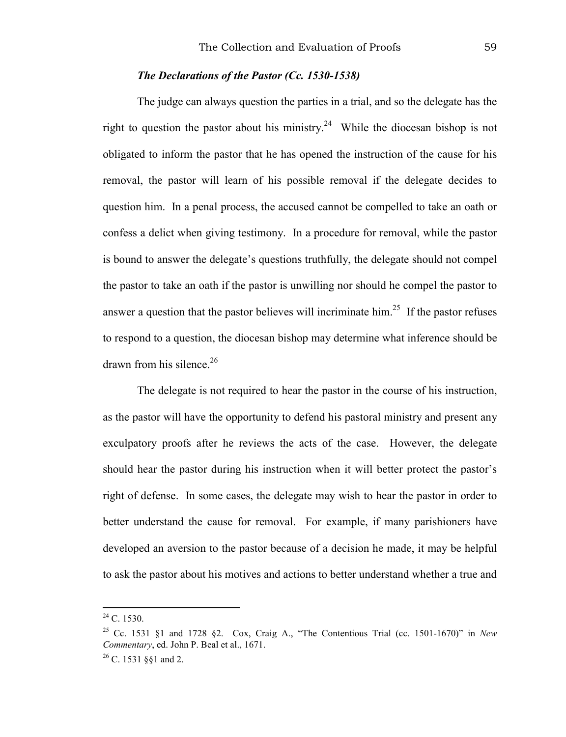## *The Declarations of the Pastor (Cc. 1530-1538)*

The judge can always question the parties in a trial, and so the delegate has the right to question the pastor about his ministry.<sup>24</sup> While the diocesan bishop is not obligated to inform the pastor that he has opened the instruction of the cause for his removal, the pastor will learn of his possible removal if the delegate decides to question him. In a penal process, the accused cannot be compelled to take an oath or confess a delict when giving testimony. In a procedure for removal, while the pastor is bound to answer the delegate's questions truthfully, the delegate should not compel the pastor to take an oath if the pastor is unwilling nor should he compel the pastor to answer a question that the pastor believes will incriminate him.<sup>25</sup> If the pastor refuses to respond to a question, the diocesan bishop may determine what inference should be drawn from his silence. $26$ 

The delegate is not required to hear the pastor in the course of his instruction, as the pastor will have the opportunity to defend his pastoral ministry and present any exculpatory proofs after he reviews the acts of the case. However, the delegate should hear the pastor during his instruction when it will better protect the pastor's right of defense. In some cases, the delegate may wish to hear the pastor in order to better understand the cause for removal. For example, if many parishioners have developed an aversion to the pastor because of a decision he made, it may be helpful to ask the pastor about his motives and actions to better understand whether a true and

 $^{24}$  C. 1530.

<sup>25</sup> Cc. 1531 §1 and 1728 §2. Cox, Craig A., "The Contentious Trial (cc. 1501-1670)" in *New Commentary*, ed. John P. Beal et al., 1671.

 $26$  C. 1531 §§1 and 2.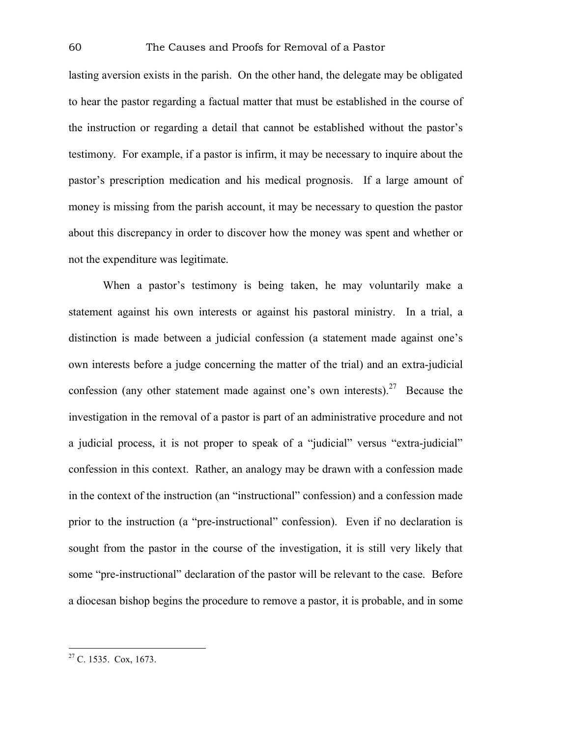lasting aversion exists in the parish. On the other hand, the delegate may be obligated to hear the pastor regarding a factual matter that must be established in the course of the instruction or regarding a detail that cannot be established without the pastor's testimony. For example, if a pastor is infirm, it may be necessary to inquire about the pastor's prescription medication and his medical prognosis. If a large amount of money is missing from the parish account, it may be necessary to question the pastor about this discrepancy in order to discover how the money was spent and whether or not the expenditure was legitimate.

When a pastor's testimony is being taken, he may voluntarily make a statement against his own interests or against his pastoral ministry. In a trial, a distinction is made between a judicial confession (a statement made against one's own interests before a judge concerning the matter of the trial) and an extra-judicial confession (any other statement made against one's own interests).<sup>27</sup> Because the investigation in the removal of a pastor is part of an administrative procedure and not a judicial process, it is not proper to speak of a "judicial" versus "extra-judicial" confession in this context. Rather, an analogy may be drawn with a confession made in the context of the instruction (an "instructional" confession) and a confession made prior to the instruction (a "pre-instructional" confession). Even if no declaration is sought from the pastor in the course of the investigation, it is still very likely that some "pre-instructional" declaration of the pastor will be relevant to the case. Before a diocesan bishop begins the procedure to remove a pastor, it is probable, and in some

 $27$  C. 1535. Cox, 1673.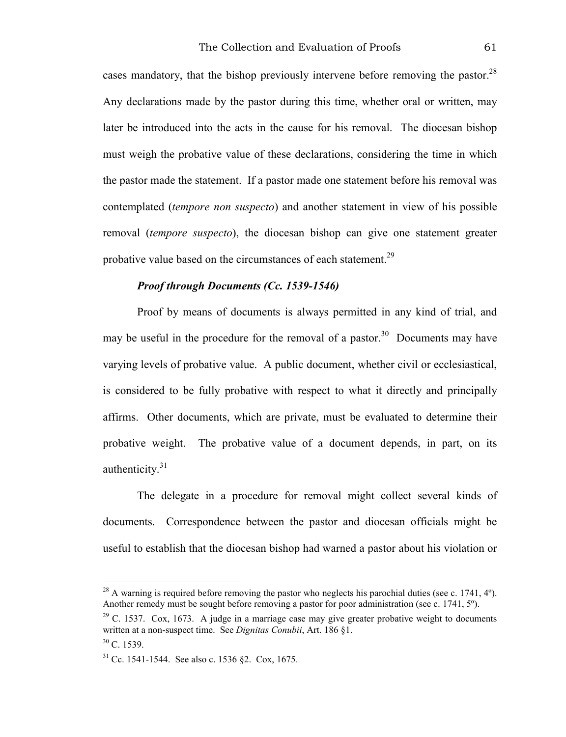cases mandatory, that the bishop previously intervene before removing the pastor. $^{28}$ Any declarations made by the pastor during this time, whether oral or written, may later be introduced into the acts in the cause for his removal. The diocesan bishop must weigh the probative value of these declarations, considering the time in which the pastor made the statement. If a pastor made one statement before his removal was contemplated (*tempore non suspecto*) and another statement in view of his possible removal (*tempore suspecto*), the diocesan bishop can give one statement greater probative value based on the circumstances of each statement.<sup>29</sup>

### *Proof through Documents (Cc. 1539-1546)*

Proof by means of documents is always permitted in any kind of trial, and may be useful in the procedure for the removal of a pastor.<sup>30</sup> Documents may have varying levels of probative value. A public document, whether civil or ecclesiastical, is considered to be fully probative with respect to what it directly and principally affirms. Other documents, which are private, must be evaluated to determine their probative weight. The probative value of a document depends, in part, on its authenticity.<sup>31</sup>

The delegate in a procedure for removal might collect several kinds of documents. Correspondence between the pastor and diocesan officials might be useful to establish that the diocesan bishop had warned a pastor about his violation or

 $^{28}$  A warning is required before removing the pastor who neglects his parochial duties (see c. 1741, 4°). Another remedy must be sought before removing a pastor for poor administration (see c. 1741, 5º).

 $29$  C. 1537. Cox, 1673. A judge in a marriage case may give greater probative weight to documents written at a non-suspect time. See *Dignitas Conubii*, Art. 186 §1.

 $30 \text{ C}$  1539

<sup>31</sup> Cc. 1541-1544. See also c. 1536 §2. Cox, 1675.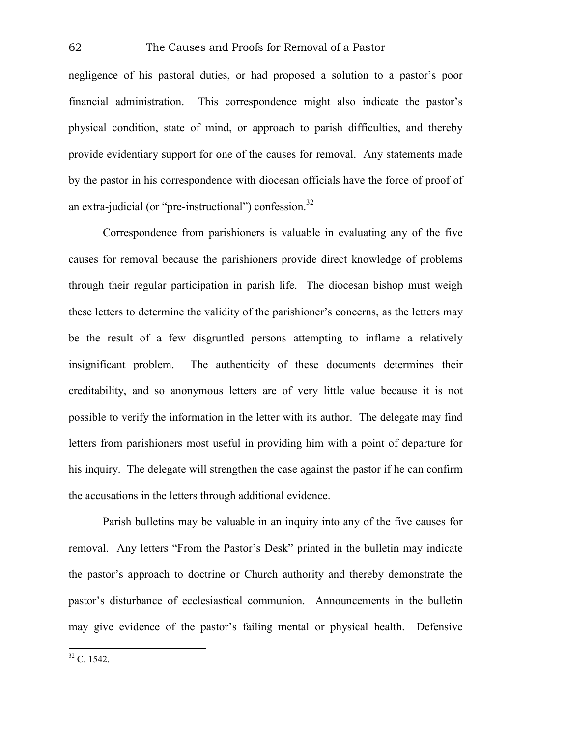negligence of his pastoral duties, or had proposed a solution to a pastor's poor financial administration. This correspondence might also indicate the pastor's physical condition, state of mind, or approach to parish difficulties, and thereby provide evidentiary support for one of the causes for removal. Any statements made by the pastor in his correspondence with diocesan officials have the force of proof of an extra-judicial (or "pre-instructional") confession. $32$ 

Correspondence from parishioners is valuable in evaluating any of the five causes for removal because the parishioners provide direct knowledge of problems through their regular participation in parish life. The diocesan bishop must weigh these letters to determine the validity of the parishioner's concerns, as the letters may be the result of a few disgruntled persons attempting to inflame a relatively insignificant problem. The authenticity of these documents determines their creditability, and so anonymous letters are of very little value because it is not possible to verify the information in the letter with its author. The delegate may find letters from parishioners most useful in providing him with a point of departure for his inquiry. The delegate will strengthen the case against the pastor if he can confirm the accusations in the letters through additional evidence.

Parish bulletins may be valuable in an inquiry into any of the five causes for removal. Any letters "From the Pastor's Desk" printed in the bulletin may indicate the pastor's approach to doctrine or Church authority and thereby demonstrate the pastor's disturbance of ecclesiastical communion. Announcements in the bulletin may give evidence of the pastor's failing mental or physical health. Defensive

 $32 \text{ C}$ . 1542.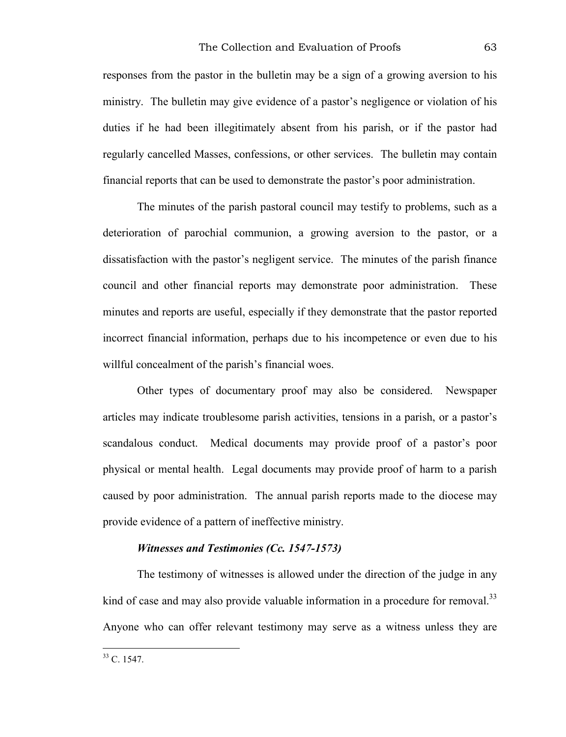responses from the pastor in the bulletin may be a sign of a growing aversion to his ministry. The bulletin may give evidence of a pastor's negligence or violation of his duties if he had been illegitimately absent from his parish, or if the pastor had regularly cancelled Masses, confessions, or other services. The bulletin may contain financial reports that can be used to demonstrate the pastor's poor administration.

The minutes of the parish pastoral council may testify to problems, such as a deterioration of parochial communion, a growing aversion to the pastor, or a dissatisfaction with the pastor's negligent service. The minutes of the parish finance council and other financial reports may demonstrate poor administration. These minutes and reports are useful, especially if they demonstrate that the pastor reported incorrect financial information, perhaps due to his incompetence or even due to his willful concealment of the parish's financial woes.

Other types of documentary proof may also be considered. Newspaper articles may indicate troublesome parish activities, tensions in a parish, or a pastor's scandalous conduct. Medical documents may provide proof of a pastor's poor physical or mental health. Legal documents may provide proof of harm to a parish caused by poor administration. The annual parish reports made to the diocese may provide evidence of a pattern of ineffective ministry.

#### *Witnesses and Testimonies (Cc. 1547-1573)*

The testimony of witnesses is allowed under the direction of the judge in any kind of case and may also provide valuable information in a procedure for removal.<sup>33</sup> Anyone who can offer relevant testimony may serve as a witness unless they are

 $33 \text{ C}$ . 1547.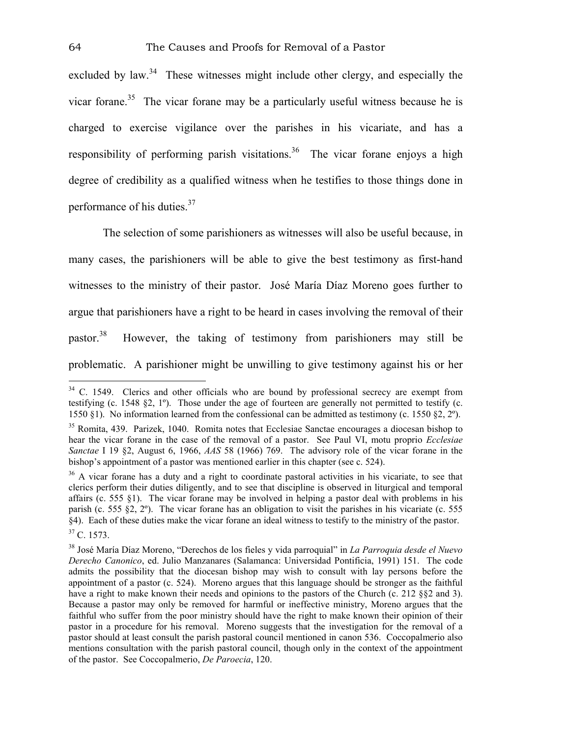excluded by law.<sup>34</sup> These witnesses might include other clergy, and especially the vicar forane.<sup>35</sup> The vicar forane may be a particularly useful witness because he is charged to exercise vigilance over the parishes in his vicariate, and has a responsibility of performing parish visitations.<sup>36</sup> The vicar forane enjoys a high degree of credibility as a qualified witness when he testifies to those things done in performance of his duties.37

The selection of some parishioners as witnesses will also be useful because, in many cases, the parishioners will be able to give the best testimony as first-hand witnesses to the ministry of their pastor. José María Díaz Moreno goes further to argue that parishioners have a right to be heard in cases involving the removal of their pastor.<sup>38</sup> However, the taking of testimony from parishioners may still be problematic. A parishioner might be unwilling to give testimony against his or her

 $34$  C. 1549. Clerics and other officials who are bound by professional secrecy are exempt from testifying (c. 1548 §2, 1º). Those under the age of fourteen are generally not permitted to testify (c. 1550 §1). No information learned from the confessional can be admitted as testimony (c. 1550 §2, 2º).

<sup>&</sup>lt;sup>35</sup> Romita, 439. Parizek, 1040. Romita notes that Ecclesiae Sanctae encourages a diocesan bishop to hear the vicar forane in the case of the removal of a pastor. See Paul VI, motu proprio *Ecclesiae Sanctae* I 19 §2, August 6, 1966, *AAS* 58 (1966) 769. The advisory role of the vicar forane in the bishop's appointment of a pastor was mentioned earlier in this chapter (see c. 524).

<sup>&</sup>lt;sup>36</sup> A vicar forane has a duty and a right to coordinate pastoral activities in his vicariate, to see that clerics perform their duties diligently, and to see that discipline is observed in liturgical and temporal affairs (c. 555 §1). The vicar forane may be involved in helping a pastor deal with problems in his parish (c. 555 §2, 2º). The vicar forane has an obligation to visit the parishes in his vicariate (c. 555 §4). Each of these duties make the vicar forane an ideal witness to testify to the ministry of the pastor. 37 C. 1573.

<sup>38</sup> José María Díaz Moreno, "Derechos de los fieles y vida parroquial" in *La Parroquia desde el Nuevo Derecho Canonico*, ed. Julio Manzanares (Salamanca: Universidad Pontificia, 1991) 151. The code admits the possibility that the diocesan bishop may wish to consult with lay persons before the appointment of a pastor (c. 524). Moreno argues that this language should be stronger as the faithful have a right to make known their needs and opinions to the pastors of the Church (c. 212 §§2 and 3). Because a pastor may only be removed for harmful or ineffective ministry, Moreno argues that the faithful who suffer from the poor ministry should have the right to make known their opinion of their pastor in a procedure for his removal. Moreno suggests that the investigation for the removal of a pastor should at least consult the parish pastoral council mentioned in canon 536. Coccopalmerio also mentions consultation with the parish pastoral council, though only in the context of the appointment of the pastor. See Coccopalmerio, *De Paroecia*, 120.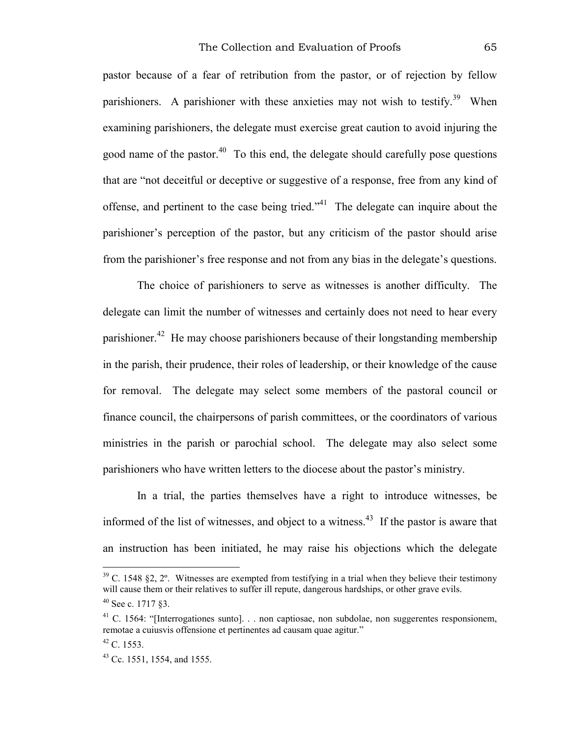pastor because of a fear of retribution from the pastor, or of rejection by fellow parishioners. A parishioner with these anxieties may not wish to testify.<sup>39</sup> When examining parishioners, the delegate must exercise great caution to avoid injuring the good name of the pastor.<sup>40</sup> To this end, the delegate should carefully pose questions that are "not deceitful or deceptive or suggestive of a response, free from any kind of offense, and pertinent to the case being tried."41 The delegate can inquire about the parishioner's perception of the pastor, but any criticism of the pastor should arise from the parishioner's free response and not from any bias in the delegate's questions.

The choice of parishioners to serve as witnesses is another difficulty. The delegate can limit the number of witnesses and certainly does not need to hear every parishioner.<sup>42</sup> He may choose parishioners because of their longstanding membership in the parish, their prudence, their roles of leadership, or their knowledge of the cause for removal. The delegate may select some members of the pastoral council or finance council, the chairpersons of parish committees, or the coordinators of various ministries in the parish or parochial school. The delegate may also select some parishioners who have written letters to the diocese about the pastor's ministry.

In a trial, the parties themselves have a right to introduce witnesses, be informed of the list of witnesses, and object to a witness.<sup>43</sup> If the pastor is aware that an instruction has been initiated, he may raise his objections which the delegate

 $39$  C. 1548 §2, 2°. Witnesses are exempted from testifying in a trial when they believe their testimony will cause them or their relatives to suffer ill repute, dangerous hardships, or other grave evils.

<sup>40</sup> See c. 1717 §3.

<sup>&</sup>lt;sup>41</sup> C. 1564: "[Interrogationes sunto]. . . non captiosae, non subdolae, non suggerentes responsionem, remotae a cuiusvis offensione et pertinentes ad causam quae agitur."

 $42$  C. 1553.

<sup>43</sup> Cc. 1551, 1554, and 1555.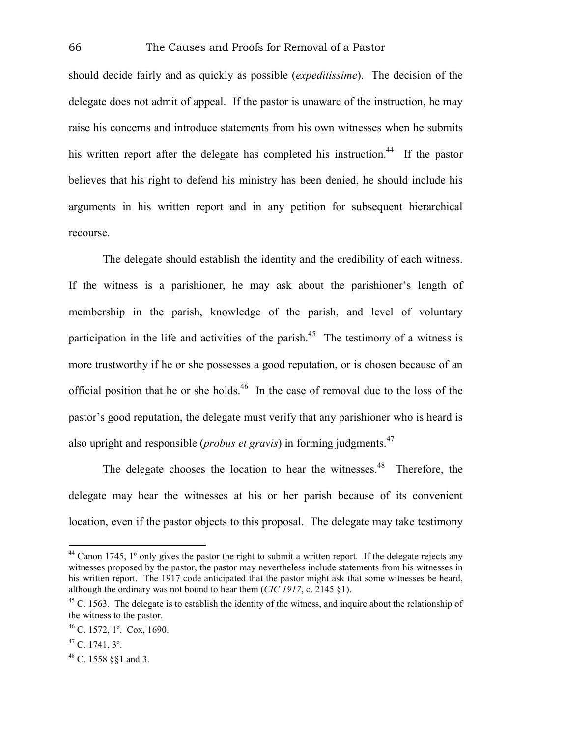should decide fairly and as quickly as possible (*expeditissime*). The decision of the delegate does not admit of appeal. If the pastor is unaware of the instruction, he may raise his concerns and introduce statements from his own witnesses when he submits his written report after the delegate has completed his instruction.<sup>44</sup> If the pastor believes that his right to defend his ministry has been denied, he should include his arguments in his written report and in any petition for subsequent hierarchical recourse.

The delegate should establish the identity and the credibility of each witness. If the witness is a parishioner, he may ask about the parishioner's length of membership in the parish, knowledge of the parish, and level of voluntary participation in the life and activities of the parish.<sup>45</sup> The testimony of a witness is more trustworthy if he or she possesses a good reputation, or is chosen because of an official position that he or she holds.46 In the case of removal due to the loss of the pastor's good reputation, the delegate must verify that any parishioner who is heard is also upright and responsible (*probus et gravis*) in forming judgments.<sup>47</sup>

The delegate chooses the location to hear the witnesses.<sup>48</sup> Therefore, the delegate may hear the witnesses at his or her parish because of its convenient location, even if the pastor objects to this proposal. The delegate may take testimony

 $44$  Canon 1745, 1 $^{\circ}$  only gives the pastor the right to submit a written report. If the delegate rejects any witnesses proposed by the pastor, the pastor may nevertheless include statements from his witnesses in his written report. The 1917 code anticipated that the pastor might ask that some witnesses be heard, although the ordinary was not bound to hear them (*CIC 1917*, c. 2145 §1).

 $45$  C. 1563. The delegate is to establish the identity of the witness, and inquire about the relationship of the witness to the pastor.

<sup>46</sup> C. 1572, 1º. Cox, 1690.

 $47$  C. 1741,  $3^\circ$ .

<sup>48</sup> C. 1558 §§1 and 3.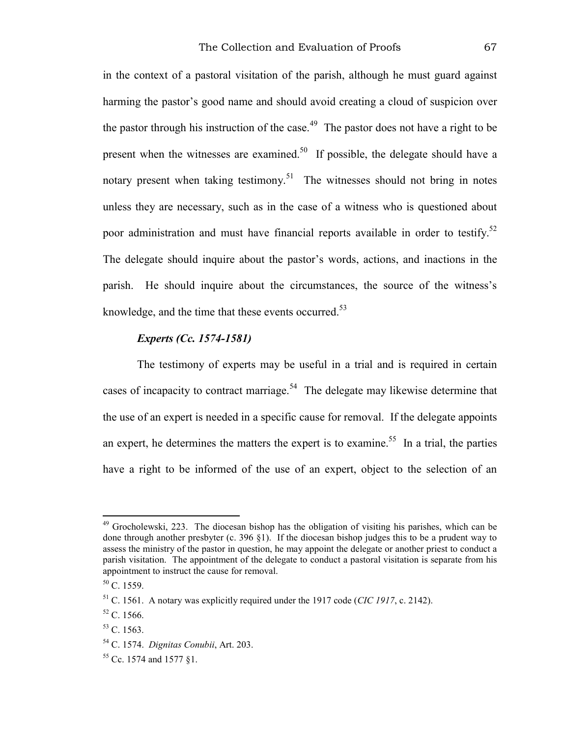in the context of a pastoral visitation of the parish, although he must guard against harming the pastor's good name and should avoid creating a cloud of suspicion over the pastor through his instruction of the case.<sup>49</sup> The pastor does not have a right to be present when the witnesses are examined.<sup>50</sup> If possible, the delegate should have a notary present when taking testimony.<sup>51</sup> The witnesses should not bring in notes unless they are necessary, such as in the case of a witness who is questioned about poor administration and must have financial reports available in order to testify.<sup>52</sup> The delegate should inquire about the pastor's words, actions, and inactions in the parish. He should inquire about the circumstances, the source of the witness's knowledge, and the time that these events occurred. $53$ 

# *Experts (Cc. 1574-1581)*

The testimony of experts may be useful in a trial and is required in certain cases of incapacity to contract marriage.<sup>54</sup> The delegate may likewise determine that the use of an expert is needed in a specific cause for removal. If the delegate appoints an expert, he determines the matters the expert is to examine.<sup>55</sup> In a trial, the parties have a right to be informed of the use of an expert, object to the selection of an

1

 $49$  Grocholewski, 223. The diocesan bishop has the obligation of visiting his parishes, which can be done through another presbyter (c. 396 §1). If the diocesan bishop judges this to be a prudent way to assess the ministry of the pastor in question, he may appoint the delegate or another priest to conduct a parish visitation. The appointment of the delegate to conduct a pastoral visitation is separate from his appointment to instruct the cause for removal.

 $50 \text{ C}$ . 1559.

<sup>51</sup> C. 1561. A notary was explicitly required under the 1917 code (*CIC 1917*, c. 2142).

<sup>52</sup> C. 1566.

 $53 \text{ C}$ . 1563.

<sup>54</sup> C. 1574. *Dignitas Conubii*, Art. 203.

<sup>55</sup> Cc. 1574 and 1577 §1.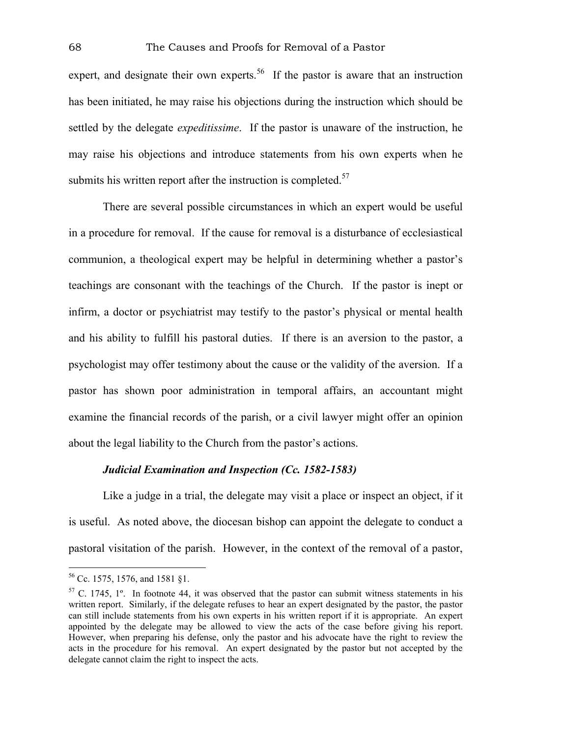expert, and designate their own experts.<sup>56</sup> If the pastor is aware that an instruction has been initiated, he may raise his objections during the instruction which should be settled by the delegate *expeditissime*. If the pastor is unaware of the instruction, he may raise his objections and introduce statements from his own experts when he submits his written report after the instruction is completed.<sup>57</sup>

There are several possible circumstances in which an expert would be useful in a procedure for removal. If the cause for removal is a disturbance of ecclesiastical communion, a theological expert may be helpful in determining whether a pastor's teachings are consonant with the teachings of the Church. If the pastor is inept or infirm, a doctor or psychiatrist may testify to the pastor's physical or mental health and his ability to fulfill his pastoral duties. If there is an aversion to the pastor, a psychologist may offer testimony about the cause or the validity of the aversion. If a pastor has shown poor administration in temporal affairs, an accountant might examine the financial records of the parish, or a civil lawyer might offer an opinion about the legal liability to the Church from the pastor's actions.

# *Judicial Examination and Inspection (Cc. 1582-1583)*

Like a judge in a trial, the delegate may visit a place or inspect an object, if it is useful. As noted above, the diocesan bishop can appoint the delegate to conduct a pastoral visitation of the parish. However, in the context of the removal of a pastor,

1

<sup>56</sup> Cc. 1575, 1576, and 1581 §1.

<sup>&</sup>lt;sup>57</sup> C. 1745, 1<sup>°</sup>. In footnote 44, it was observed that the pastor can submit witness statements in his written report. Similarly, if the delegate refuses to hear an expert designated by the pastor, the pastor can still include statements from his own experts in his written report if it is appropriate. An expert appointed by the delegate may be allowed to view the acts of the case before giving his report. However, when preparing his defense, only the pastor and his advocate have the right to review the acts in the procedure for his removal. An expert designated by the pastor but not accepted by the delegate cannot claim the right to inspect the acts.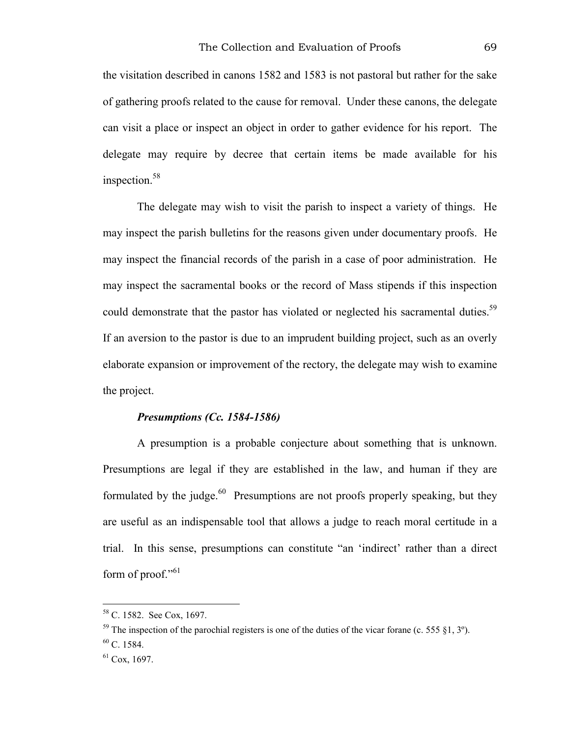the visitation described in canons 1582 and 1583 is not pastoral but rather for the sake of gathering proofs related to the cause for removal. Under these canons, the delegate can visit a place or inspect an object in order to gather evidence for his report. The delegate may require by decree that certain items be made available for his inspection.<sup>58</sup>

The delegate may wish to visit the parish to inspect a variety of things. He may inspect the parish bulletins for the reasons given under documentary proofs. He may inspect the financial records of the parish in a case of poor administration. He may inspect the sacramental books or the record of Mass stipends if this inspection could demonstrate that the pastor has violated or neglected his sacramental duties.<sup>59</sup> If an aversion to the pastor is due to an imprudent building project, such as an overly elaborate expansion or improvement of the rectory, the delegate may wish to examine the project.

# *Presumptions (Cc. 1584-1586)*

A presumption is a probable conjecture about something that is unknown. Presumptions are legal if they are established in the law, and human if they are formulated by the judge. $^{60}$  Presumptions are not proofs properly speaking, but they are useful as an indispensable tool that allows a judge to reach moral certitude in a trial. In this sense, presumptions can constitute "an 'indirect' rather than a direct form of proof." $61$ 

<u>.</u>

<sup>58</sup> C. 1582. See Cox, 1697.

<sup>&</sup>lt;sup>59</sup> The inspection of the parochial registers is one of the duties of the vicar forane (c. 555  $\S$ 1, 3°).  $60$  C. 1584.

 $61$  Cox, 1697.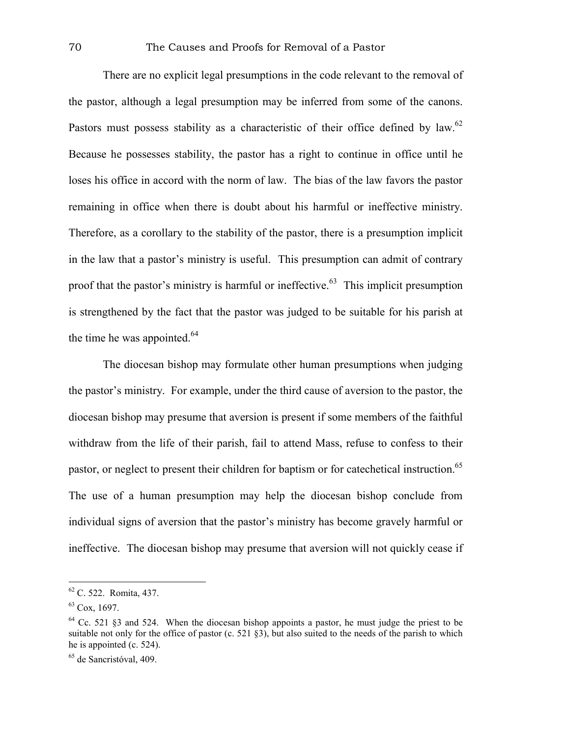There are no explicit legal presumptions in the code relevant to the removal of the pastor, although a legal presumption may be inferred from some of the canons. Pastors must possess stability as a characteristic of their office defined by law.<sup>62</sup> Because he possesses stability, the pastor has a right to continue in office until he loses his office in accord with the norm of law. The bias of the law favors the pastor remaining in office when there is doubt about his harmful or ineffective ministry. Therefore, as a corollary to the stability of the pastor, there is a presumption implicit in the law that a pastor's ministry is useful. This presumption can admit of contrary proof that the pastor's ministry is harmful or ineffective.<sup>63</sup> This implicit presumption is strengthened by the fact that the pastor was judged to be suitable for his parish at the time he was appointed. $64$ 

The diocesan bishop may formulate other human presumptions when judging the pastor's ministry. For example, under the third cause of aversion to the pastor, the diocesan bishop may presume that aversion is present if some members of the faithful withdraw from the life of their parish, fail to attend Mass, refuse to confess to their pastor, or neglect to present their children for baptism or for cate chetical instruction.<sup>65</sup> The use of a human presumption may help the diocesan bishop conclude from individual signs of aversion that the pastor's ministry has become gravely harmful or ineffective. The diocesan bishop may presume that aversion will not quickly cease if

1

<sup>62</sup> C. 522. Romita, 437.

 $63$  Cox, 1697.

 $64$  Cc. 521  $$3$  and 524. When the diocesan bishop appoints a pastor, he must judge the priest to be suitable not only for the office of pastor (c. 521 §3), but also suited to the needs of the parish to which he is appointed (c. 524).

<sup>65</sup> de Sancristóval, 409.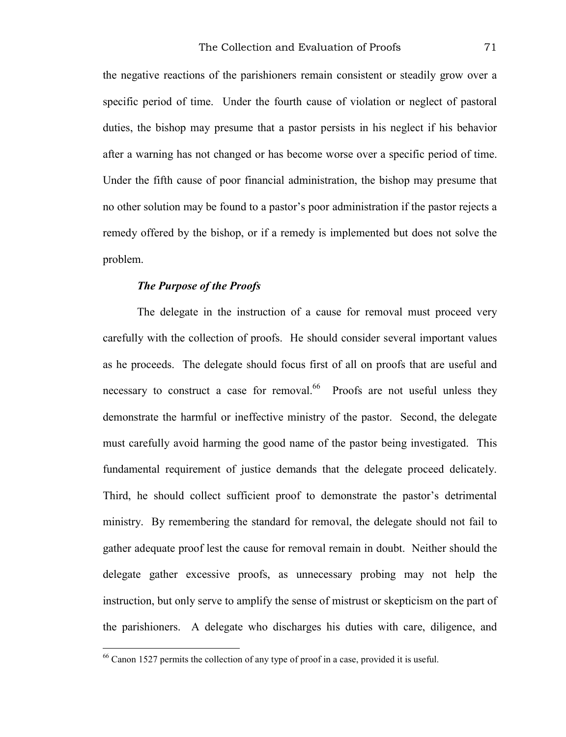the negative reactions of the parishioners remain consistent or steadily grow over a specific period of time. Under the fourth cause of violation or neglect of pastoral duties, the bishop may presume that a pastor persists in his neglect if his behavior after a warning has not changed or has become worse over a specific period of time. Under the fifth cause of poor financial administration, the bishop may presume that no other solution may be found to a pastor's poor administration if the pastor rejects a remedy offered by the bishop, or if a remedy is implemented but does not solve the problem.

## *The Purpose of the Proofs*

<u>.</u>

The delegate in the instruction of a cause for removal must proceed very carefully with the collection of proofs. He should consider several important values as he proceeds. The delegate should focus first of all on proofs that are useful and necessary to construct a case for removal.<sup>66</sup> Proofs are not useful unless they demonstrate the harmful or ineffective ministry of the pastor. Second, the delegate must carefully avoid harming the good name of the pastor being investigated. This fundamental requirement of justice demands that the delegate proceed delicately. Third, he should collect sufficient proof to demonstrate the pastor's detrimental ministry. By remembering the standard for removal, the delegate should not fail to gather adequate proof lest the cause for removal remain in doubt. Neither should the delegate gather excessive proofs, as unnecessary probing may not help the instruction, but only serve to amplify the sense of mistrust or skepticism on the part of the parishioners. A delegate who discharges his duties with care, diligence, and

<sup>66</sup> Canon 1527 permits the collection of any type of proof in a case, provided it is useful.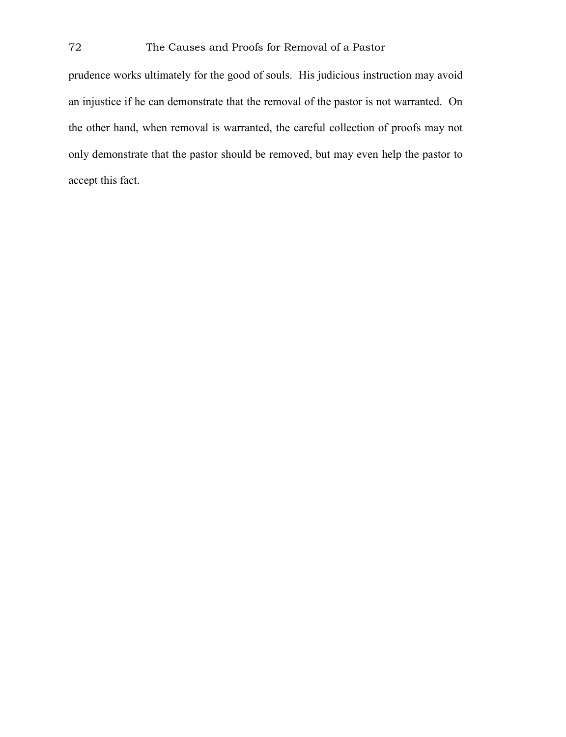prudence works ultimately for the good of souls. His judicious instruction may avoid an injustice if he can demonstrate that the removal of the pastor is not warranted. On the other hand, when removal is warranted, the careful collection of proofs may not only demonstrate that the pastor should be removed, but may even help the pastor to accept this fact.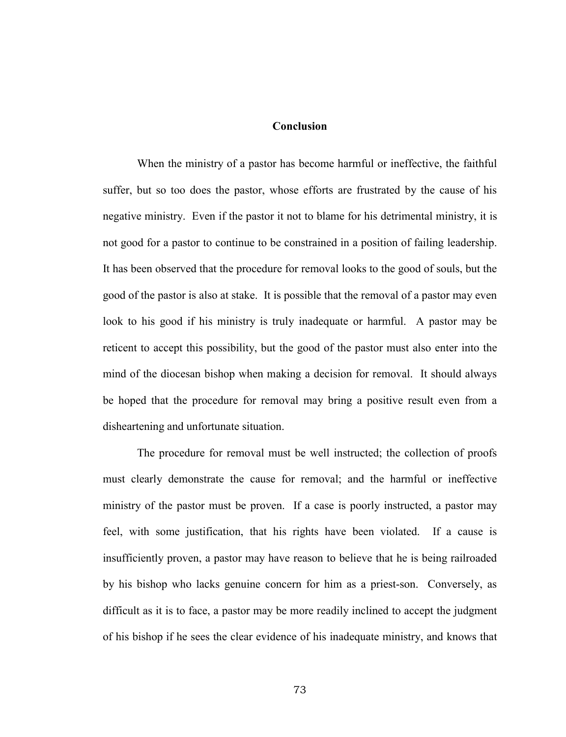### **Conclusion**

When the ministry of a pastor has become harmful or ineffective, the faithful suffer, but so too does the pastor, whose efforts are frustrated by the cause of his negative ministry. Even if the pastor it not to blame for his detrimental ministry, it is not good for a pastor to continue to be constrained in a position of failing leadership. It has been observed that the procedure for removal looks to the good of souls, but the good of the pastor is also at stake. It is possible that the removal of a pastor may even look to his good if his ministry is truly inadequate or harmful. A pastor may be reticent to accept this possibility, but the good of the pastor must also enter into the mind of the diocesan bishop when making a decision for removal. It should always be hoped that the procedure for removal may bring a positive result even from a disheartening and unfortunate situation.

The procedure for removal must be well instructed; the collection of proofs must clearly demonstrate the cause for removal; and the harmful or ineffective ministry of the pastor must be proven. If a case is poorly instructed, a pastor may feel, with some justification, that his rights have been violated. If a cause is insufficiently proven, a pastor may have reason to believe that he is being railroaded by his bishop who lacks genuine concern for him as a priest-son. Conversely, as difficult as it is to face, a pastor may be more readily inclined to accept the judgment of his bishop if he sees the clear evidence of his inadequate ministry, and knows that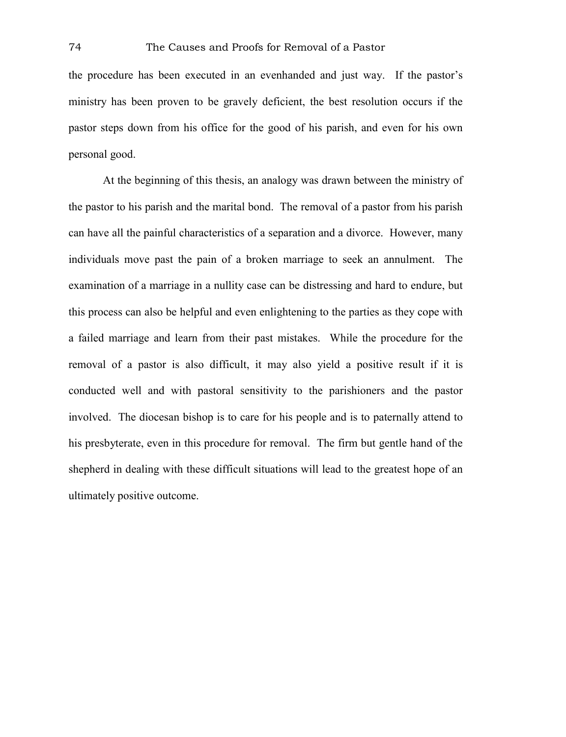the procedure has been executed in an evenhanded and just way. If the pastor's ministry has been proven to be gravely deficient, the best resolution occurs if the pastor steps down from his office for the good of his parish, and even for his own personal good.

At the beginning of this thesis, an analogy was drawn between the ministry of the pastor to his parish and the marital bond. The removal of a pastor from his parish can have all the painful characteristics of a separation and a divorce. However, many individuals move past the pain of a broken marriage to seek an annulment. The examination of a marriage in a nullity case can be distressing and hard to endure, but this process can also be helpful and even enlightening to the parties as they cope with a failed marriage and learn from their past mistakes. While the procedure for the removal of a pastor is also difficult, it may also yield a positive result if it is conducted well and with pastoral sensitivity to the parishioners and the pastor involved. The diocesan bishop is to care for his people and is to paternally attend to his presbyterate, even in this procedure for removal. The firm but gentle hand of the shepherd in dealing with these difficult situations will lead to the greatest hope of an ultimately positive outcome.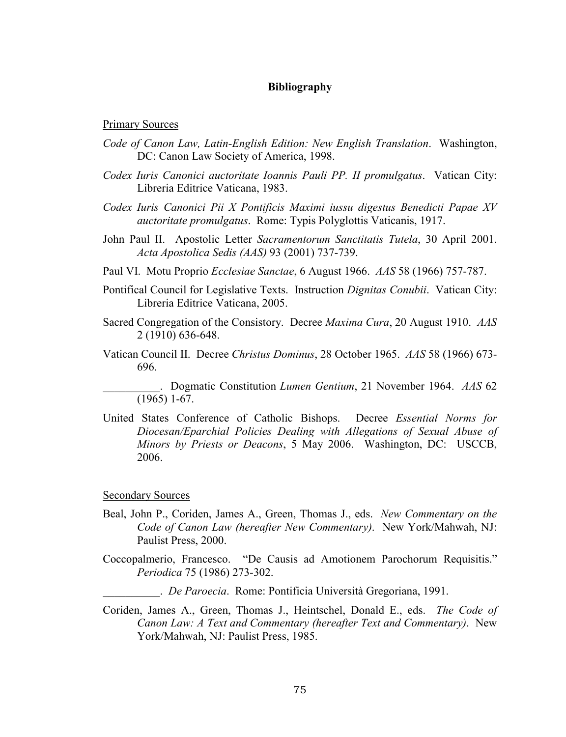### **Bibliography**

#### Primary Sources

- *Code of Canon Law, Latin-English Edition: New English Translation*. Washington, DC: Canon Law Society of America, 1998.
- *Codex Iuris Canonici auctoritate Ioannis Pauli PP. II promulgatus*. Vatican City: Libreria Editrice Vaticana, 1983.
- *Codex Iuris Canonici Pii X Pontificis Maximi iussu digestus Benedicti Papae XV auctoritate promulgatus*. Rome: Typis Polyglottis Vaticanis, 1917.
- John Paul II. Apostolic Letter *Sacramentorum Sanctitatis Tutela*, 30 April 2001. *Acta Apostolica Sedis (AAS)* 93 (2001) 737-739.
- Paul VI. Motu Proprio *Ecclesiae Sanctae*, 6 August 1966. *AAS* 58 (1966) 757-787.
- Pontifical Council for Legislative Texts. Instruction *Dignitas Conubii*. Vatican City: Libreria Editrice Vaticana, 2005.
- Sacred Congregation of the Consistory. Decree *Maxima Cura*, 20 August 1910. *AAS* 2 (1910) 636-648.
- Vatican Council II. Decree *Christus Dominus*, 28 October 1965. *AAS* 58 (1966) 673- 696.

\_\_\_\_\_\_\_\_\_\_. Dogmatic Constitution *Lumen Gentium*, 21 November 1964. *AAS* 62 (1965) 1-67.

United States Conference of Catholic Bishops. Decree *Essential Norms for Diocesan/Eparchial Policies Dealing with Allegations of Sexual Abuse of Minors by Priests or Deacons*, 5 May 2006. Washington, DC: USCCB, 2006.

#### Secondary Sources

- Beal, John P., Coriden, James A., Green, Thomas J., eds. *New Commentary on the Code of Canon Law (hereafter New Commentary)*. New York/Mahwah, NJ: Paulist Press, 2000.
- Coccopalmerio, Francesco. "De Causis ad Amotionem Parochorum Requisitis." *Periodica* 75 (1986) 273-302.
	- \_\_\_\_\_\_\_\_\_\_. *De Paroecia*. Rome: Pontificia Università Gregoriana, 1991.
- Coriden, James A., Green, Thomas J., Heintschel, Donald E., eds. *The Code of Canon Law: A Text and Commentary (hereafter Text and Commentary)*. New York/Mahwah, NJ: Paulist Press, 1985.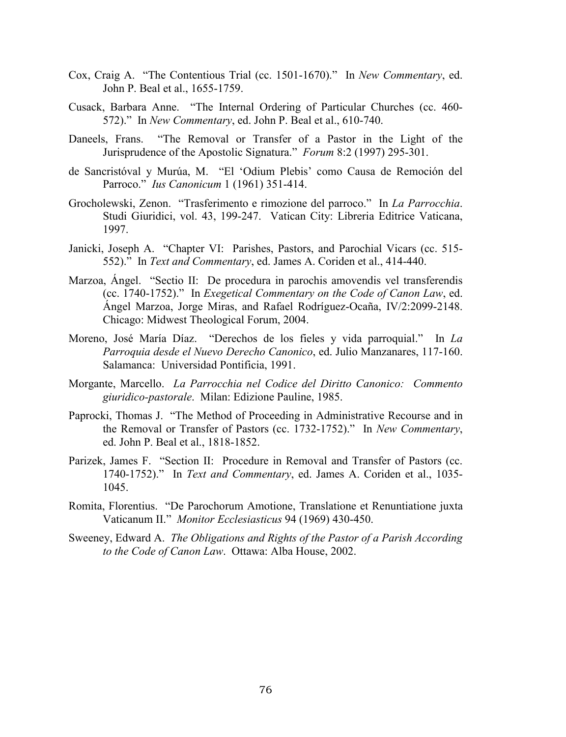- Cox, Craig A. "The Contentious Trial (cc. 1501-1670)." In *New Commentary*, ed. John P. Beal et al., 1655-1759.
- Cusack, Barbara Anne. "The Internal Ordering of Particular Churches (cc. 460- 572)." In *New Commentary*, ed. John P. Beal et al., 610-740.
- Daneels, Frans. "The Removal or Transfer of a Pastor in the Light of the Jurisprudence of the Apostolic Signatura." *Forum* 8:2 (1997) 295-301.
- de Sancristóval y Murúa, M. "El 'Odium Plebis' como Causa de Remoción del Parroco." *Ius Canonicum* 1 (1961) 351-414.
- Grocholewski, Zenon. "Trasferimento e rimozione del parroco." In *La Parrocchia*. Studi Giuridici, vol. 43, 199-247. Vatican City: Libreria Editrice Vaticana, 1997.
- Janicki, Joseph A. "Chapter VI: Parishes, Pastors, and Parochial Vicars (cc. 515- 552)." In *Text and Commentary*, ed. James A. Coriden et al., 414-440.
- Marzoa, Ángel. "Sectio II: De procedura in parochis amovendis vel transferendis (cc. 1740-1752)." In *Exegetical Commentary on the Code of Canon Law*, ed. Ángel Marzoa, Jorge Miras, and Rafael Rodríguez-Ocaña, IV/2:2099-2148. Chicago: Midwest Theological Forum, 2004.
- Moreno, José María Díaz. "Derechos de los fieles y vida parroquial." In *La Parroquia desde el Nuevo Derecho Canonico*, ed. Julio Manzanares, 117-160. Salamanca: Universidad Pontificia, 1991.
- Morgante, Marcello. *La Parrocchia nel Codice del Diritto Canonico: Commento giuridico-pastorale*. Milan: Edizione Pauline, 1985.
- Paprocki, Thomas J. "The Method of Proceeding in Administrative Recourse and in the Removal or Transfer of Pastors (cc. 1732-1752)." In *New Commentary*, ed. John P. Beal et al., 1818-1852.
- Parizek, James F. "Section II: Procedure in Removal and Transfer of Pastors (cc. 1740-1752)." In *Text and Commentary*, ed. James A. Coriden et al., 1035- 1045.
- Romita, Florentius. "De Parochorum Amotione, Translatione et Renuntiatione juxta Vaticanum II." *Monitor Ecclesiasticus* 94 (1969) 430-450.
- Sweeney, Edward A. *The Obligations and Rights of the Pastor of a Parish According to the Code of Canon Law*. Ottawa: Alba House, 2002.